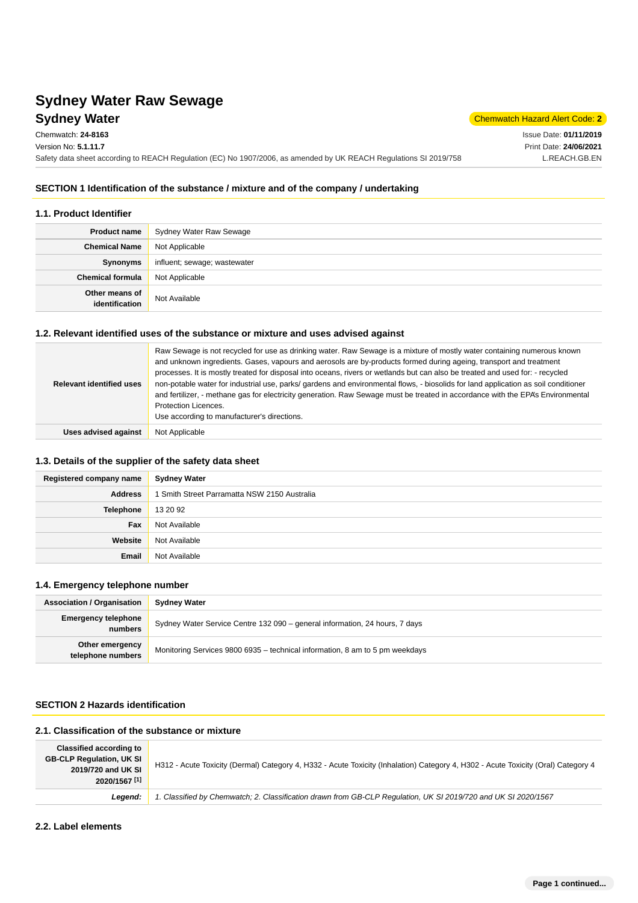## **Sydney Water** Chemwatch Hazard Alert Code: 2 **Sydney Water Raw Sewage**

Issue Date: **01/11/2019** Print Date: **24/06/2021** L.REACH.GB.EN

### **SECTION 1 Identification of the substance / mixture and of the company / undertaking**

Safety data sheet according to REACH Regulation (EC) No 1907/2006, as amended by UK REACH Regulations SI 2019/758

#### **1.1. Product Identifier**

Chemwatch: **24-8163** Version No: **5.1.11.7**

| <b>Product name</b>              | Sydney Water Raw Sewage      |
|----------------------------------|------------------------------|
| <b>Chemical Name</b>             | Not Applicable               |
| Synonyms                         | influent; sewage; wastewater |
| <b>Chemical formula</b>          | Not Applicable               |
| Other means of<br>identification | Not Available                |

#### **1.2. Relevant identified uses of the substance or mixture and uses advised against**

| <b>Relevant identified uses</b> | Raw Sewage is not recycled for use as drinking water. Raw Sewage is a mixture of mostly water containing numerous known<br>and unknown ingredients. Gases, vapours and aerosols are by-products formed during ageing, transport and treatment<br>processes. It is mostly treated for disposal into oceans, rivers or wetlands but can also be treated and used for: - recycled<br>non-potable water for industrial use, parks/ gardens and environmental flows, - biosolids for land application as soil conditioner<br>and fertilizer, - methane gas for electricity generation. Raw Sewage must be treated in accordance with the EPA's Environmental<br><b>Protection Licences.</b><br>Use according to manufacturer's directions. |
|---------------------------------|---------------------------------------------------------------------------------------------------------------------------------------------------------------------------------------------------------------------------------------------------------------------------------------------------------------------------------------------------------------------------------------------------------------------------------------------------------------------------------------------------------------------------------------------------------------------------------------------------------------------------------------------------------------------------------------------------------------------------------------|
| Uses advised against            | Not Applicable                                                                                                                                                                                                                                                                                                                                                                                                                                                                                                                                                                                                                                                                                                                        |

#### **1.3. Details of the supplier of the safety data sheet**

| Registered company name | <b>Sydney Water</b>                          |
|-------------------------|----------------------------------------------|
| <b>Address</b>          | 1 Smith Street Parramatta NSW 2150 Australia |
| Telephone               | 13 20 92                                     |
| Fax                     | Not Available                                |
| Website                 | Not Available                                |
| Email                   | Not Available                                |

#### **1.4. Emergency telephone number**

| <b>Association / Organisation</b>     | <b>Sydney Water</b>                                                          |
|---------------------------------------|------------------------------------------------------------------------------|
| <b>Emergency telephone</b><br>numbers | Sydney Water Service Centre 132 090 – general information, 24 hours, 7 days  |
| Other emergency<br>telephone numbers  | Monitoring Services 9800 6935 - technical information, 8 am to 5 pm weekdays |

#### **SECTION 2 Hazards identification**

## **2.1. Classification of the substance or mixture**

| <b>Classified according to</b>  |                                                                                                                                   |
|---------------------------------|-----------------------------------------------------------------------------------------------------------------------------------|
| <b>GB-CLP Regulation, UK SI</b> | H312 - Acute Toxicity (Dermal) Category 4, H332 - Acute Toxicity (Inhalation) Category 4, H302 - Acute Toxicity (Oral) Category 4 |
| 2019/720 and UK SI              |                                                                                                                                   |
| 2020/1567 <sup>[1]</sup>        |                                                                                                                                   |
| Leaend:                         | 1. Classified by Chemwatch; 2. Classification drawn from GB-CLP Requlation, UK SI 2019/720 and UK SI 2020/1567                    |

#### **2.2. Label elements**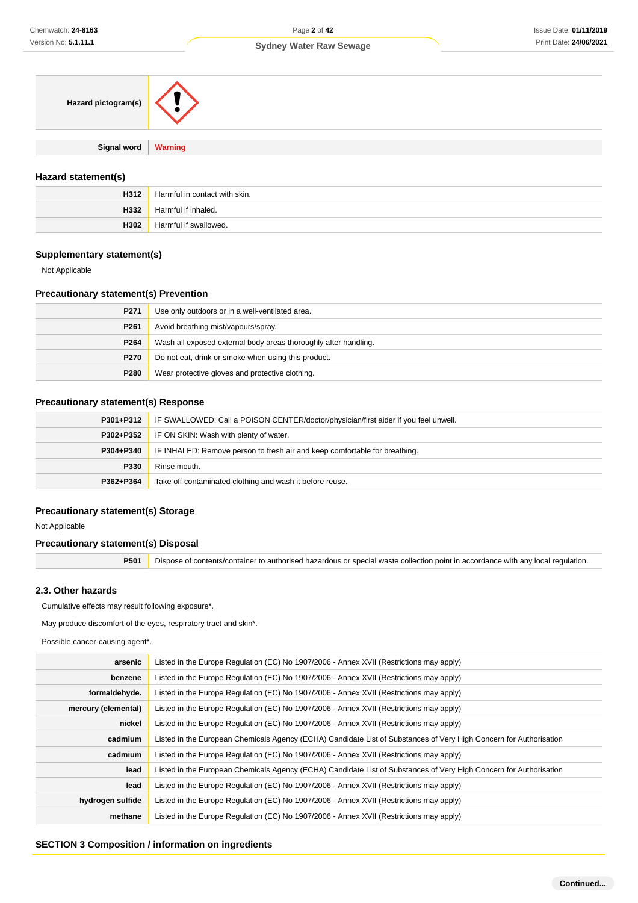|  |  |  | Sydney Water Raw Sewage |
|--|--|--|-------------------------|
|--|--|--|-------------------------|

| Hazard pictogram(s)   |  |
|-----------------------|--|
|                       |  |
| Signal word   Warning |  |
|                       |  |

#### **Hazard statement(s)**

| H312 | Harmful in contact with skin. |
|------|-------------------------------|
| H332 | Harmful if inhaled.           |
| H302 | Harmful if swallowed.         |

#### **Supplementary statement(s)**

Not Applicable

#### **Precautionary statement(s) Prevention**

| P271             | Use only outdoors or in a well-ventilated area.                 |  |  |
|------------------|-----------------------------------------------------------------|--|--|
| P <sub>261</sub> | Avoid breathing mist/vapours/spray.                             |  |  |
| P264             | Wash all exposed external body areas thoroughly after handling. |  |  |
| P270             | Do not eat, drink or smoke when using this product.             |  |  |
| P280             | Wear protective gloves and protective clothing.                 |  |  |

#### **Precautionary statement(s) Response**

| P301+P312 | IF SWALLOWED: Call a POISON CENTER/doctor/physician/first aider if you feel unwell. |  |  |  |
|-----------|-------------------------------------------------------------------------------------|--|--|--|
| P302+P352 | IF ON SKIN: Wash with plenty of water.                                              |  |  |  |
| P304+P340 | IF INHALED: Remove person to fresh air and keep comfortable for breathing.          |  |  |  |
| P330      | Rinse mouth.                                                                        |  |  |  |
| P362+P364 | Take off contaminated clothing and wash it before reuse.                            |  |  |  |

#### **Precautionary statement(s) Storage**

Not Applicable

#### **Precautionary statement(s) Disposal**

**P501** Dispose of contents/container to authorised hazardous or special waste collection point in accordance with any local regulation.

#### **2.3. Other hazards**

Cumulative effects may result following exposure\*.

May produce discomfort of the eyes, respiratory tract and skin\*.

Possible cancer-causing agent\*.

| arsenic             | Listed in the Europe Regulation (EC) No 1907/2006 - Annex XVII (Restrictions may apply)                            |  |  |  |  |  |
|---------------------|--------------------------------------------------------------------------------------------------------------------|--|--|--|--|--|
| benzene             | Listed in the Europe Regulation (EC) No 1907/2006 - Annex XVII (Restrictions may apply)                            |  |  |  |  |  |
| formaldehyde.       | Listed in the Europe Regulation (EC) No 1907/2006 - Annex XVII (Restrictions may apply)                            |  |  |  |  |  |
| mercury (elemental) | Listed in the Europe Regulation (EC) No 1907/2006 - Annex XVII (Restrictions may apply)                            |  |  |  |  |  |
| nickel              | Listed in the Europe Regulation (EC) No 1907/2006 - Annex XVII (Restrictions may apply)                            |  |  |  |  |  |
| cadmium             | Listed in the European Chemicals Agency (ECHA) Candidate List of Substances of Very High Concern for Authorisation |  |  |  |  |  |
| cadmium             | Listed in the Europe Regulation (EC) No 1907/2006 - Annex XVII (Restrictions may apply)                            |  |  |  |  |  |
| lead                | Listed in the European Chemicals Agency (ECHA) Candidate List of Substances of Very High Concern for Authorisation |  |  |  |  |  |
| lead                | Listed in the Europe Regulation (EC) No 1907/2006 - Annex XVII (Restrictions may apply)                            |  |  |  |  |  |
| hydrogen sulfide    | Listed in the Europe Regulation (EC) No 1907/2006 - Annex XVII (Restrictions may apply)                            |  |  |  |  |  |
| methane             | Listed in the Europe Regulation (EC) No 1907/2006 - Annex XVII (Restrictions may apply)                            |  |  |  |  |  |

#### **SECTION 3 Composition / information on ingredients**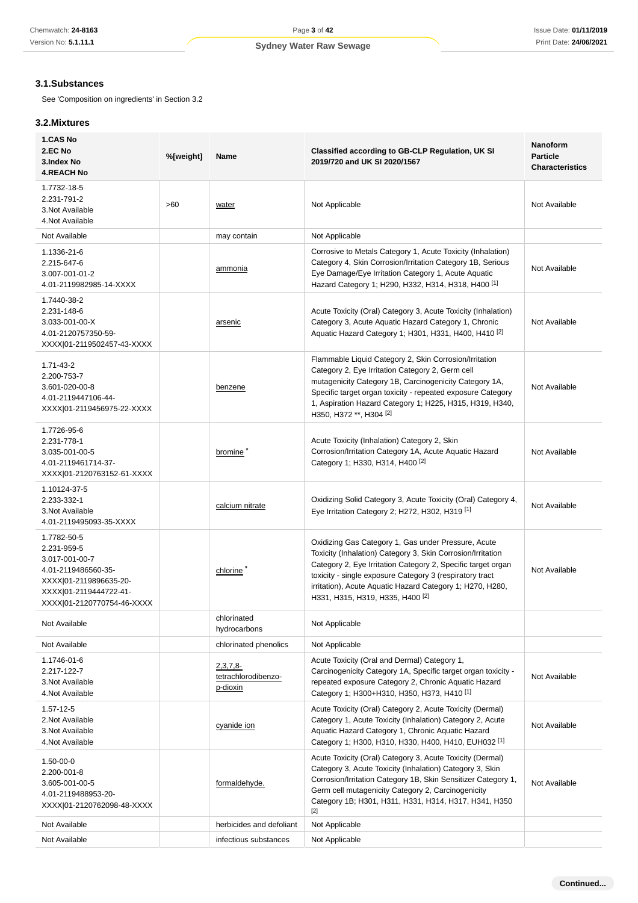### **3.1.Substances**

See 'Composition on ingredients' in Section 3.2

#### **3.2.Mixtures**

| 1.CAS No<br>2.EC No<br>3.Index No<br><b>4.REACH No</b>                                                                                                | %[weight] | Name                                           | Classified according to GB-CLP Regulation, UK SI<br>2019/720 and UK SI 2020/1567                                                                                                                                                                                                                                                                           | <b>Nanoform</b><br><b>Particle</b><br><b>Characteristics</b> |
|-------------------------------------------------------------------------------------------------------------------------------------------------------|-----------|------------------------------------------------|------------------------------------------------------------------------------------------------------------------------------------------------------------------------------------------------------------------------------------------------------------------------------------------------------------------------------------------------------------|--------------------------------------------------------------|
| 1.7732-18-5<br>2.231-791-2<br>3. Not Available<br>4. Not Available                                                                                    | >60       | water                                          | Not Applicable                                                                                                                                                                                                                                                                                                                                             | Not Available                                                |
| Not Available                                                                                                                                         |           | may contain                                    | Not Applicable                                                                                                                                                                                                                                                                                                                                             |                                                              |
| 1.1336-21-6<br>2.215-647-6<br>3.007-001-01-2<br>4.01-2119982985-14-XXXX                                                                               |           | ammonia                                        | Corrosive to Metals Category 1, Acute Toxicity (Inhalation)<br>Category 4, Skin Corrosion/Irritation Category 1B, Serious<br>Eye Damage/Eye Irritation Category 1, Acute Aquatic<br>Hazard Category 1; H290, H332, H314, H318, H400 <sup>[1]</sup>                                                                                                         | Not Available                                                |
| 1.7440-38-2<br>2.231-148-6<br>3.033-001-00-X<br>4.01-2120757350-59-<br>XXXX 01-2119502457-43-XXXX                                                     |           | arsenic                                        | Acute Toxicity (Oral) Category 3, Acute Toxicity (Inhalation)<br>Category 3, Acute Aquatic Hazard Category 1, Chronic<br>Aquatic Hazard Category 1; H301, H331, H400, H410 <sup>[2]</sup>                                                                                                                                                                  | Not Available                                                |
| $1.71 - 43 - 2$<br>2.200-753-7<br>3.601-020-00-8<br>4.01-2119447106-44-<br>XXXX 01-2119456975-22-XXXX                                                 |           | benzene                                        | Flammable Liquid Category 2, Skin Corrosion/Irritation<br>Category 2, Eye Irritation Category 2, Germ cell<br>mutagenicity Category 1B, Carcinogenicity Category 1A,<br>Specific target organ toxicity - repeated exposure Category<br>1, Aspiration Hazard Category 1; H225, H315, H319, H340,<br>H350, H372 **, H304 [2]                                 | Not Available                                                |
| 1.7726-95-6<br>2.231-778-1<br>3.035-001-00-5<br>4.01-2119461714-37-<br>XXXX 01-2120763152-61-XXXX                                                     |           | bromine <sup>2</sup>                           | Acute Toxicity (Inhalation) Category 2, Skin<br>Corrosion/Irritation Category 1A, Acute Aquatic Hazard<br>Category 1; H330, H314, H400 <sup>[2]</sup>                                                                                                                                                                                                      | Not Available                                                |
| 1.10124-37-5<br>2.233-332-1<br>3. Not Available<br>4.01-2119495093-35-XXXX                                                                            |           | calcium nitrate                                | Oxidizing Solid Category 3, Acute Toxicity (Oral) Category 4,<br>Eye Irritation Category 2; H272, H302, H319 <sup>[1]</sup>                                                                                                                                                                                                                                | Not Available                                                |
| 1.7782-50-5<br>2.231-959-5<br>3.017-001-00-7<br>4.01-2119486560-35-<br>XXXX 01-2119896635-20-<br>XXXX 01-2119444722-41-<br>XXXX 01-2120770754-46-XXXX |           | chlorine <sup>7</sup>                          | Oxidizing Gas Category 1, Gas under Pressure, Acute<br>Toxicity (Inhalation) Category 3, Skin Corrosion/Irritation<br>Category 2, Eye Irritation Category 2, Specific target organ<br>toxicity - single exposure Category 3 (respiratory tract<br>irritation), Acute Aquatic Hazard Category 1; H270, H280,<br>H331, H315, H319, H335, H400 <sup>[2]</sup> | Not Available                                                |
| Not Available                                                                                                                                         |           | chlorinated<br>hydrocarbons                    | Not Applicable                                                                                                                                                                                                                                                                                                                                             |                                                              |
| Not Available                                                                                                                                         |           | chlorinated phenolics                          | Not Applicable                                                                                                                                                                                                                                                                                                                                             |                                                              |
| 1.1746-01-6<br>2.217-122-7<br>3. Not Available<br>4.Not Available                                                                                     |           | $2,3,7,8$ -<br>tetrachlorodibenzo-<br>p-dioxin | Acute Toxicity (Oral and Dermal) Category 1,<br>Carcinogenicity Category 1A, Specific target organ toxicity -<br>repeated exposure Category 2, Chronic Aquatic Hazard<br>Category 1; H300+H310, H350, H373, H410 <sup>[1]</sup>                                                                                                                            | Not Available                                                |
| 1.57-12-5<br>2.Not Available<br>3. Not Available<br>4.Not Available                                                                                   |           | cyanide ion                                    | Acute Toxicity (Oral) Category 2, Acute Toxicity (Dermal)<br>Category 1, Acute Toxicity (Inhalation) Category 2, Acute<br>Aquatic Hazard Category 1, Chronic Aquatic Hazard<br>Category 1; H300, H310, H330, H400, H410, EUH032 <sup>[1]</sup>                                                                                                             | Not Available                                                |
| $1.50 - 00 - 0$<br>2.200-001-8<br>3.605-001-00-5<br>4.01-2119488953-20-<br>XXXX 01-2120762098-48-XXXX                                                 |           | formaldehyde.                                  | Acute Toxicity (Oral) Category 3, Acute Toxicity (Dermal)<br>Category 3, Acute Toxicity (Inhalation) Category 3, Skin<br>Corrosion/Irritation Category 1B, Skin Sensitizer Category 1,<br>Germ cell mutagenicity Category 2, Carcinogenicity<br>Category 1B; H301, H311, H331, H314, H317, H341, H350<br>$[2]$                                             | Not Available                                                |
| Not Available                                                                                                                                         |           | herbicides and defoliant                       | Not Applicable                                                                                                                                                                                                                                                                                                                                             |                                                              |
| Not Available                                                                                                                                         |           | infectious substances                          | Not Applicable                                                                                                                                                                                                                                                                                                                                             |                                                              |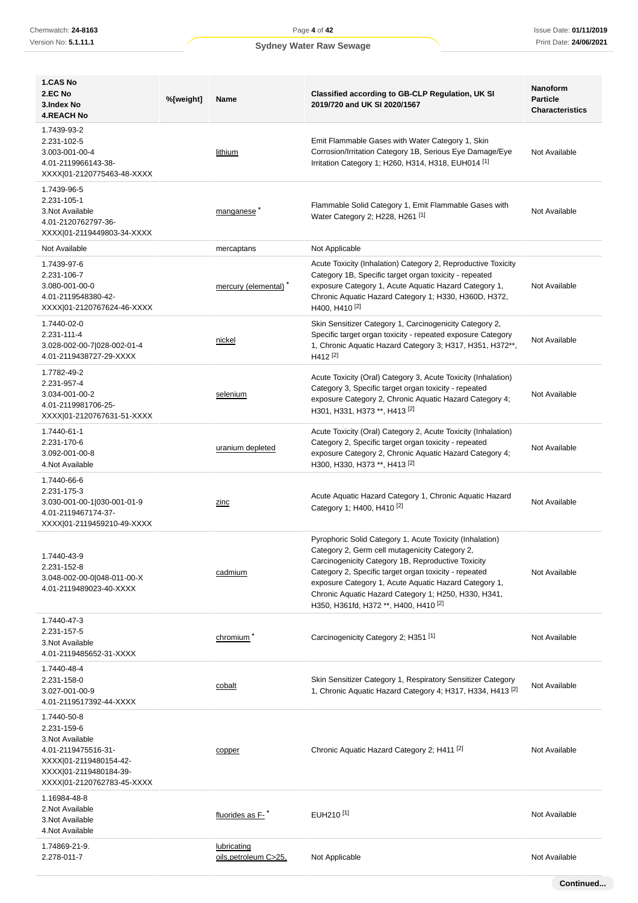| Sydney Water Raw Sewage |  |  |  |
|-------------------------|--|--|--|
|-------------------------|--|--|--|

| 1.CAS No                                                                                                                                                |           |                                      |                                                                                                                                                                                                                                                                                                                                                                                     | Nanoform                                  |
|---------------------------------------------------------------------------------------------------------------------------------------------------------|-----------|--------------------------------------|-------------------------------------------------------------------------------------------------------------------------------------------------------------------------------------------------------------------------------------------------------------------------------------------------------------------------------------------------------------------------------------|-------------------------------------------|
| 2.EC No<br>3.Index No<br><b>4.REACH No</b>                                                                                                              | %[weight] | Name                                 | <b>Classified according to GB-CLP Regulation, UK SI</b><br>2019/720 and UK SI 2020/1567                                                                                                                                                                                                                                                                                             | <b>Particle</b><br><b>Characteristics</b> |
| 1.7439-93-2<br>2.231-102-5<br>3.003-001-00-4<br>4.01-2119966143-38-<br>XXXX 01-2120775463-48-XXXX                                                       |           | lithium                              | Emit Flammable Gases with Water Category 1, Skin<br>Corrosion/Irritation Category 1B, Serious Eye Damage/Eye<br>Irritation Category 1; H260, H314, H318, EUH014 <sup>[1]</sup>                                                                                                                                                                                                      | Not Available                             |
| 1.7439-96-5<br>2.231-105-1<br>3. Not Available<br>4.01-2120762797-36-<br>XXXX 01-2119449803-34-XXXX                                                     |           | manganese                            | Flammable Solid Category 1, Emit Flammable Gases with<br>Water Category 2; H228, H261 <sup>[1]</sup>                                                                                                                                                                                                                                                                                | Not Available                             |
| Not Available                                                                                                                                           |           | mercaptans                           | Not Applicable                                                                                                                                                                                                                                                                                                                                                                      |                                           |
| 1.7439-97-6<br>2.231-106-7<br>3.080-001-00-0<br>4.01-2119548380-42-<br>XXXX 01-2120767624-46-XXXX                                                       |           | mercury (elemental)                  | Acute Toxicity (Inhalation) Category 2, Reproductive Toxicity<br>Category 1B, Specific target organ toxicity - repeated<br>exposure Category 1, Acute Aquatic Hazard Category 1,<br>Chronic Aquatic Hazard Category 1; H330, H360D, H372,<br>H400, H410 <sup>[2]</sup>                                                                                                              | Not Available                             |
| 1.7440-02-0<br>2.231-111-4<br>3.028-002-00-7 028-002-01-4<br>4.01-2119438727-29-XXXX                                                                    |           | nickel                               | Skin Sensitizer Category 1, Carcinogenicity Category 2,<br>Specific target organ toxicity - repeated exposure Category<br>1, Chronic Aquatic Hazard Category 3; H317, H351, H372**,<br>H412 <sup>[2]</sup>                                                                                                                                                                          | Not Available                             |
| 1.7782-49-2<br>2.231-957-4<br>3.034-001-00-2<br>4.01-2119981706-25-<br>XXXX 01-2120767631-51-XXXX                                                       |           | selenium                             | Acute Toxicity (Oral) Category 3, Acute Toxicity (Inhalation)<br>Category 3, Specific target organ toxicity - repeated<br>exposure Category 2, Chronic Aquatic Hazard Category 4;<br>H301, H331, H373 **, H413 <sup>[2]</sup>                                                                                                                                                       | Not Available                             |
| 1.7440-61-1<br>2.231-170-6<br>3.092-001-00-8<br>4. Not Available                                                                                        |           | uranium depleted                     | Acute Toxicity (Oral) Category 2, Acute Toxicity (Inhalation)<br>Category 2, Specific target organ toxicity - repeated<br>exposure Category 2, Chronic Aquatic Hazard Category 4;<br>H300, H330, H373 **, H413 [2]                                                                                                                                                                  | Not Available                             |
| 1.7440-66-6<br>2.231-175-3<br>3.030-001-00-1 030-001-01-9<br>4.01-2119467174-37-<br>XXXX 01-2119459210-49-XXXX                                          |           | zinc                                 | Acute Aquatic Hazard Category 1, Chronic Aquatic Hazard<br>Category 1; H400, H410 <sup>[2]</sup>                                                                                                                                                                                                                                                                                    | Not Available                             |
| 1.7440-43-9<br>2.231-152-8<br>3.048-002-00-0 048-011-00-X<br>4.01-2119489023-40-XXXX                                                                    |           | cadmium                              | Pyrophoric Solid Category 1, Acute Toxicity (Inhalation)<br>Category 2, Germ cell mutagenicity Category 2,<br>Carcinogenicity Category 1B, Reproductive Toxicity<br>Category 2, Specific target organ toxicity - repeated<br>exposure Category 1, Acute Aquatic Hazard Category 1,<br>Chronic Aquatic Hazard Category 1; H250, H330, H341,<br>H350, H361fd, H372 **, H400, H410 [2] | Not Available                             |
| 1.7440-47-3<br>2.231-157-5<br>3.Not Available<br>4.01-2119485652-31-XXXX                                                                                |           | chromium <sup>*</sup>                | Carcinogenicity Category 2; H351 <sup>[1]</sup>                                                                                                                                                                                                                                                                                                                                     | Not Available                             |
| 1.7440-48-4<br>2.231-158-0<br>3.027-001-00-9<br>4.01-2119517392-44-XXXX                                                                                 |           | cobalt                               | Skin Sensitizer Category 1, Respiratory Sensitizer Category<br>1, Chronic Aquatic Hazard Category 4; H317, H334, H413 <sup>[2]</sup>                                                                                                                                                                                                                                                | Not Available                             |
| 1.7440-50-8<br>2.231-159-6<br>3. Not Available<br>4.01-2119475516-31-<br>XXXX 01-2119480154-42-<br>XXXX 01-2119480184-39-<br>XXXX 01-2120762783-45-XXXX |           | copper                               | Chronic Aquatic Hazard Category 2; H411 <sup>[2]</sup>                                                                                                                                                                                                                                                                                                                              | Not Available                             |
| 1.16984-48-8<br>2. Not Available<br>3. Not Available<br>4. Not Available                                                                                |           | fluorides as F-                      | EUH210 <sup>[1]</sup>                                                                                                                                                                                                                                                                                                                                                               | Not Available                             |
| 1.74869-21-9.<br>2.278-011-7                                                                                                                            |           | lubricating<br>oils, petroleum C>25, | Not Applicable                                                                                                                                                                                                                                                                                                                                                                      | Not Available                             |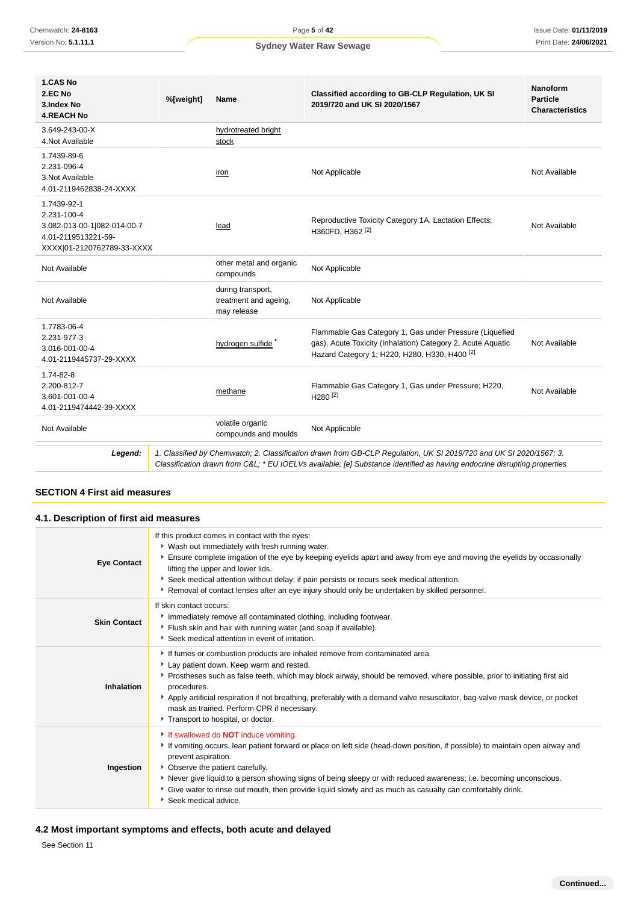| 1.CAS No<br>2.EC No<br>3.Index No<br><b>4.REACH No</b>                                                         | %[weight] | Name                                                      | Classified according to GB-CLP Regulation, UK SI<br>2019/720 and UK SI 2020/1567                                                                                                                                                              | <b>Nanoform</b><br><b>Particle</b><br><b>Characteristics</b> |
|----------------------------------------------------------------------------------------------------------------|-----------|-----------------------------------------------------------|-----------------------------------------------------------------------------------------------------------------------------------------------------------------------------------------------------------------------------------------------|--------------------------------------------------------------|
| 3.649-243-00-X<br>4. Not Available                                                                             |           | hydrotreated bright<br>stock                              |                                                                                                                                                                                                                                               |                                                              |
| 1.7439-89-6<br>2.231-096-4<br>3. Not Available<br>4.01-2119462838-24-XXXX                                      |           | iron                                                      | Not Applicable                                                                                                                                                                                                                                | Not Available                                                |
| 1.7439-92-1<br>2.231-100-4<br>3.082-013-00-1 082-014-00-7<br>4.01-2119513221-59-<br>XXXX 01-2120762789-33-XXXX |           | lead                                                      | Reproductive Toxicity Category 1A, Lactation Effects;<br>H360FD, H362 <sup>[2]</sup>                                                                                                                                                          | Not Available                                                |
| Not Available                                                                                                  |           | other metal and organic<br>compounds                      | Not Applicable                                                                                                                                                                                                                                |                                                              |
| Not Available                                                                                                  |           | during transport,<br>treatment and ageing,<br>may release | Not Applicable                                                                                                                                                                                                                                |                                                              |
| 1.7783-06-4<br>2.231-977-3<br>3.016-001-00-4<br>4.01-2119445737-29-XXXX                                        |           | hydrogen sulfide *                                        | Flammable Gas Category 1, Gas under Pressure (Liquefied<br>gas), Acute Toxicity (Inhalation) Category 2, Acute Aquatic<br>Hazard Category 1; H220, H280, H330, H400 <sup>[2]</sup>                                                            | Not Available                                                |
| 1.74-82-8<br>2.200-812-7<br>3.601-001-00-4<br>4.01-2119474442-39-XXXX                                          |           | methane                                                   | Flammable Gas Category 1, Gas under Pressure; H220,<br>$H280^{[2]}$                                                                                                                                                                           | Not Available                                                |
| Not Available                                                                                                  |           | volatile organic<br>compounds and moulds                  | Not Applicable                                                                                                                                                                                                                                |                                                              |
| Legend:                                                                                                        |           |                                                           | 1. Classified by Chemwatch; 2. Classification drawn from GB-CLP Regulation, UK SI 2019/720 and UK SI 2020/1567; 3.<br>Classification drawn from C&L * EU IOELVs available; [e] Substance identified as having endocrine disrupting properties |                                                              |

### **SECTION 4 First aid measures**

| 4.1. Description of first aid measures |                                                                                                                                                                                                                                                                                                                                                                                                                                                                                                 |
|----------------------------------------|-------------------------------------------------------------------------------------------------------------------------------------------------------------------------------------------------------------------------------------------------------------------------------------------------------------------------------------------------------------------------------------------------------------------------------------------------------------------------------------------------|
| <b>Eye Contact</b>                     | If this product comes in contact with the eyes:<br>* Wash out immediately with fresh running water.<br>Ensure complete irrigation of the eye by keeping eyelids apart and away from eye and moving the eyelids by occasionally<br>lifting the upper and lower lids.<br>Seek medical attention without delay; if pain persists or recurs seek medical attention.<br>▶ Removal of contact lenses after an eye injury should only be undertaken by skilled personnel.                              |
| <b>Skin Contact</b>                    | If skin contact occurs:<br>Immediately remove all contaminated clothing, including footwear.<br>Flush skin and hair with running water (and soap if available).<br>Seek medical attention in event of irritation.                                                                                                                                                                                                                                                                               |
| Inhalation                             | If fumes or combustion products are inhaled remove from contaminated area.<br>Lay patient down. Keep warm and rested.<br>Prostheses such as false teeth, which may block airway, should be removed, where possible, prior to initiating first aid<br>procedures.<br>Apply artificial respiration if not breathing, preferably with a demand valve resuscitator, bag-valve mask device, or pocket<br>mask as trained. Perform CPR if necessary.<br>Transport to hospital, or doctor.             |
| Ingestion                              | If swallowed do <b>NOT</b> induce vomiting.<br>If vomiting occurs, lean patient forward or place on left side (head-down position, if possible) to maintain open airway and<br>prevent aspiration.<br>• Observe the patient carefully.<br>Never give liquid to a person showing signs of being sleepy or with reduced awareness; i.e. becoming unconscious.<br>Give water to rinse out mouth, then provide liquid slowly and as much as casualty can comfortably drink.<br>Seek medical advice. |

### **4.2 Most important symptoms and effects, both acute and delayed**

See Section 11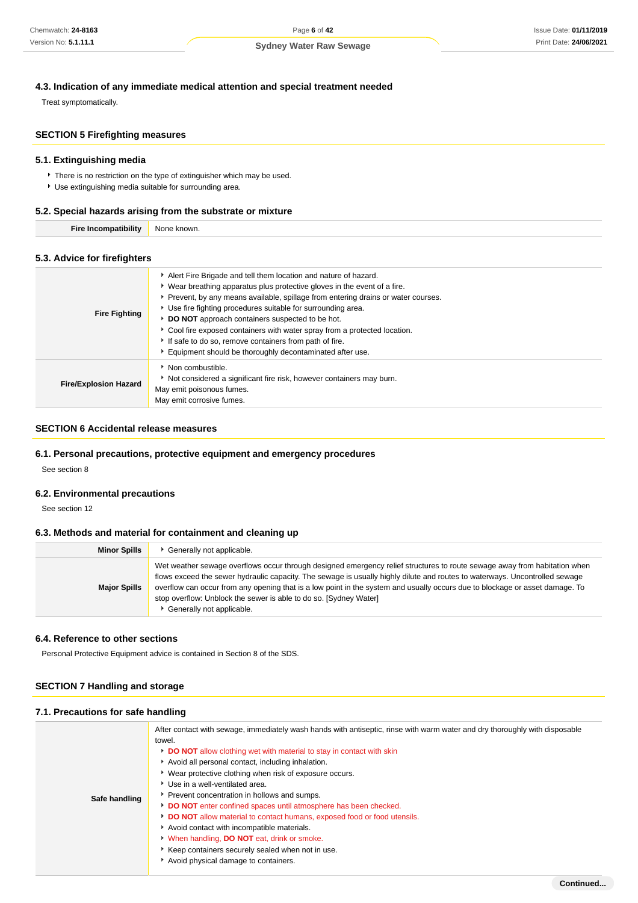## **4.3. Indication of any immediate medical attention and special treatment needed**

Treat symptomatically.

### **SECTION 5 Firefighting measures**

### **5.1. Extinguishing media**

**There is no restriction on the type of extinguisher which may be used.** 

Use extinguishing media suitable for surrounding area.

### **5.2. Special hazards arising from the substrate or mixture**

| NI |
|----|
|----|

### **5.3. Advice for firefighters**

| <b>Fire Fighting</b>         | Alert Fire Brigade and tell them location and nature of hazard.<br>• Wear breathing apparatus plus protective gloves in the event of a fire.<br>▶ Prevent, by any means available, spillage from entering drains or water courses.<br>Use fire fighting procedures suitable for surrounding area.<br>DO NOT approach containers suspected to be hot.<br>Cool fire exposed containers with water spray from a protected location.<br>If safe to do so, remove containers from path of fire.<br>Equipment should be thoroughly decontaminated after use. |
|------------------------------|--------------------------------------------------------------------------------------------------------------------------------------------------------------------------------------------------------------------------------------------------------------------------------------------------------------------------------------------------------------------------------------------------------------------------------------------------------------------------------------------------------------------------------------------------------|
| <b>Fire/Explosion Hazard</b> | Non combustible.<br>Not considered a significant fire risk, however containers may burn.<br>May emit poisonous fumes.<br>May emit corrosive fumes.                                                                                                                                                                                                                                                                                                                                                                                                     |

### **SECTION 6 Accidental release measures**

#### **6.1. Personal precautions, protective equipment and emergency procedures**

See section 8

#### **6.2. Environmental precautions**

See section 12

#### **6.3. Methods and material for containment and cleaning up**

| <b>Minor Spills</b> | Generally not applicable.                                                                                                                                                                                                                                                                                                                                                                                                                                                                  |
|---------------------|--------------------------------------------------------------------------------------------------------------------------------------------------------------------------------------------------------------------------------------------------------------------------------------------------------------------------------------------------------------------------------------------------------------------------------------------------------------------------------------------|
| <b>Major Spills</b> | Wet weather sewage overflows occur through designed emergency relief structures to route sewage away from habitation when<br>flows exceed the sewer hydraulic capacity. The sewage is usually highly dilute and routes to waterways. Uncontrolled sewage<br>overflow can occur from any opening that is a low point in the system and usually occurs due to blockage or asset damage. To<br>stop overflow: Unblock the sewer is able to do so. [Sydney Water]<br>Generally not applicable. |

#### **6.4. Reference to other sections**

Personal Protective Equipment advice is contained in Section 8 of the SDS.

### **SECTION 7 Handling and storage**

#### **7.1. Precautions for safe handling**

|               | After contact with sewage, immediately wash hands with antiseptic, rinse with warm water and dry thoroughly with disposable<br>towel. |
|---------------|---------------------------------------------------------------------------------------------------------------------------------------|
|               | <b>DO NOT</b> allow clothing wet with material to stay in contact with skin                                                           |
|               | Avoid all personal contact, including inhalation.                                                                                     |
|               | ▶ Wear protective clothing when risk of exposure occurs.                                                                              |
|               | ▶ Use in a well-ventilated area.                                                                                                      |
| Safe handling | Prevent concentration in hollows and sumps.                                                                                           |
|               | DO NOT enter confined spaces until atmosphere has been checked.                                                                       |
|               | DO NOT allow material to contact humans, exposed food or food utensils.                                                               |
|               | Avoid contact with incompatible materials.                                                                                            |
|               | V When handling, DO NOT eat, drink or smoke.                                                                                          |
|               | Keep containers securely sealed when not in use.                                                                                      |
|               | Avoid physical damage to containers.                                                                                                  |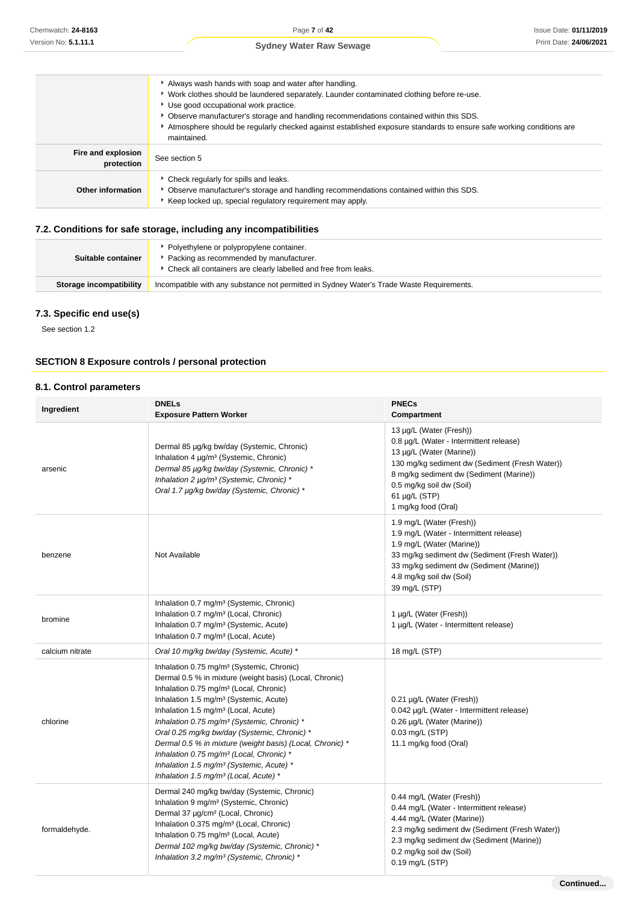|                                  | Always wash hands with soap and water after handling.<br>▶ Work clothes should be laundered separately. Launder contaminated clothing before re-use.<br>▶ Use good occupational work practice.<br>▶ Observe manufacturer's storage and handling recommendations contained within this SDS.<br>Atmosphere should be requiarly checked against established exposure standards to ensure safe working conditions are<br>maintained. |
|----------------------------------|----------------------------------------------------------------------------------------------------------------------------------------------------------------------------------------------------------------------------------------------------------------------------------------------------------------------------------------------------------------------------------------------------------------------------------|
| Fire and explosion<br>protection | See section 5                                                                                                                                                                                                                                                                                                                                                                                                                    |
| Other information                | • Check regularly for spills and leaks.<br>▶ Observe manufacturer's storage and handling recommendations contained within this SDS.<br>Keep locked up, special regulatory requirement may apply.                                                                                                                                                                                                                                 |

### **7.2. Conditions for safe storage, including any incompatibilities**

| Suitable container      | • Polyethylene or polypropylene container.<br>Packing as recommended by manufacturer.<br>Check all containers are clearly labelled and free from leaks. |
|-------------------------|---------------------------------------------------------------------------------------------------------------------------------------------------------|
| Storage incompatibility | Incompatible with any substance not permitted in Sydney Water's Trade Waste Requirements.                                                               |
|                         |                                                                                                                                                         |

### **7.3. Specific end use(s)**

See section 1.2

### **SECTION 8 Exposure controls / personal protection**

#### **8.1. Control parameters**

| Ingredient      | <b>DNELs</b><br><b>Exposure Pattern Worker</b>                                                                                                                                                                                                                                                                                                                                                                                                                                                                                                                                                                               | <b>PNECs</b><br>Compartment                                                                                                                                                                                                                                     |
|-----------------|------------------------------------------------------------------------------------------------------------------------------------------------------------------------------------------------------------------------------------------------------------------------------------------------------------------------------------------------------------------------------------------------------------------------------------------------------------------------------------------------------------------------------------------------------------------------------------------------------------------------------|-----------------------------------------------------------------------------------------------------------------------------------------------------------------------------------------------------------------------------------------------------------------|
| arsenic         | Dermal 85 µg/kg bw/day (Systemic, Chronic)<br>Inhalation 4 µg/m <sup>3</sup> (Systemic, Chronic)<br>Dermal 85 µg/kg bw/day (Systemic, Chronic) *<br>Inhalation 2 µg/m <sup>3</sup> (Systemic, Chronic) *<br>Oral 1.7 µg/kg bw/day (Systemic, Chronic) *                                                                                                                                                                                                                                                                                                                                                                      | 13 µg/L (Water (Fresh))<br>0.8 µg/L (Water - Intermittent release)<br>13 µg/L (Water (Marine))<br>130 mg/kg sediment dw (Sediment (Fresh Water))<br>8 mg/kg sediment dw (Sediment (Marine))<br>0.5 mg/kg soil dw (Soil)<br>61 µg/L (STP)<br>1 mg/kg food (Oral) |
| benzene         | Not Available                                                                                                                                                                                                                                                                                                                                                                                                                                                                                                                                                                                                                | 1.9 mg/L (Water (Fresh))<br>1.9 mg/L (Water - Intermittent release)<br>1.9 mg/L (Water (Marine))<br>33 mg/kg sediment dw (Sediment (Fresh Water))<br>33 mg/kg sediment dw (Sediment (Marine))<br>4.8 mg/kg soil dw (Soil)<br>39 mg/L (STP)                      |
| bromine         | Inhalation 0.7 mg/m <sup>3</sup> (Systemic, Chronic)<br>Inhalation 0.7 mg/m <sup>3</sup> (Local, Chronic)<br>Inhalation 0.7 mg/m <sup>3</sup> (Systemic, Acute)<br>Inhalation 0.7 mg/m <sup>3</sup> (Local, Acute)                                                                                                                                                                                                                                                                                                                                                                                                           | 1 µg/L (Water (Fresh))<br>1 µg/L (Water - Intermittent release)                                                                                                                                                                                                 |
| calcium nitrate | Oral 10 mg/kg bw/day (Systemic, Acute) *                                                                                                                                                                                                                                                                                                                                                                                                                                                                                                                                                                                     | 18 mg/L (STP)                                                                                                                                                                                                                                                   |
| chlorine        | Inhalation 0.75 mg/m <sup>3</sup> (Systemic, Chronic)<br>Dermal 0.5 % in mixture (weight basis) (Local, Chronic)<br>Inhalation 0.75 mg/m <sup>3</sup> (Local, Chronic)<br>Inhalation 1.5 mg/m <sup>3</sup> (Systemic, Acute)<br>Inhalation 1.5 mg/m <sup>3</sup> (Local, Acute)<br>Inhalation 0.75 mg/m <sup>3</sup> (Systemic, Chronic) *<br>Oral 0.25 mg/kg bw/day (Systemic, Chronic) *<br>Dermal 0.5 % in mixture (weight basis) (Local, Chronic) *<br>Inhalation 0.75 mg/m <sup>3</sup> (Local, Chronic) *<br>Inhalation 1.5 mg/m <sup>3</sup> (Systemic, Acute) *<br>Inhalation 1.5 mg/m <sup>3</sup> (Local, Acute) * | 0.21 µg/L (Water (Fresh))<br>0.042 µg/L (Water - Intermittent release)<br>0.26 µg/L (Water (Marine))<br>0.03 mg/L (STP)<br>11.1 mg/kg food (Oral)                                                                                                               |
| formaldehyde.   | Dermal 240 mg/kg bw/day (Systemic, Chronic)<br>Inhalation 9 mg/m <sup>3</sup> (Systemic, Chronic)<br>Dermal 37 µg/cm <sup>2</sup> (Local, Chronic)<br>Inhalation 0.375 mg/m <sup>3</sup> (Local, Chronic)<br>Inhalation 0.75 mg/m <sup>3</sup> (Local, Acute)<br>Dermal 102 mg/kg bw/day (Systemic, Chronic) *<br>Inhalation 3.2 mg/m <sup>3</sup> (Systemic, Chronic) *                                                                                                                                                                                                                                                     | 0.44 mg/L (Water (Fresh))<br>0.44 mg/L (Water - Intermittent release)<br>4.44 mg/L (Water (Marine))<br>2.3 mg/kg sediment dw (Sediment (Fresh Water))<br>2.3 mg/kg sediment dw (Sediment (Marine))<br>0.2 mg/kg soil dw (Soil)<br>0.19 mg/L (STP)               |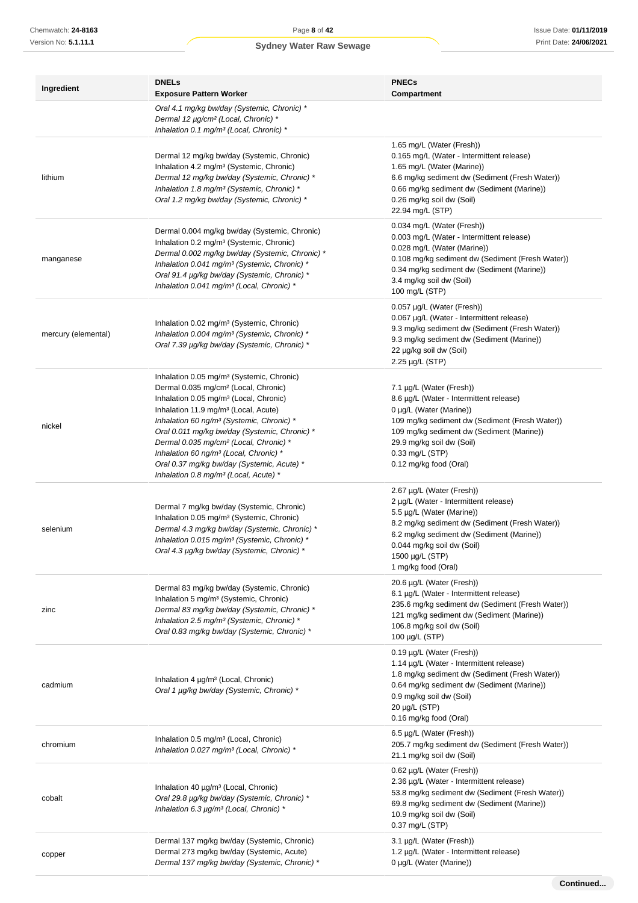| Ingredient          | <b>DNELs</b><br><b>Exposure Pattern Worker</b>                                                                                                                                                                                                                                                                                                                                                                                                                                                                                               | <b>PNECs</b><br>Compartment                                                                                                                                                                                                                                             |
|---------------------|----------------------------------------------------------------------------------------------------------------------------------------------------------------------------------------------------------------------------------------------------------------------------------------------------------------------------------------------------------------------------------------------------------------------------------------------------------------------------------------------------------------------------------------------|-------------------------------------------------------------------------------------------------------------------------------------------------------------------------------------------------------------------------------------------------------------------------|
|                     | Oral 4.1 mg/kg bw/day (Systemic, Chronic) *<br>Dermal 12 µg/cm <sup>2</sup> (Local, Chronic) *<br>Inhalation 0.1 mg/m <sup>3</sup> (Local, Chronic) *                                                                                                                                                                                                                                                                                                                                                                                        |                                                                                                                                                                                                                                                                         |
| lithium             | Dermal 12 mg/kg bw/day (Systemic, Chronic)<br>Inhalation 4.2 mg/m <sup>3</sup> (Systemic, Chronic)<br>Dermal 12 mg/kg bw/day (Systemic, Chronic) *<br>Inhalation 1.8 mg/m <sup>3</sup> (Systemic, Chronic) *<br>Oral 1.2 mg/kg bw/day (Systemic, Chronic) *                                                                                                                                                                                                                                                                                  | 1.65 mg/L (Water (Fresh))<br>0.165 mg/L (Water - Intermittent release)<br>1.65 mg/L (Water (Marine))<br>6.6 mg/kg sediment dw (Sediment (Fresh Water))<br>0.66 mg/kg sediment dw (Sediment (Marine))<br>0.26 mg/kg soil dw (Soil)<br>22.94 mg/L (STP)                   |
| manganese           | Dermal 0.004 mg/kg bw/day (Systemic, Chronic)<br>Inhalation 0.2 mg/m <sup>3</sup> (Systemic, Chronic)<br>Dermal 0.002 mg/kg bw/day (Systemic, Chronic) *<br>Inhalation 0.041 mg/m <sup>3</sup> (Systemic, Chronic) *<br>Oral 91.4 µg/kg bw/day (Systemic, Chronic) *<br>Inhalation 0.041 mg/m <sup>3</sup> (Local, Chronic) *                                                                                                                                                                                                                | 0.034 mg/L (Water (Fresh))<br>0.003 mg/L (Water - Intermittent release)<br>0.028 mg/L (Water (Marine))<br>0.108 mg/kg sediment dw (Sediment (Fresh Water))<br>0.34 mg/kg sediment dw (Sediment (Marine))<br>3.4 mg/kg soil dw (Soil)<br>100 mg/L (STP)                  |
| mercury (elemental) | Inhalation 0.02 mg/m <sup>3</sup> (Systemic, Chronic)<br>Inhalation 0.004 mg/m <sup>3</sup> (Systemic, Chronic) *<br>Oral 7.39 µg/kg bw/day (Systemic, Chronic) *                                                                                                                                                                                                                                                                                                                                                                            | 0.057 µg/L (Water (Fresh))<br>0.067 µg/L (Water - Intermittent release)<br>9.3 mg/kg sediment dw (Sediment (Fresh Water))<br>9.3 mg/kg sediment dw (Sediment (Marine))<br>22 µg/kg soil dw (Soil)<br>2.25 µg/L (STP)                                                    |
| nickel              | Inhalation 0.05 mg/m <sup>3</sup> (Systemic, Chronic)<br>Dermal 0.035 mg/cm <sup>2</sup> (Local, Chronic)<br>Inhalation 0.05 mg/m <sup>3</sup> (Local, Chronic)<br>Inhalation 11.9 mg/m <sup>3</sup> (Local, Acute)<br>Inhalation 60 ng/m <sup>3</sup> (Systemic, Chronic) *<br>Oral 0.011 mg/kg bw/day (Systemic, Chronic) *<br>Dermal 0.035 mg/cm <sup>2</sup> (Local, Chronic) *<br>Inhalation 60 ng/m <sup>3</sup> (Local, Chronic) *<br>Oral 0.37 mg/kg bw/day (Systemic, Acute) *<br>Inhalation 0.8 mg/m <sup>3</sup> (Local, Acute) * | 7.1 µg/L (Water (Fresh))<br>8.6 µg/L (Water - Intermittent release)<br>0 µg/L (Water (Marine))<br>109 mg/kg sediment dw (Sediment (Fresh Water))<br>109 mg/kg sediment dw (Sediment (Marine))<br>29.9 mg/kg soil dw (Soil)<br>0.33 mg/L (STP)<br>0.12 mg/kg food (Oral) |
| selenium            | Dermal 7 mg/kg bw/day (Systemic, Chronic)<br>Inhalation 0.05 mg/m <sup>3</sup> (Systemic, Chronic)<br>Dermal 4.3 mg/kg bw/day (Systemic, Chronic) *<br>Inhalation 0.015 mg/m <sup>3</sup> (Systemic, Chronic) *<br>Oral 4.3 µg/kg bw/day (Systemic, Chronic) *                                                                                                                                                                                                                                                                               | 2.67 µg/L (Water (Fresh))<br>2 µg/L (Water - Intermittent release)<br>5.5 µg/L (Water (Marine))<br>8.2 mg/kg sediment dw (Sediment (Fresh Water))<br>6.2 mg/kg sediment dw (Sediment (Marine))<br>0.044 mg/kg soil dw (Soil)<br>1500 µg/L (STP)<br>1 mg/kg food (Oral)  |
| zinc                | Dermal 83 mg/kg bw/day (Systemic, Chronic)<br>Inhalation 5 mg/m <sup>3</sup> (Systemic, Chronic)<br>Dermal 83 mg/kg bw/day (Systemic, Chronic) *<br>Inhalation 2.5 mg/m <sup>3</sup> (Systemic, Chronic) *<br>Oral 0.83 mg/kg bw/day (Systemic, Chronic) *                                                                                                                                                                                                                                                                                   | 20.6 µg/L (Water (Fresh))<br>6.1 µg/L (Water - Intermittent release)<br>235.6 mg/kg sediment dw (Sediment (Fresh Water))<br>121 mg/kg sediment dw (Sediment (Marine))<br>106.8 mg/kg soil dw (Soil)<br>100 µg/L (STP)                                                   |
| cadmium             | Inhalation 4 µg/m <sup>3</sup> (Local, Chronic)<br>Oral 1 µg/kg bw/day (Systemic, Chronic) *                                                                                                                                                                                                                                                                                                                                                                                                                                                 | 0.19 µg/L (Water (Fresh))<br>1.14 µg/L (Water - Intermittent release)<br>1.8 mg/kg sediment dw (Sediment (Fresh Water))<br>0.64 mg/kg sediment dw (Sediment (Marine))<br>0.9 mg/kg soil dw (Soil)<br>20 µg/L (STP)<br>0.16 mg/kg food (Oral)                            |
| chromium            | Inhalation 0.5 mg/m <sup>3</sup> (Local, Chronic)<br>Inhalation 0.027 mg/m <sup>3</sup> (Local, Chronic) *                                                                                                                                                                                                                                                                                                                                                                                                                                   | 6.5 µg/L (Water (Fresh))<br>205.7 mg/kg sediment dw (Sediment (Fresh Water))<br>21.1 mg/kg soil dw (Soil)                                                                                                                                                               |
| cobalt              | Inhalation 40 µg/m <sup>3</sup> (Local, Chronic)<br>Oral 29.8 µg/kg bw/day (Systemic, Chronic) *<br>Inhalation 6.3 µg/m <sup>3</sup> (Local, Chronic) *                                                                                                                                                                                                                                                                                                                                                                                      | 0.62 µg/L (Water (Fresh))<br>2.36 µg/L (Water - Intermittent release)<br>53.8 mg/kg sediment dw (Sediment (Fresh Water))<br>69.8 mg/kg sediment dw (Sediment (Marine))<br>10.9 mg/kg soil dw (Soil)<br>0.37 mg/L (STP)                                                  |
| copper              | Dermal 137 mg/kg bw/day (Systemic, Chronic)<br>Dermal 273 mg/kg bw/day (Systemic, Acute)<br>Dermal 137 mg/kg bw/day (Systemic, Chronic) *                                                                                                                                                                                                                                                                                                                                                                                                    | 3.1 µg/L (Water (Fresh))<br>1.2 µg/L (Water - Intermittent release)<br>0 µg/L (Water (Marine))                                                                                                                                                                          |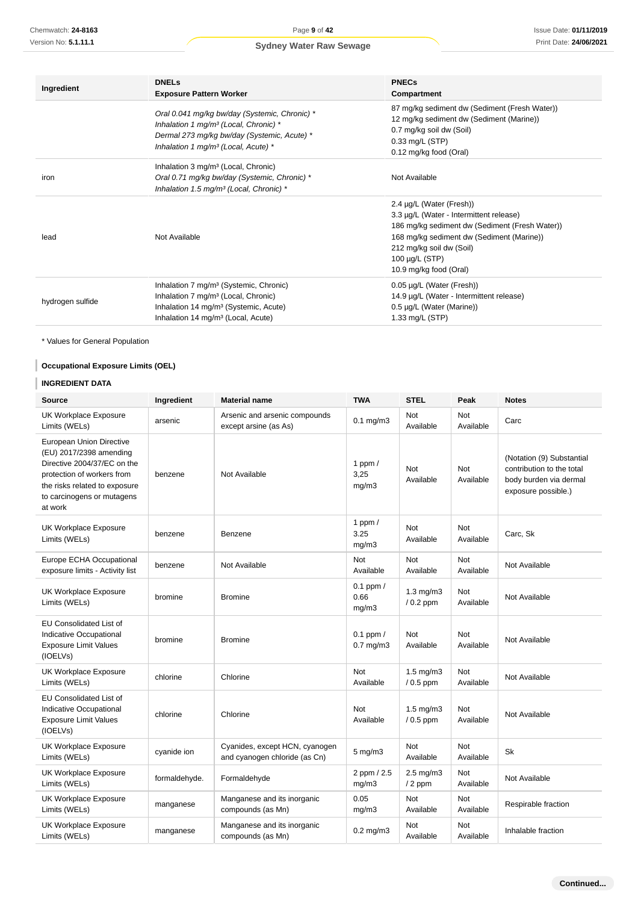| Ingredient       | <b>DNELs</b>                                                                                                                                                                                                 | <b>PNECs</b>                                                                                                                                                                                                                                    |
|------------------|--------------------------------------------------------------------------------------------------------------------------------------------------------------------------------------------------------------|-------------------------------------------------------------------------------------------------------------------------------------------------------------------------------------------------------------------------------------------------|
|                  | <b>Exposure Pattern Worker</b>                                                                                                                                                                               | Compartment                                                                                                                                                                                                                                     |
|                  | Oral 0.041 mg/kg bw/day (Systemic, Chronic) *<br>Inhalation 1 mg/m <sup>3</sup> (Local, Chronic) *                                                                                                           | 87 mg/kg sediment dw (Sediment (Fresh Water))<br>12 mg/kg sediment dw (Sediment (Marine))                                                                                                                                                       |
|                  | Dermal 273 mg/kg bw/day (Systemic, Acute) *<br>Inhalation 1 mg/m <sup>3</sup> (Local, Acute) *                                                                                                               | 0.7 mg/kg soil dw (Soil)<br>0.33 mg/L (STP)<br>0.12 mg/kg food (Oral)                                                                                                                                                                           |
| iron             | Inhalation 3 mg/m <sup>3</sup> (Local, Chronic)<br>Oral 0.71 mg/kg bw/day (Systemic, Chronic) *<br>Inhalation 1.5 mg/m <sup>3</sup> (Local, Chronic) *                                                       | Not Available                                                                                                                                                                                                                                   |
| lead             | Not Available                                                                                                                                                                                                | 2.4 µg/L (Water (Fresh))<br>3.3 µg/L (Water - Intermittent release)<br>186 mg/kg sediment dw (Sediment (Fresh Water))<br>168 mg/kg sediment dw (Sediment (Marine))<br>212 mg/kg soil dw (Soil)<br>100 $\mu$ g/L (STP)<br>10.9 mg/kg food (Oral) |
| hydrogen sulfide | Inhalation 7 mg/m <sup>3</sup> (Systemic, Chronic)<br>Inhalation 7 mg/m <sup>3</sup> (Local, Chronic)<br>Inhalation 14 mg/m <sup>3</sup> (Systemic, Acute)<br>Inhalation 14 mg/m <sup>3</sup> (Local, Acute) | 0.05 µg/L (Water (Fresh))<br>14.9 µg/L (Water - Intermittent release)<br>0.5 µg/L (Water (Marine))<br>1.33 mg/L (STP)                                                                                                                           |

### **Occupational Exposure Limits (OEL)**

### **INGREDIENT DATA**

| Chemwatch: 24-8163                                                                                                                                                                         |                                                | Page 9 of 42                                                                                                                                                                                                 |                                                                                                                                                                                                                                            |                                                                                                                       |                         | Issue Date: 01/11/201                                                                                   |
|--------------------------------------------------------------------------------------------------------------------------------------------------------------------------------------------|------------------------------------------------|--------------------------------------------------------------------------------------------------------------------------------------------------------------------------------------------------------------|--------------------------------------------------------------------------------------------------------------------------------------------------------------------------------------------------------------------------------------------|-----------------------------------------------------------------------------------------------------------------------|-------------------------|---------------------------------------------------------------------------------------------------------|
| Version No: 5.1.11.1                                                                                                                                                                       |                                                | <b>Sydney Water Raw Sewage</b>                                                                                                                                                                               |                                                                                                                                                                                                                                            |                                                                                                                       |                         | Print Date: 24/06/202                                                                                   |
| Ingredient                                                                                                                                                                                 | <b>DNELs</b><br><b>Exposure Pattern Worker</b> |                                                                                                                                                                                                              |                                                                                                                                                                                                                                            | <b>PNECs</b><br>Compartment                                                                                           |                         |                                                                                                         |
|                                                                                                                                                                                            |                                                | Oral 0.041 mg/kg bw/day (Systemic, Chronic) *<br>Inhalation 1 mg/m <sup>3</sup> (Local, Chronic) *<br>Dermal 273 mg/kg bw/day (Systemic, Acute) *<br>Inhalation 1 mg/m <sup>3</sup> (Local, Acute) *         |                                                                                                                                                                                                                                            | 12 mg/kg sediment dw (Sediment (Marine))<br>0.7 mg/kg soil dw (Soil)<br>0.33 mg/L (STP)<br>0.12 mg/kg food (Oral)     |                         | 87 mg/kg sediment dw (Sediment (Fresh Water))                                                           |
| iron                                                                                                                                                                                       |                                                | Inhalation 3 mg/m <sup>3</sup> (Local, Chronic)<br>Oral 0.71 mg/kg bw/day (Systemic, Chronic) *<br>Not Available<br>Inhalation 1.5 mg/m <sup>3</sup> (Local, Chronic) *                                      |                                                                                                                                                                                                                                            |                                                                                                                       |                         |                                                                                                         |
| Not Available<br>lead                                                                                                                                                                      |                                                |                                                                                                                                                                                                              | 2.4 µg/L (Water (Fresh))<br>3.3 µg/L (Water - Intermittent release)<br>186 mg/kg sediment dw (Sediment (Fresh Water))<br>168 mg/kg sediment dw (Sediment (Marine))<br>212 mg/kg soil dw (Soil)<br>100 µg/L (STP)<br>10.9 mg/kg food (Oral) |                                                                                                                       |                         |                                                                                                         |
| hydrogen sulfide                                                                                                                                                                           |                                                | Inhalation 7 mg/m <sup>3</sup> (Systemic, Chronic)<br>Inhalation 7 mg/m <sup>3</sup> (Local, Chronic)<br>Inhalation 14 mg/m <sup>3</sup> (Systemic, Acute)<br>Inhalation 14 mg/m <sup>3</sup> (Local, Acute) |                                                                                                                                                                                                                                            | 0.05 µg/L (Water (Fresh))<br>14.9 µg/L (Water - Intermittent release)<br>0.5 µg/L (Water (Marine))<br>1.33 mg/L (STP) |                         |                                                                                                         |
| * Values for General Population                                                                                                                                                            |                                                |                                                                                                                                                                                                              |                                                                                                                                                                                                                                            |                                                                                                                       |                         |                                                                                                         |
| <b>Occupational Exposure Limits (OEL)</b>                                                                                                                                                  |                                                |                                                                                                                                                                                                              |                                                                                                                                                                                                                                            |                                                                                                                       |                         |                                                                                                         |
| <b>INGREDIENT DATA</b><br><b>Source</b>                                                                                                                                                    | Ingredient                                     | <b>Material name</b>                                                                                                                                                                                         | <b>TWA</b>                                                                                                                                                                                                                                 | <b>STEL</b>                                                                                                           | Peak                    | <b>Notes</b>                                                                                            |
| UK Workplace Exposure<br>Limits (WELs)                                                                                                                                                     | arsenic                                        | Arsenic and arsenic compounds<br>except arsine (as As)                                                                                                                                                       | $0.1$ mg/m $3$                                                                                                                                                                                                                             | Not<br>Available                                                                                                      | Not<br>Available        | Carc                                                                                                    |
| European Union Directive<br>(EU) 2017/2398 amending<br>Directive 2004/37/EC on the<br>protection of workers from<br>the risks related to exposure<br>to carcinogens or mutagens<br>at work | benzene                                        | Not Available                                                                                                                                                                                                | 1 ppm $/$<br>3,25<br>mg/m3                                                                                                                                                                                                                 | Not<br>Available                                                                                                      | <b>Not</b><br>Available | (Notation (9) Substantial<br>contribution to the total<br>body burden via dermal<br>exposure possible.) |
| UK Workplace Exposure<br>Limits (WELs)                                                                                                                                                     | benzene                                        | Benzene                                                                                                                                                                                                      | 1 ppm $/$<br>3.25<br>mg/m3                                                                                                                                                                                                                 | <b>Not</b><br>Available                                                                                               | Not<br>Available        | Carc, Sk                                                                                                |
| Europe ECHA Occupational<br>exposure limits - Activity list                                                                                                                                | benzene                                        | Not Available                                                                                                                                                                                                | Not<br>Available                                                                                                                                                                                                                           | Not<br>Available                                                                                                      | Not<br>Available        | Not Available                                                                                           |
| UK Workplace Exposure<br>Limits (WELs)                                                                                                                                                     | bromine                                        | <b>Bromine</b>                                                                                                                                                                                               | $0.1$ ppm $/$<br>0.66<br>mg/m3                                                                                                                                                                                                             | $1.3 \text{ mg/m}$<br>$/ 0.2$ ppm                                                                                     | Not<br>Available        | Not Available                                                                                           |
| EU Consolidated List of<br>Indicative Occupational<br><b>Exposure Limit Values</b><br>(IOELVs)                                                                                             | bromine                                        | <b>Bromine</b>                                                                                                                                                                                               | $0.1$ ppm $/$<br>$0.7$ mg/m $3$                                                                                                                                                                                                            | Not<br>Available                                                                                                      | Not<br>Available        | Not Available                                                                                           |
| UK Workplace Exposure<br>Limits (WELs)                                                                                                                                                     | chlorine                                       | Chlorine                                                                                                                                                                                                     | Not<br>Available                                                                                                                                                                                                                           | $1.5$ mg/m $3$<br>$/ 0.5$ ppm                                                                                         | Not<br>Available        | Not Available                                                                                           |
| EU Consolidated List of<br>Indicative Occupational<br><b>Exposure Limit Values</b><br>(IOELVs)                                                                                             | chlorine                                       | Chlorine                                                                                                                                                                                                     | Not<br>Available                                                                                                                                                                                                                           | $1.5 \text{ mg/m}$<br>$/ 0.5$ ppm                                                                                     | Not<br>Available        | Not Available                                                                                           |
| UK Workplace Exposure<br>Limits (WELs)                                                                                                                                                     | cyanide ion                                    | Cyanides, except HCN, cyanogen<br>and cyanogen chloride (as Cn)                                                                                                                                              | $5$ mg/m $3$                                                                                                                                                                                                                               | Not<br>Available                                                                                                      | Not<br>Available        | Sk                                                                                                      |
| UK Workplace Exposure<br>Limits (WELs)                                                                                                                                                     | formaldehyde.                                  | Formaldehyde                                                                                                                                                                                                 | 2 ppm / 2.5<br>mg/m3                                                                                                                                                                                                                       | $2.5 \text{ mg/m}$ 3<br>$/2$ ppm                                                                                      | <b>Not</b><br>Available | Not Available                                                                                           |
| UK Workplace Exposure<br>Limits (WELs)                                                                                                                                                     | manganese                                      | Manganese and its inorganic<br>compounds (as Mn)                                                                                                                                                             | 0.05<br>mg/m3                                                                                                                                                                                                                              | Not<br>Available                                                                                                      | Not<br>Available        | Respirable fraction                                                                                     |
| UK Workplace Exposure<br>Limits (WELs)                                                                                                                                                     | manganese                                      | Manganese and its inorganic<br>compounds (as Mn)                                                                                                                                                             | $0.2$ mg/m $3$                                                                                                                                                                                                                             | Not<br>Available                                                                                                      | Not<br>Available        | Inhalable fraction                                                                                      |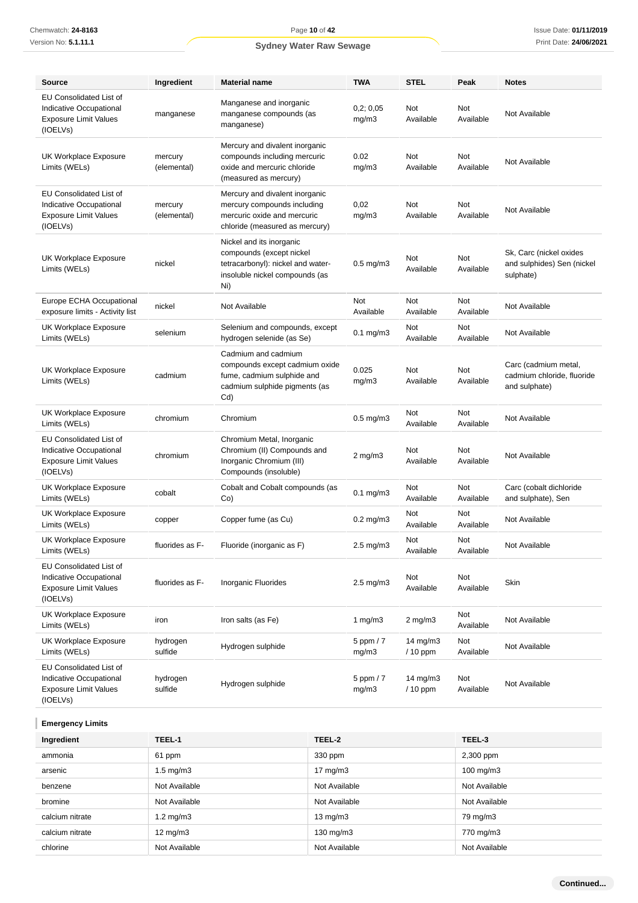| Source                                                                                                | Ingredient             | <b>Material name</b>                                                                                                               | <b>TWA</b>            | <b>STEL</b>             | Peak                    | <b>Notes</b>                                                        |
|-------------------------------------------------------------------------------------------------------|------------------------|------------------------------------------------------------------------------------------------------------------------------------|-----------------------|-------------------------|-------------------------|---------------------------------------------------------------------|
| <b>EU Consolidated List of</b><br>Indicative Occupational<br><b>Exposure Limit Values</b><br>(IOELVs) | manganese              | Manganese and inorganic<br>manganese compounds (as<br>manganese)                                                                   | 0,2;0,05<br>mg/m3     | Not<br>Available        | Not<br>Available        | Not Available                                                       |
| UK Workplace Exposure<br>Limits (WELs)                                                                | mercury<br>(elemental) | Mercury and divalent inorganic<br>compounds including mercuric<br>oxide and mercuric chloride<br>(measured as mercury)             | 0.02<br>mg/m3         | Not<br>Available        | Not<br>Available        | Not Available                                                       |
| <b>EU Consolidated List of</b><br>Indicative Occupational<br><b>Exposure Limit Values</b><br>(IOELVs) | mercury<br>(elemental) | Mercury and divalent inorganic<br>mercury compounds including<br>mercuric oxide and mercuric<br>chloride (measured as mercury)     | 0,02<br>mg/m3         | <b>Not</b><br>Available | <b>Not</b><br>Available | Not Available                                                       |
| UK Workplace Exposure<br>Limits (WELs)                                                                | nickel                 | Nickel and its inorganic<br>compounds (except nickel<br>tetracarbonyl): nickel and water-<br>insoluble nickel compounds (as<br>Ni) | $0.5$ mg/m $3$        | Not<br>Available        | Not<br>Available        | Sk, Carc (nickel oxides<br>and sulphides) Sen (nickel<br>sulphate)  |
| Europe ECHA Occupational<br>exposure limits - Activity list                                           | nickel                 | Not Available                                                                                                                      | Not<br>Available      | <b>Not</b><br>Available | Not<br>Available        | Not Available                                                       |
| UK Workplace Exposure<br>Limits (WELs)                                                                | selenium               | Selenium and compounds, except<br>hydrogen selenide (as Se)                                                                        | $0.1$ mg/m $3$        | Not<br>Available        | Not<br>Available        | Not Available                                                       |
| UK Workplace Exposure<br>Limits (WELs)                                                                | cadmium                | Cadmium and cadmium<br>compounds except cadmium oxide<br>fume, cadmium sulphide and<br>cadmium sulphide pigments (as<br>Cd)        | 0.025<br>mg/m3        | <b>Not</b><br>Available | <b>Not</b><br>Available | Carc (cadmium metal,<br>cadmium chloride, fluoride<br>and sulphate) |
| UK Workplace Exposure<br>Limits (WELs)                                                                | chromium               | Chromium                                                                                                                           | $0.5$ mg/m $3$        | Not<br>Available        | Not<br>Available        | Not Available                                                       |
| EU Consolidated List of<br>Indicative Occupational<br><b>Exposure Limit Values</b><br>(IOELVs)        | chromium               | Chromium Metal, Inorganic<br>Chromium (II) Compounds and<br>Inorganic Chromium (III)<br>Compounds (insoluble)                      | $2$ mg/m $3$          | Not<br>Available        | Not<br>Available        | Not Available                                                       |
| <b>UK Workplace Exposure</b><br>Limits (WELs)                                                         | cobalt                 | Cobalt and Cobalt compounds (as<br>Co)                                                                                             | $0.1$ mg/m $3$        | Not<br>Available        | Not<br>Available        | Carc (cobalt dichloride<br>and sulphate), Sen                       |
| UK Workplace Exposure<br>Limits (WELs)                                                                | copper                 | Copper fume (as Cu)                                                                                                                | $0.2 \text{ mg/m}$ 3  | Not<br>Available        | Not<br>Available        | Not Available                                                       |
| UK Workplace Exposure<br>Limits (WELs)                                                                | fluorides as F-        | Fluoride (inorganic as F)                                                                                                          | $2.5 \text{ mg/m}$ 3  | Not<br>Available        | Not<br>Available        | Not Available                                                       |
| <b>EU Consolidated List of</b><br>Indicative Occupational<br><b>Exposure Limit Values</b><br>(IOELVs) | fluorides as F-        | Inorganic Fluorides                                                                                                                | $2.5 \text{ mg/m}$ 3  | Not<br>Available        | Not<br>Available        | Skin                                                                |
| <b>UK Workplace Exposure</b><br>Limits (WELs)                                                         | iron                   | Iron salts (as Fe)                                                                                                                 | 1 $mg/m3$             | $2$ mg/m $3$            | Not<br>Available        | Not Available                                                       |
| UK Workplace Exposure<br>Limits (WELs)                                                                | hydrogen<br>sulfide    | Hydrogen sulphide                                                                                                                  | $5$ ppm $/7$<br>mg/m3 | 14 mg/m3<br>$/10$ ppm   | Not<br>Available        | Not Available                                                       |
| <b>EU Consolidated List of</b><br>Indicative Occupational<br><b>Exposure Limit Values</b><br>(IOELVs) | hydrogen<br>sulfide    | Hydrogen sulphide                                                                                                                  | $5$ ppm $/7$<br>mg/m3 | 14 $mg/m3$<br>/ 10 ppm  | Not<br>Available        | Not Available                                                       |
| <b>Emergency Limits</b>                                                                               |                        |                                                                                                                                    |                       |                         |                         |                                                                     |

| Ingredient      | TEEL-1               | TEEL-2            | TEEL-3               |
|-----------------|----------------------|-------------------|----------------------|
| ammonia         | 61 ppm               | 330 ppm           | 2,300 ppm            |
| arsenic         | $1.5 \text{ mg/m}$ 3 | $17 \text{ mg/m}$ | $100 \text{ mg/m}$ 3 |
| benzene         | Not Available        | Not Available     | Not Available        |
| bromine         | Not Available        | Not Available     | Not Available        |
| calcium nitrate | $1.2 \text{ mg/m}$ 3 | $13 \text{ mg/m}$ | 79 mg/m3             |
| calcium nitrate | $12 \text{ mg/m}$    | 130 mg/m3         | 770 mg/m3            |
| chlorine        | Not Available        | Not Available     | Not Available        |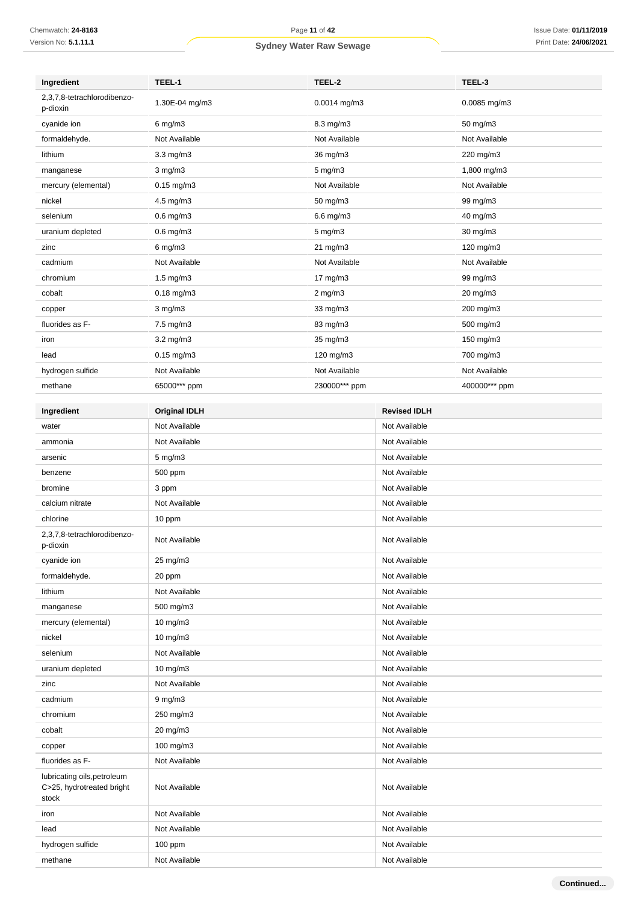| Ingredient                                                        | TEEL-1               | TEEL-2             |                     | TEEL-3            |
|-------------------------------------------------------------------|----------------------|--------------------|---------------------|-------------------|
| 2,3,7,8-tetrachlorodibenzo-<br>p-dioxin                           | 1.30E-04 mg/m3       | $0.0014$ mg/m3     |                     | $0.0085$ mg/m $3$ |
| cyanide ion                                                       | $6$ mg/m $3$         | 8.3 mg/m3          |                     | 50 mg/m3          |
| formaldehyde.                                                     | Not Available        | Not Available      |                     | Not Available     |
| lithium                                                           | $3.3 \text{ mg/m}$   | 36 mg/m3           |                     | 220 mg/m3         |
| manganese                                                         | $3$ mg/m $3$         | $5$ mg/m $3$       |                     | 1,800 mg/m3       |
| mercury (elemental)                                               | $0.15$ mg/m $3$      | Not Available      |                     | Not Available     |
| nickel                                                            | $4.5 \text{ mg/m}$ 3 | 50 mg/m3           |                     | 99 mg/m3          |
| selenium                                                          | $0.6$ mg/m $3$       | 6.6 mg/m3          |                     | 40 mg/m3          |
| uranium depleted                                                  | $0.6$ mg/m $3$       | $5 \text{ mg/m}$ 3 |                     | 30 mg/m3          |
| zinc                                                              | $6$ mg/m $3$         | $21 \text{ mg/m}$  |                     | 120 mg/m3         |
| cadmium                                                           | Not Available        | Not Available      |                     | Not Available     |
| chromium                                                          | $1.5 \text{ mg/m}$   | 17 mg/m3           |                     | 99 mg/m3          |
| cobalt                                                            | $0.18$ mg/m $3$      | $2$ mg/m $3$       |                     | 20 mg/m3          |
| copper                                                            | $3$ mg/m $3$         | 33 mg/m3           |                     | 200 mg/m3         |
| fluorides as F-                                                   | $7.5 \text{ mg/m}$ 3 | 83 mg/m3           |                     | 500 mg/m3         |
| iron                                                              | $3.2 \text{ mg/m}$   | 35 mg/m3           |                     | 150 mg/m3         |
| lead                                                              | $0.15$ mg/m3         | 120 mg/m3          |                     | 700 mg/m3         |
| hydrogen sulfide                                                  | Not Available        | Not Available      |                     | Not Available     |
| methane                                                           | 65000*** ppm         | 230000*** ppm      |                     | 400000*** ppm     |
|                                                                   |                      |                    |                     |                   |
| Ingredient                                                        | <b>Original IDLH</b> |                    | <b>Revised IDLH</b> |                   |
| water                                                             | Not Available        |                    | Not Available       |                   |
| ammonia                                                           | Not Available        |                    | Not Available       |                   |
| arsenic                                                           | $5$ mg/m $3$         |                    | Not Available       |                   |
| benzene                                                           | 500 ppm              |                    | Not Available       |                   |
| bromine                                                           | 3 ppm                |                    | Not Available       |                   |
| calcium nitrate                                                   | Not Available        |                    | Not Available       |                   |
| chlorine                                                          | 10 ppm               |                    | Not Available       |                   |
| 2,3,7,8-tetrachlorodibenzo-<br>p-dioxin                           | Not Available        |                    | Not Available       |                   |
| cyanide ion                                                       | 25 mg/m3             |                    | Not Available       |                   |
| formaldehyde.                                                     | 20 ppm               |                    | Not Available       |                   |
| lithium                                                           | Not Available        |                    | Not Available       |                   |
| manganese                                                         | 500 mg/m3            |                    | Not Available       |                   |
| mercury (elemental)                                               | 10 mg/m3             |                    | Not Available       |                   |
| nickel                                                            | 10 mg/m3             |                    | Not Available       |                   |
| selenium                                                          | Not Available        |                    | Not Available       |                   |
| uranium depleted                                                  | 10 mg/m3             |                    | Not Available       |                   |
| zinc                                                              | Not Available        |                    | Not Available       |                   |
| cadmium                                                           | $9 \text{ mg/m}$     |                    | Not Available       |                   |
| chromium                                                          | 250 mg/m3            |                    | Not Available       |                   |
| cobalt                                                            | 20 mg/m3             |                    | Not Available       |                   |
| copper                                                            | 100 mg/m3            |                    | Not Available       |                   |
| fluorides as F-                                                   | Not Available        |                    | Not Available       |                   |
| lubricating oils, petroleum<br>C>25, hydrotreated bright<br>stock | Not Available        |                    | Not Available       |                   |
| iron                                                              | Not Available        |                    | Not Available       |                   |
| lead                                                              | Not Available        |                    | Not Available       |                   |
| hydrogen sulfide                                                  | $100$ ppm            |                    | Not Available       |                   |
| methane                                                           | Not Available        |                    | Not Available       |                   |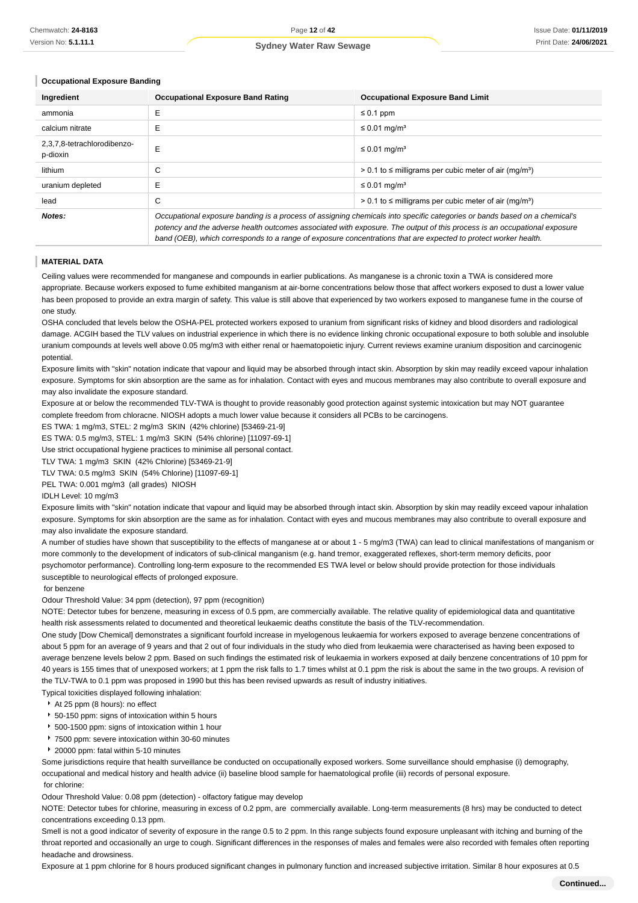#### **Occupational Exposure Banding**

| Ingredient                              | <b>Occupational Exposure Band Rating</b>                                                                                                                                                                                                                                                                                                                                 | <b>Occupational Exposure Band Limit</b>                                  |  |
|-----------------------------------------|--------------------------------------------------------------------------------------------------------------------------------------------------------------------------------------------------------------------------------------------------------------------------------------------------------------------------------------------------------------------------|--------------------------------------------------------------------------|--|
| ammonia                                 | Е                                                                                                                                                                                                                                                                                                                                                                        | $\leq 0.1$ ppm                                                           |  |
| calcium nitrate                         | Е                                                                                                                                                                                                                                                                                                                                                                        | $\leq$ 0.01 mg/m <sup>3</sup>                                            |  |
| 2,3,7,8-tetrachlorodibenzo-<br>p-dioxin | E                                                                                                                                                                                                                                                                                                                                                                        | $\leq$ 0.01 mg/m <sup>3</sup>                                            |  |
| lithium                                 | C                                                                                                                                                                                                                                                                                                                                                                        | $> 0.1$ to $\leq$ milligrams per cubic meter of air (mg/m <sup>3</sup> ) |  |
| uranium depleted                        | Е                                                                                                                                                                                                                                                                                                                                                                        | $\leq$ 0.01 mg/m <sup>3</sup>                                            |  |
| lead                                    | С                                                                                                                                                                                                                                                                                                                                                                        | $> 0.1$ to $\leq$ milligrams per cubic meter of air (mg/m <sup>3</sup> ) |  |
| Notes:                                  | Occupational exposure banding is a process of assigning chemicals into specific categories or bands based on a chemical's<br>potency and the adverse health outcomes associated with exposure. The output of this process is an occupational exposure<br>band (OEB), which corresponds to a range of exposure concentrations that are expected to protect worker health. |                                                                          |  |

#### **MATERIAL DATA**

Ceiling values were recommended for manganese and compounds in earlier publications. As manganese is a chronic toxin a TWA is considered more appropriate. Because workers exposed to fume exhibited manganism at air-borne concentrations below those that affect workers exposed to dust a lower value has been proposed to provide an extra margin of safety. This value is still above that experienced by two workers exposed to manganese fume in the course of one study.

OSHA concluded that levels below the OSHA-PEL protected workers exposed to uranium from significant risks of kidney and blood disorders and radiological damage. ACGIH based the TLV values on industrial experience in which there is no evidence linking chronic occupational exposure to both soluble and insoluble uranium compounds at levels well above 0.05 mg/m3 with either renal or haematopoietic injury. Current reviews examine uranium disposition and carcinogenic potential

Exposure limits with "skin" notation indicate that vapour and liquid may be absorbed through intact skin. Absorption by skin may readily exceed vapour inhalation exposure. Symptoms for skin absorption are the same as for inhalation. Contact with eyes and mucous membranes may also contribute to overall exposure and may also invalidate the exposure standard.

Exposure at or below the recommended TLV-TWA is thought to provide reasonably good protection against systemic intoxication but may NOT guarantee complete freedom from chloracne. NIOSH adopts a much lower value because it considers all PCBs to be carcinogens.

ES TWA: 1 mg/m3, STEL: 2 mg/m3 SKIN (42% chlorine) [53469-21-9]

ES TWA: 0.5 mg/m3, STEL: 1 mg/m3 SKIN (54% chlorine) [11097-69-1]

Use strict occupational hygiene practices to minimise all personal contact.

TLV TWA: 1 mg/m3 SKIN (42% Chlorine) [53469-21-9]

TLV TWA: 0.5 mg/m3 SKIN (54% Chlorine) [11097-69-1]

PEL TWA: 0.001 mg/m3 (all grades) NIOSH

#### IDLH Level: 10 mg/m3

Exposure limits with "skin" notation indicate that vapour and liquid may be absorbed through intact skin. Absorption by skin may readily exceed vapour inhalation exposure. Symptoms for skin absorption are the same as for inhalation. Contact with eyes and mucous membranes may also contribute to overall exposure and may also invalidate the exposure standard.

A number of studies have shown that susceptibility to the effects of manganese at or about 1 - 5 mg/m3 (TWA) can lead to clinical manifestations of manganism or more commonly to the development of indicators of sub-clinical manganism (e.g. hand tremor, exaggerated reflexes, short-term memory deficits, poor psychomotor performance). Controlling long-term exposure to the recommended ES TWA level or below should provide protection for those individuals susceptible to neurological effects of prolonged exposure.

#### for benzene

#### Odour Threshold Value: 34 ppm (detection), 97 ppm (recognition)

NOTE: Detector tubes for benzene, measuring in excess of 0.5 ppm, are commercially available. The relative quality of epidemiological data and quantitative health risk assessments related to documented and theoretical leukaemic deaths constitute the basis of the TLV-recommendation.

One study [Dow Chemical] demonstrates a significant fourfold increase in myelogenous leukaemia for workers exposed to average benzene concentrations of about 5 ppm for an average of 9 years and that 2 out of four individuals in the study who died from leukaemia were characterised as having been exposed to average benzene levels below 2 ppm. Based on such findings the estimated risk of leukaemia in workers exposed at daily benzene concentrations of 10 ppm for 40 years is 155 times that of unexposed workers; at 1 ppm the risk falls to 1.7 times whilst at 0.1 ppm the risk is about the same in the two groups. A revision of the TLV-TWA to 0.1 ppm was proposed in 1990 but this has been revised upwards as result of industry initiatives

Typical toxicities displayed following inhalation:

- At 25 ppm (8 hours): no effect
- 50-150 ppm: signs of intoxication within 5 hours
- 500-1500 ppm: signs of intoxication within 1 hour
- 7500 ppm: severe intoxication within 30-60 minutes
- ▶ 20000 ppm: fatal within 5-10 minutes

Some jurisdictions require that health surveillance be conducted on occupationally exposed workers. Some surveillance should emphasise (i) demography, occupational and medical history and health advice (ii) baseline blood sample for haematological profile (iii) records of personal exposure. for chlorine:

#### Odour Threshold Value: 0.08 ppm (detection) - olfactory fatigue may develop

NOTE: Detector tubes for chlorine, measuring in excess of 0.2 ppm, are commercially available. Long-term measurements (8 hrs) may be conducted to detect concentrations exceeding 0.13 ppm.

Smell is not a good indicator of severity of exposure in the range 0.5 to 2 ppm. In this range subjects found exposure unpleasant with itching and burning of the throat reported and occasionally an urge to cough. Significant differences in the responses of males and females were also recorded with females often reporting headache and drowsiness.

Exposure at 1 ppm chlorine for 8 hours produced significant changes in pulmonary function and increased subjective irritation. Similar 8 hour exposures at 0.5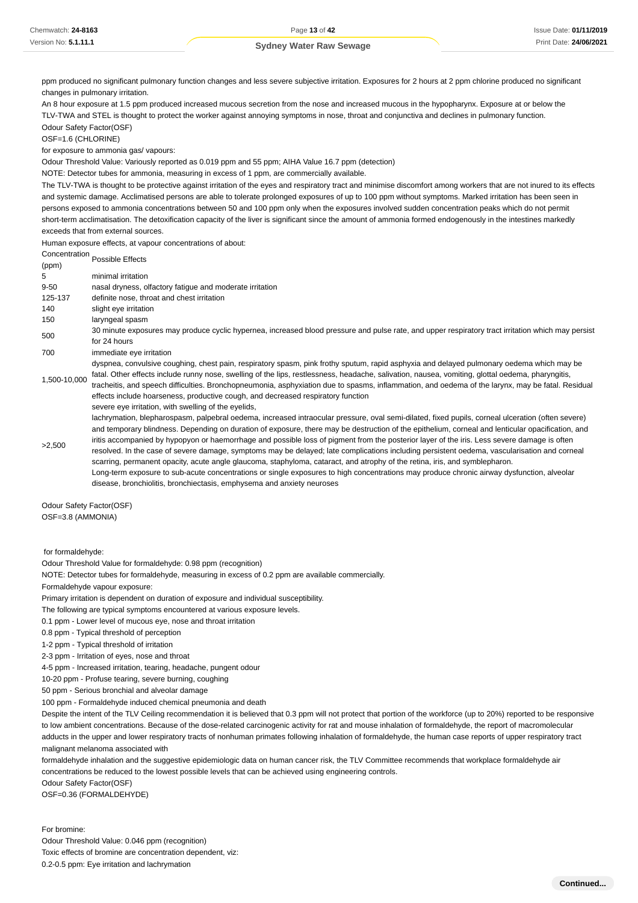Chemwatch: **24-8163** Version No: **5.1.11.1**

#### **Sydney Water Raw Sewage**

ppm produced no significant pulmonary function changes and less severe subjective irritation. Exposures for 2 hours at 2 ppm chlorine produced no significant changes in pulmonary irritation.

An 8 hour exposure at 1.5 ppm produced increased mucous secretion from the nose and increased mucous in the hypopharynx. Exposure at or below the TLV-TWA and STEL is thought to protect the worker against annoying symptoms in nose, throat and conjunctiva and declines in pulmonary function. Odour Safety Factor(OSF)

OSF=1.6 (CHLORINE)

for exposure to ammonia gas/ vapours:

Odour Threshold Value: Variously reported as 0.019 ppm and 55 ppm; AIHA Value 16.7 ppm (detection)

NOTE: Detector tubes for ammonia, measuring in excess of 1 ppm, are commercially available.

The TLV-TWA is thought to be protective against irritation of the eyes and respiratory tract and minimise discomfort among workers that are not inured to its effects and systemic damage. Acclimatised persons are able to tolerate prolonged exposures of up to 100 ppm without symptoms. Marked irritation has been seen in persons exposed to ammonia concentrations between 50 and 100 ppm only when the exposures involved sudden concentration peaks which do not permit short-term acclimatisation. The detoxification capacity of the liver is significant since the amount of ammonia formed endogenously in the intestines markedly exceeds that from external sources.

Human exposure effects, at vapour concentrations of about:

Concentration<br>(ppm)

5 minimal irritation 9-50 nasal dryness, olfactory fatigue and moderate irritation 125-137 definite nose, throat and chest irritation 140 slight eye irritation 150 laryngeal spasm 500 30 minute exposures may produce cyclic hypernea, increased blood pressure and pulse rate, and upper respiratory tract irritation which may persist for 24 hours 700 immediate eye irritation 1,500-10,000 dyspnea, convulsive coughing, chest pain, respiratory spasm, pink frothy sputum, rapid asphyxia and delayed pulmonary oedema which may be fatal. Other effects include runny nose, swelling of the lips, restlessness, headache, salivation, nausea, vomiting, glottal oedema, pharyngitis, tracheitis, and speech difficulties. Bronchopneumonia, asphyxiation due to spasms, inflammation, and oedema of the larynx, may be fatal. Residual effects include hoarseness, productive cough, and decreased respiratory function >2,500 severe eve irritation, with swelling of the evelids. lachrymation, blepharospasm, palpebral oedema, increased intraocular pressure, oval semi-dilated, fixed pupils, corneal ulceration (often severe) and temporary blindness. Depending on duration of exposure, there may be destruction of the epithelium, corneal and lenticular opacification, and iritis accompanied by hypopyon or haemorrhage and possible loss of pigment from the posterior layer of the iris. Less severe damage is often resolved. In the case of severe damage, symptoms may be delayed; late complications including persistent oedema, vascularisation and corneal scarring, permanent opacity, acute angle glaucoma, staphyloma, cataract, and atrophy of the retina, iris, and symblepharon.

Long-term exposure to sub-acute concentrations or single exposures to high concentrations may produce chronic airway dysfunction, alveolar disease, bronchiolitis, bronchiectasis, emphysema and anxiety neuroses

Odour Safety Factor(OSF) OSF=3.8 (AMMONIA)

for formaldehyde:

Odour Threshold Value for formaldehyde: 0.98 ppm (recognition)

NOTE: Detector tubes for formaldehyde, measuring in excess of 0.2 ppm are available commercially.

Formaldehyde vapour exposure:

Primary irritation is dependent on duration of exposure and individual susceptibility.

The following are typical symptoms encountered at various exposure levels.

0.1 ppm - Lower level of mucous eye, nose and throat irritation

0.8 ppm - Typical threshold of perception

1-2 ppm - Typical threshold of irritation

2-3 ppm - Irritation of eyes, nose and throat

4-5 ppm - Increased irritation, tearing, headache, pungent odour

10-20 ppm - Profuse tearing, severe burning, coughing

50 ppm - Serious bronchial and alveolar damage

100 ppm - Formaldehyde induced chemical pneumonia and death

Despite the intent of the TLV Ceiling recommendation it is believed that 0.3 ppm will not protect that portion of the workforce (up to 20%) reported to be responsive to low ambient concentrations. Because of the dose-related carcinogenic activity for rat and mouse inhalation of formaldehyde, the report of macromolecular adducts in the upper and lower respiratory tracts of nonhuman primates following inhalation of formaldehyde, the human case reports of upper respiratory tract malignant melanoma associated with

formaldehyde inhalation and the suggestive epidemiologic data on human cancer risk, the TLV Committee recommends that workplace formaldehyde air concentrations be reduced to the lowest possible levels that can be achieved using engineering controls.

Odour Safety Factor(OSF)

OSF=0.36 (FORMALDEHYDE)

For bromine: Odour Threshold Value: 0.046 ppm (recognition) Toxic effects of bromine are concentration dependent, viz: 0.2-0.5 ppm: Eye irritation and lachrymation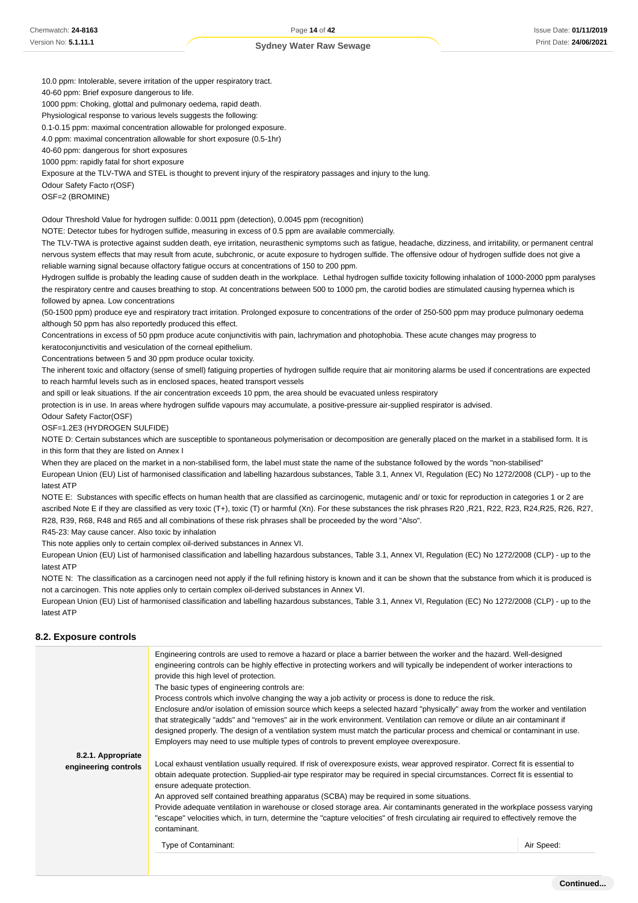Chemwatch: **24-8163** Version No: **5.1.11.1**

**Sydney Water Raw Sewage**

10.0 ppm: Intolerable, severe irritation of the upper respiratory tract.

40-60 ppm: Brief exposure dangerous to life.

1000 ppm: Choking, glottal and pulmonary oedema, rapid death.

Physiological response to various levels suggests the following:

0.1-0.15 ppm: maximal concentration allowable for prolonged exposure. 4.0 ppm: maximal concentration allowable for short exposure (0.5-1hr)

40-60 ppm: dangerous for short exposures

1000 ppm: rapidly fatal for short exposure

Exposure at the TLV-TWA and STEL is thought to prevent injury of the respiratory passages and injury to the lung.

Odour Safety Facto r(OSF)

OSF=2 (BROMINE)

Odour Threshold Value for hydrogen sulfide: 0.0011 ppm (detection), 0.0045 ppm (recognition)

NOTE: Detector tubes for hydrogen sulfide, measuring in excess of 0.5 ppm are available commercially.

The TLV-TWA is protective against sudden death, eye irritation, neurasthenic symptoms such as fatigue, headache, dizziness, and irritability, or permanent central nervous system effects that may result from acute, subchronic, or acute exposure to hydrogen sulfide. The offensive odour of hydrogen sulfide does not give a reliable warning signal because olfactory fatigue occurs at concentrations of 150 to 200 ppm.

Hydrogen sulfide is probably the leading cause of sudden death in the workplace. Lethal hydrogen sulfide toxicity following inhalation of 1000-2000 ppm paralyses the respiratory centre and causes breathing to stop. At concentrations between 500 to 1000 pm, the carotid bodies are stimulated causing hypernea which is followed by apnea. Low concentrations

(50-1500 ppm) produce eye and respiratory tract irritation. Prolonged exposure to concentrations of the order of 250-500 ppm may produce pulmonary oedema although 50 ppm has also reportedly produced this effect.

Concentrations in excess of 50 ppm produce acute conjunctivitis with pain, lachrymation and photophobia. These acute changes may progress to keratoconjunctivitis and vesiculation of the corneal epithelium.

Concentrations between 5 and 30 ppm produce ocular toxicity.

The inherent toxic and olfactory (sense of smell) fatiguing properties of hydrogen sulfide require that air monitoring alarms be used if concentrations are expected to reach harmful levels such as in enclosed spaces, heated transport vessels

and spill or leak situations. If the air concentration exceeds 10 ppm, the area should be evacuated unless respiratory

protection is in use. In areas where hydrogen sulfide vapours may accumulate, a positive-pressure air-supplied respirator is advised.

Odour Safety Factor(OSF)

OSF=1.2E3 (HYDROGEN SULFIDE)

NOTE D: Certain substances which are susceptible to spontaneous polymerisation or decomposition are generally placed on the market in a stabilised form. It is in this form that they are listed on Annex I

When they are placed on the market in a non-stabilised form, the label must state the name of the substance followed by the words "non-stabilised"

European Union (EU) List of harmonised classification and labelling hazardous substances, Table 3.1, Annex VI, Regulation (EC) No 1272/2008 (CLP) - up to the latest ATP

NOTE E: Substances with specific effects on human health that are classified as carcinogenic, mutagenic and/ or toxic for reproduction in categories 1 or 2 are ascribed Note E if they are classified as very toxic (T+), toxic (T) or harmful (Xn). For these substances the risk phrases R20, R21, R22, R23, R24,R25, R26, R27, R28, R39, R68, R48 and R65 and all combinations of these risk phrases shall be proceeded by the word "Also".

R45-23: May cause cancer. Also toxic by inhalation

This note applies only to certain complex oil-derived substances in Annex VI.

European Union (EU) List of harmonised classification and labelling hazardous substances, Table 3.1, Annex VI, Regulation (EC) No 1272/2008 (CLP) - up to the latest ATP

NOTE N: The classification as a carcinogen need not apply if the full refining history is known and it can be shown that the substance from which it is produced is not a carcinogen. This note applies only to certain complex oil-derived substances in Annex VI.

European Union (EU) List of harmonised classification and labelling hazardous substances, Table 3.1, Annex VI, Regulation (EC) No 1272/2008 (CLP) - up to the latest ATP

#### **8.2. Exposure controls**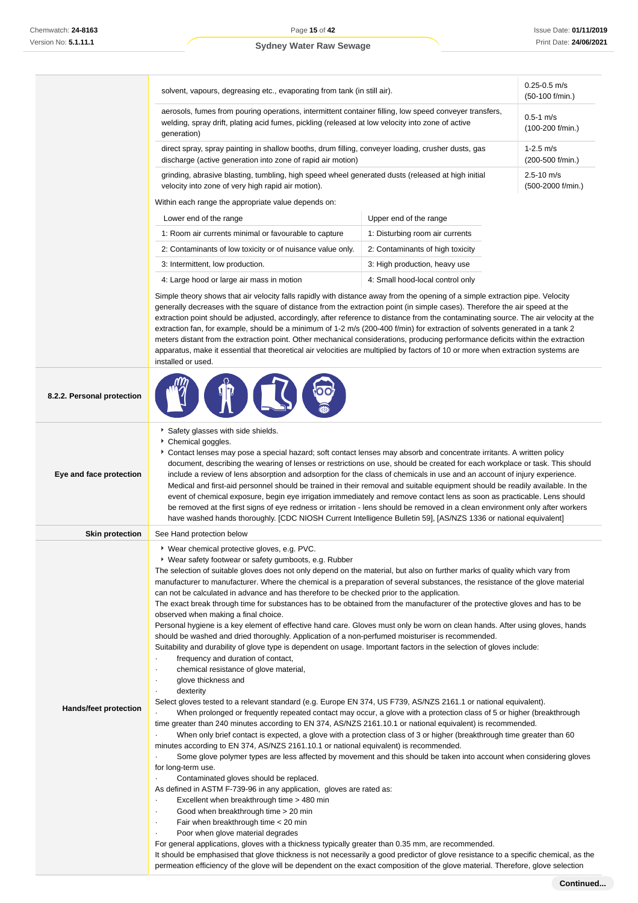|                            | solvent, vapours, degreasing etc., evaporating from tank (in still air).                                                                                                                                                                                                                                                                                                                                                                                                                                                                                                                                                                                                                                                                                                                                                                                                                                                                                        | $0.25 - 0.5$ m/s<br>$(50-100)$ f/min.)                                                                                                                                                                                                                        |  |  |  |
|----------------------------|-----------------------------------------------------------------------------------------------------------------------------------------------------------------------------------------------------------------------------------------------------------------------------------------------------------------------------------------------------------------------------------------------------------------------------------------------------------------------------------------------------------------------------------------------------------------------------------------------------------------------------------------------------------------------------------------------------------------------------------------------------------------------------------------------------------------------------------------------------------------------------------------------------------------------------------------------------------------|---------------------------------------------------------------------------------------------------------------------------------------------------------------------------------------------------------------------------------------------------------------|--|--|--|
|                            | aerosols, fumes from pouring operations, intermittent container filling, low speed conveyer transfers,<br>welding, spray drift, plating acid fumes, pickling (released at low velocity into zone of active<br>qeneration)                                                                                                                                                                                                                                                                                                                                                                                                                                                                                                                                                                                                                                                                                                                                       | $0.5 - 1$ m/s<br>$(100-200$ f/min.)                                                                                                                                                                                                                           |  |  |  |
|                            | discharge (active generation into zone of rapid air motion)                                                                                                                                                                                                                                                                                                                                                                                                                                                                                                                                                                                                                                                                                                                                                                                                                                                                                                     | direct spray, spray painting in shallow booths, drum filling, conveyer loading, crusher dusts, gas<br>grinding, abrasive blasting, tumbling, high speed wheel generated dusts (released at high initial<br>velocity into zone of very high rapid air motion). |  |  |  |
|                            |                                                                                                                                                                                                                                                                                                                                                                                                                                                                                                                                                                                                                                                                                                                                                                                                                                                                                                                                                                 |                                                                                                                                                                                                                                                               |  |  |  |
|                            | Within each range the appropriate value depends on:                                                                                                                                                                                                                                                                                                                                                                                                                                                                                                                                                                                                                                                                                                                                                                                                                                                                                                             |                                                                                                                                                                                                                                                               |  |  |  |
|                            | Lower end of the range                                                                                                                                                                                                                                                                                                                                                                                                                                                                                                                                                                                                                                                                                                                                                                                                                                                                                                                                          | Upper end of the range                                                                                                                                                                                                                                        |  |  |  |
|                            | 1: Room air currents minimal or favourable to capture                                                                                                                                                                                                                                                                                                                                                                                                                                                                                                                                                                                                                                                                                                                                                                                                                                                                                                           | 1: Disturbing room air currents                                                                                                                                                                                                                               |  |  |  |
|                            | 2: Contaminants of low toxicity or of nuisance value only.                                                                                                                                                                                                                                                                                                                                                                                                                                                                                                                                                                                                                                                                                                                                                                                                                                                                                                      | 2: Contaminants of high toxicity                                                                                                                                                                                                                              |  |  |  |
|                            | 3: Intermittent, low production.                                                                                                                                                                                                                                                                                                                                                                                                                                                                                                                                                                                                                                                                                                                                                                                                                                                                                                                                | 3: High production, heavy use                                                                                                                                                                                                                                 |  |  |  |
|                            | 4: Large hood or large air mass in motion                                                                                                                                                                                                                                                                                                                                                                                                                                                                                                                                                                                                                                                                                                                                                                                                                                                                                                                       | 4: Small hood-local control only                                                                                                                                                                                                                              |  |  |  |
|                            | Simple theory shows that air velocity falls rapidly with distance away from the opening of a simple extraction pipe. Velocity<br>generally decreases with the square of distance from the extraction point (in simple cases). Therefore the air speed at the<br>extraction point should be adjusted, accordingly, after reference to distance from the contaminating source. The air velocity at the<br>extraction fan, for example, should be a minimum of 1-2 m/s (200-400 f/min) for extraction of solvents generated in a tank 2<br>meters distant from the extraction point. Other mechanical considerations, producing performance deficits within the extraction<br>apparatus, make it essential that theoretical air velocities are multiplied by factors of 10 or more when extraction systems are<br>installed or used.                                                                                                                               |                                                                                                                                                                                                                                                               |  |  |  |
| 8.2.2. Personal protection |                                                                                                                                                                                                                                                                                                                                                                                                                                                                                                                                                                                                                                                                                                                                                                                                                                                                                                                                                                 |                                                                                                                                                                                                                                                               |  |  |  |
| Eye and face protection    | Safety glasses with side shields.<br>Chemical goggles.<br>▶ Contact lenses may pose a special hazard; soft contact lenses may absorb and concentrate irritants. A written policy<br>document, describing the wearing of lenses or restrictions on use, should be created for each workplace or task. This should<br>include a review of lens absorption and adsorption for the class of chemicals in use and an account of injury experience.<br>Medical and first-aid personnel should be trained in their removal and suitable equipment should be readily available. In the<br>event of chemical exposure, begin eye irrigation immediately and remove contact lens as soon as practicable. Lens should<br>be removed at the first signs of eye redness or irritation - lens should be removed in a clean environment only after workers<br>have washed hands thoroughly. [CDC NIOSH Current Intelligence Bulletin 59], [AS/NZS 1336 or national equivalent] |                                                                                                                                                                                                                                                               |  |  |  |
| <b>Skin protection</b>     | See Hand protection below                                                                                                                                                                                                                                                                                                                                                                                                                                                                                                                                                                                                                                                                                                                                                                                                                                                                                                                                       |                                                                                                                                                                                                                                                               |  |  |  |
|                            | ▶ Wear chemical protective gloves, e.g. PVC.<br>▶ Wear safety footwear or safety gumboots, e.g. Rubber<br>The selection of suitable gloves does not only depend on the material, but also on further marks of quality which vary from<br>manufacturer to manufacturer. Where the chemical is a preparation of several substances, the resistance of the glove material<br>can not be calculated in advance and has therefore to be checked prior to the application.<br>The exact break through time for substances has to be obtained from the manufacturer of the protective gloves and has to be                                                                                                                                                                                                                                                                                                                                                             |                                                                                                                                                                                                                                                               |  |  |  |
|                            | observed when making a final choice.<br>Personal hygiene is a key element of effective hand care. Gloves must only be worn on clean hands. After using gloves, hands<br>should be washed and dried thoroughly. Application of a non-perfumed moisturiser is recommended.<br>Suitability and durability of glove type is dependent on usage. Important factors in the selection of gloves include:<br>frequency and duration of contact,<br>chemical resistance of glove material,<br>$\cdot$<br>glove thickness and<br>$\cdot$                                                                                                                                                                                                                                                                                                                                                                                                                                  |                                                                                                                                                                                                                                                               |  |  |  |

- Good when breakthrough time > 20 min
- 
- Fair when breakthrough time < 20 min
- · Poor when glove material degrades
- For general applications, gloves with a thickness typically greater than 0.35 mm, are recommended.

It should be emphasised that glove thickness is not necessarily a good predictor of glove resistance to a specific chemical, as the permeation efficiency of the glove will be dependent on the exact composition of the glove material. Therefore, glove selection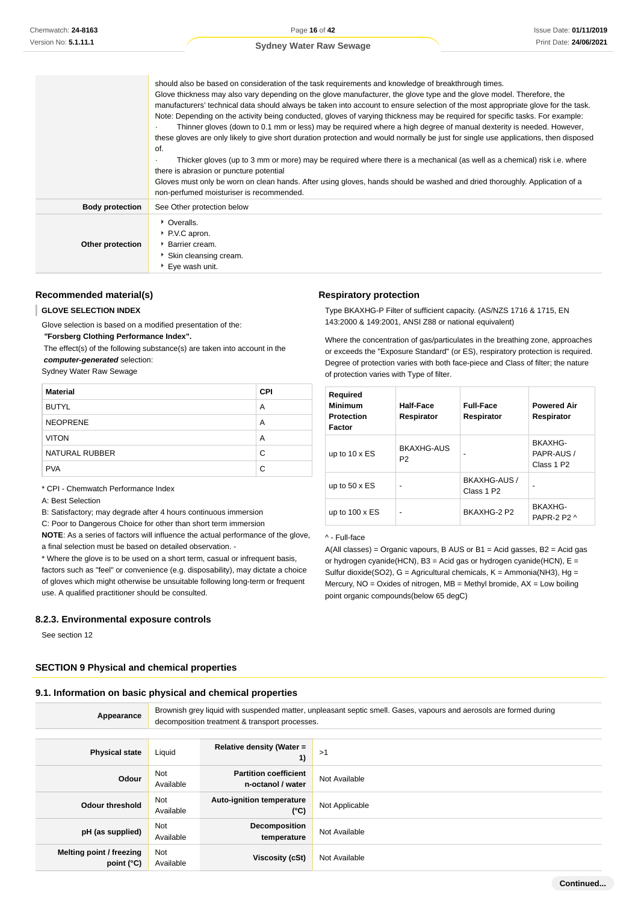Issue Date: **01/11/2019** Print Date: **24/06/2021**

#### **Sydney Water Raw Sewage**

|                        | should also be based on consideration of the task requirements and knowledge of breakthrough times.<br>Glove thickness may also vary depending on the glove manufacturer, the glove type and the glove model. Therefore, the<br>manufacturers' technical data should always be taken into account to ensure selection of the most appropriate glove for the task.<br>Note: Depending on the activity being conducted, gloves of varying thickness may be required for specific tasks. For example:<br>Thinner gloves (down to 0.1 mm or less) may be required where a high degree of manual dexterity is needed. However,<br>these gloves are only likely to give short duration protection and would normally be just for single use applications, then disposed<br>of.<br>Thicker gloves (up to 3 mm or more) may be required where there is a mechanical (as well as a chemical) risk i.e. where<br>$\bullet$<br>there is abrasion or puncture potential<br>Gloves must only be worn on clean hands. After using gloves, hands should be washed and dried thoroughly. Application of a<br>non-perfumed moisturiser is recommended. |
|------------------------|---------------------------------------------------------------------------------------------------------------------------------------------------------------------------------------------------------------------------------------------------------------------------------------------------------------------------------------------------------------------------------------------------------------------------------------------------------------------------------------------------------------------------------------------------------------------------------------------------------------------------------------------------------------------------------------------------------------------------------------------------------------------------------------------------------------------------------------------------------------------------------------------------------------------------------------------------------------------------------------------------------------------------------------------------------------------------------------------------------------------------------------|
| <b>Body protection</b> | See Other protection below                                                                                                                                                                                                                                                                                                                                                                                                                                                                                                                                                                                                                                                                                                                                                                                                                                                                                                                                                                                                                                                                                                            |
| Other protection       | Cveralls.<br>PVC apron.<br>▶ Barrier cream.<br>Skin cleansing cream.<br>▶ Eye wash unit.                                                                                                                                                                                                                                                                                                                                                                                                                                                                                                                                                                                                                                                                                                                                                                                                                                                                                                                                                                                                                                              |

#### **Recommended material(s)**

#### **GLOVE SELECTION INDEX**

Glove selection is based on a modified presentation of the:  **"Forsberg Clothing Performance Index".**

 The effect(s) of the following substance(s) are taken into account in the **computer-generated** selection:

Sydney Water Raw Sewage

| <b>Material</b> | <b>CPI</b> |
|-----------------|------------|
| <b>BUTYL</b>    | Α          |
| <b>NEOPRENE</b> | A          |
| <b>VITON</b>    | A          |
| NATURAL RUBBER  | C          |
| <b>PVA</b>      | С          |

\* CPI - Chemwatch Performance Index

A: Best Selection

B: Satisfactory; may degrade after 4 hours continuous immersion

C: Poor to Dangerous Choice for other than short term immersion

**NOTE**: As a series of factors will influence the actual performance of the glove, a final selection must be based on detailed observation. -

\* Where the glove is to be used on a short term, casual or infrequent basis, factors such as "feel" or convenience (e.g. disposability), may dictate a choice of gloves which might otherwise be unsuitable following long-term or frequent use. A qualified practitioner should be consulted.

#### **8.2.3. Environmental exposure controls**

See section 12

#### **SECTION 9 Physical and chemical properties**

#### **9.1. Information on basic physical and chemical properties**

| Appearance                             | Brownish grey liquid with suspended matter, unpleasant septic smell. Gases, vapours and aerosols are formed during<br>decomposition treatment & transport processes. |                                                   |                |  |
|----------------------------------------|----------------------------------------------------------------------------------------------------------------------------------------------------------------------|---------------------------------------------------|----------------|--|
|                                        |                                                                                                                                                                      |                                                   |                |  |
| <b>Physical state</b>                  | Liquid                                                                                                                                                               | Relative density (Water =<br>1)                   | >1             |  |
| Odour                                  | Not<br>Available                                                                                                                                                     | <b>Partition coefficient</b><br>n-octanol / water | Not Available  |  |
| <b>Odour threshold</b>                 | Not<br>Available                                                                                                                                                     | <b>Auto-ignition temperature</b><br>$(^{\circ}C)$ | Not Applicable |  |
| pH (as supplied)                       | Not<br>Available                                                                                                                                                     | Decomposition<br>temperature                      | Not Available  |  |
| Melting point / freezing<br>point (°C) | Not<br>Available                                                                                                                                                     | <b>Viscosity (cSt)</b>                            | Not Available  |  |

#### **Respiratory protection**

Type BKAXHG-P Filter of sufficient capacity. (AS/NZS 1716 & 1715, EN 143:2000 & 149:2001, ANSI Z88 or national equivalent)

Where the concentration of gas/particulates in the breathing zone, approaches or exceeds the "Exposure Standard" (or ES), respiratory protection is required. Degree of protection varies with both face-piece and Class of filter; the nature of protection varies with Type of filter.

| Required<br><b>Minimum</b><br><b>Protection</b><br>Factor | Half-Face<br>Respirator      | <b>Full-Face</b><br>Respirator         | <b>Powered Air</b><br>Respirator                |
|-----------------------------------------------------------|------------------------------|----------------------------------------|-------------------------------------------------|
| up to $10 \times ES$                                      | BKAXHG-AUS<br>P <sub>2</sub> |                                        | BKAXHG-<br>PAPR-AUS /<br>Class 1 P <sub>2</sub> |
| up to $50 \times ES$                                      | ۰                            | BKAXHG-AUS /<br>Class 1 P <sub>2</sub> |                                                 |
| up to $100 \times ES$                                     | ۰                            | BKAXHG-2 P2                            | BKAXHG-<br>PAPR-2 P2 ^                          |

^ - Full-face

A(All classes) = Organic vapours, B AUS or B1 = Acid gasses, B2 = Acid gas or hydrogen cyanide(HCN), B3 = Acid gas or hydrogen cyanide(HCN),  $E =$ Sulfur dioxide(SO2),  $G =$  Agricultural chemicals,  $K =$  Ammonia(NH3), Hg = Mercury,  $NO = Oxides$  of nitrogen,  $MB = Methyl$  bromide,  $AX = Low$  boiling point organic compounds(below 65 degC)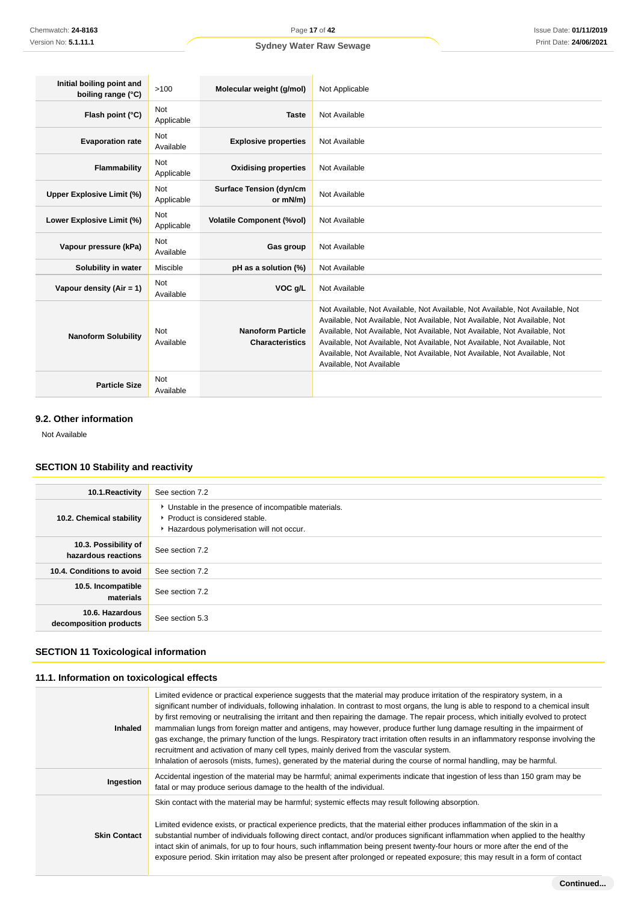| Initial boiling point and<br>boiling range (°C) | >100                     | Molecular weight (g/mol)                           | Not Applicable                                                                                                                                                                                                                                                                                                                                                                                                                     |
|-------------------------------------------------|--------------------------|----------------------------------------------------|------------------------------------------------------------------------------------------------------------------------------------------------------------------------------------------------------------------------------------------------------------------------------------------------------------------------------------------------------------------------------------------------------------------------------------|
| Flash point (°C)                                | <b>Not</b><br>Applicable | <b>Taste</b>                                       | Not Available                                                                                                                                                                                                                                                                                                                                                                                                                      |
| <b>Evaporation rate</b>                         | <b>Not</b><br>Available  | <b>Explosive properties</b>                        | Not Available                                                                                                                                                                                                                                                                                                                                                                                                                      |
| Flammability                                    | Not<br>Applicable        | <b>Oxidising properties</b>                        | Not Available                                                                                                                                                                                                                                                                                                                                                                                                                      |
| Upper Explosive Limit (%)                       | <b>Not</b><br>Applicable | <b>Surface Tension (dyn/cm</b><br>or mN/m)         | Not Available                                                                                                                                                                                                                                                                                                                                                                                                                      |
| Lower Explosive Limit (%)                       | <b>Not</b><br>Applicable | <b>Volatile Component (%vol)</b>                   | Not Available                                                                                                                                                                                                                                                                                                                                                                                                                      |
| Vapour pressure (kPa)                           | <b>Not</b><br>Available  | Gas group                                          | Not Available                                                                                                                                                                                                                                                                                                                                                                                                                      |
| Solubility in water                             | Miscible                 | pH as a solution (%)                               | Not Available                                                                                                                                                                                                                                                                                                                                                                                                                      |
| Vapour density $(Air = 1)$                      | <b>Not</b><br>Available  | VOC g/L                                            | Not Available                                                                                                                                                                                                                                                                                                                                                                                                                      |
| <b>Nanoform Solubility</b>                      | <b>Not</b><br>Available  | <b>Nanoform Particle</b><br><b>Characteristics</b> | Not Available, Not Available, Not Available, Not Available, Not Available, Not<br>Available, Not Available, Not Available, Not Available, Not Available, Not<br>Available, Not Available, Not Available, Not Available, Not Available, Not<br>Available, Not Available, Not Available, Not Available, Not Available, Not<br>Available, Not Available, Not Available, Not Available, Not Available, Not<br>Available, Not Available |
| <b>Particle Size</b>                            | <b>Not</b><br>Available  |                                                    |                                                                                                                                                                                                                                                                                                                                                                                                                                    |

#### **9.2. Other information**

Not Available

### **SECTION 10 Stability and reactivity**

| 10.1. Reactivity                            | See section 7.2                                                                                                                      |
|---------------------------------------------|--------------------------------------------------------------------------------------------------------------------------------------|
| 10.2. Chemical stability                    | • Unstable in the presence of incompatible materials.<br>▶ Product is considered stable.<br>Hazardous polymerisation will not occur. |
| 10.3. Possibility of<br>hazardous reactions | See section 7.2                                                                                                                      |
| 10.4. Conditions to avoid                   | See section 7.2                                                                                                                      |
| 10.5. Incompatible<br>materials             | See section 7.2                                                                                                                      |
| 10.6. Hazardous<br>decomposition products   | See section 5.3                                                                                                                      |

### **SECTION 11 Toxicological information**

### **11.1. Information on toxicological effects**

| <b>Inhaled</b>      | Limited evidence or practical experience suggests that the material may produce irritation of the respiratory system, in a<br>significant number of individuals, following inhalation. In contrast to most organs, the lung is able to respond to a chemical insult<br>by first removing or neutralising the irritant and then repairing the damage. The repair process, which initially evolved to protect<br>mammalian lungs from foreign matter and antigens, may however, produce further lung damage resulting in the impairment of<br>gas exchange, the primary function of the lungs. Respiratory tract irritation often results in an inflammatory response involving the<br>recruitment and activation of many cell types, mainly derived from the vascular system.<br>Inhalation of aerosols (mists, fumes), generated by the material during the course of normal handling, may be harmful. |
|---------------------|--------------------------------------------------------------------------------------------------------------------------------------------------------------------------------------------------------------------------------------------------------------------------------------------------------------------------------------------------------------------------------------------------------------------------------------------------------------------------------------------------------------------------------------------------------------------------------------------------------------------------------------------------------------------------------------------------------------------------------------------------------------------------------------------------------------------------------------------------------------------------------------------------------|
| Ingestion           | Accidental ingestion of the material may be harmful; animal experiments indicate that ingestion of less than 150 gram may be<br>fatal or may produce serious damage to the health of the individual.                                                                                                                                                                                                                                                                                                                                                                                                                                                                                                                                                                                                                                                                                                   |
| <b>Skin Contact</b> | Skin contact with the material may be harmful; systemic effects may result following absorption.<br>Limited evidence exists, or practical experience predicts, that the material either produces inflammation of the skin in a<br>substantial number of individuals following direct contact, and/or produces significant inflammation when applied to the healthy<br>intact skin of animals, for up to four hours, such inflammation being present twenty-four hours or more after the end of the<br>exposure period. Skin irritation may also be present after prolonged or repeated exposure; this may result in a form of contact                                                                                                                                                                                                                                                                  |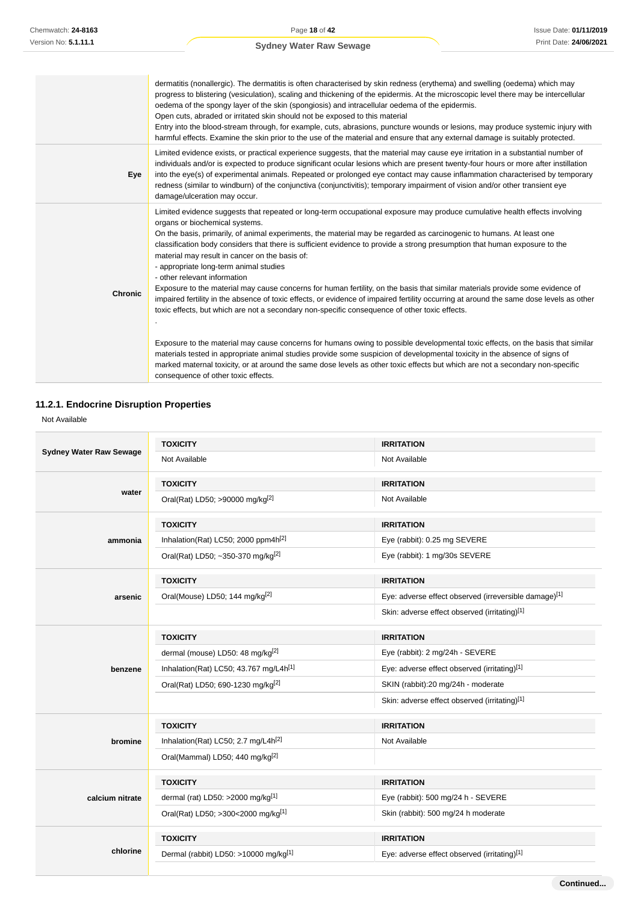Issue Date: **01/11/2019** Print Date: **24/06/2021**

**Continued...**

### **Sydney Water Raw Sewage**

|                | dermatitis (nonallergic). The dermatitis is often characterised by skin redness (erythema) and swelling (oedema) which may<br>progress to blistering (vesiculation), scaling and thickening of the epidermis. At the microscopic level there may be intercellular<br>oedema of the spongy layer of the skin (spongiosis) and intracellular oedema of the epidermis.<br>Open cuts, abraded or irritated skin should not be exposed to this material<br>Entry into the blood-stream through, for example, cuts, abrasions, puncture wounds or lesions, may produce systemic injury with<br>harmful effects. Examine the skin prior to the use of the material and ensure that any external damage is suitably protected.                                                                                                                                                                                                                                                                                                                                                                                                                                                                                                                                                                                                                                               |
|----------------|----------------------------------------------------------------------------------------------------------------------------------------------------------------------------------------------------------------------------------------------------------------------------------------------------------------------------------------------------------------------------------------------------------------------------------------------------------------------------------------------------------------------------------------------------------------------------------------------------------------------------------------------------------------------------------------------------------------------------------------------------------------------------------------------------------------------------------------------------------------------------------------------------------------------------------------------------------------------------------------------------------------------------------------------------------------------------------------------------------------------------------------------------------------------------------------------------------------------------------------------------------------------------------------------------------------------------------------------------------------------|
| Eye            | Limited evidence exists, or practical experience suggests, that the material may cause eye irritation in a substantial number of<br>individuals and/or is expected to produce significant ocular lesions which are present twenty-four hours or more after instillation<br>into the eye(s) of experimental animals. Repeated or prolonged eye contact may cause inflammation characterised by temporary<br>redness (similar to windburn) of the conjunctiva (conjunctivitis); temporary impairment of vision and/or other transient eye<br>damage/ulceration may occur.                                                                                                                                                                                                                                                                                                                                                                                                                                                                                                                                                                                                                                                                                                                                                                                              |
| <b>Chronic</b> | Limited evidence suggests that repeated or long-term occupational exposure may produce cumulative health effects involving<br>organs or biochemical systems.<br>On the basis, primarily, of animal experiments, the material may be regarded as carcinogenic to humans. At least one<br>classification body considers that there is sufficient evidence to provide a strong presumption that human exposure to the<br>material may result in cancer on the basis of:<br>- appropriate long-term animal studies<br>- other relevant information<br>Exposure to the material may cause concerns for human fertility, on the basis that similar materials provide some evidence of<br>impaired fertility in the absence of toxic effects, or evidence of impaired fertility occurring at around the same dose levels as other<br>toxic effects, but which are not a secondary non-specific consequence of other toxic effects.<br>Exposure to the material may cause concerns for humans owing to possible developmental toxic effects, on the basis that similar<br>materials tested in appropriate animal studies provide some suspicion of developmental toxicity in the absence of signs of<br>marked maternal toxicity, or at around the same dose levels as other toxic effects but which are not a secondary non-specific<br>consequence of other toxic effects. |

### **11.2.1. Endocrine Disruption Properties**

Not Available

| <b>Sydney Water Raw Sewage</b> | <b>TOXICITY</b>                                    | <b>IRRITATION</b>                                     |  |  |
|--------------------------------|----------------------------------------------------|-------------------------------------------------------|--|--|
|                                | Not Available                                      | Not Available                                         |  |  |
|                                | <b>TOXICITY</b>                                    | <b>IRRITATION</b>                                     |  |  |
| water                          | Oral(Rat) LD50; >90000 mg/kg <sup>[2]</sup>        | Not Available                                         |  |  |
|                                | <b>TOXICITY</b>                                    | <b>IRRITATION</b>                                     |  |  |
| ammonia                        | Inhalation(Rat) LC50; 2000 ppm4h <sup>[2]</sup>    | Eye (rabbit): 0.25 mg SEVERE                          |  |  |
|                                | Oral(Rat) LD50; ~350-370 mg/kg <sup>[2]</sup>      | Eye (rabbit): 1 mg/30s SEVERE                         |  |  |
|                                | <b>TOXICITY</b>                                    | <b>IRRITATION</b>                                     |  |  |
| arsenic                        | Oral(Mouse) LD50; 144 mg/kg <sup>[2]</sup>         | Eye: adverse effect observed (irreversible damage)[1] |  |  |
|                                |                                                    | Skin: adverse effect observed (irritating)[1]         |  |  |
|                                | <b>TOXICITY</b>                                    | <b>IRRITATION</b>                                     |  |  |
|                                | dermal (mouse) LD50: 48 mg/kg <sup>[2]</sup>       | Eye (rabbit): 2 mg/24h - SEVERE                       |  |  |
| benzene                        | Inhalation(Rat) LC50; 43.767 mg/L4h <sup>[1]</sup> | Eye: adverse effect observed (irritating)[1]          |  |  |
|                                | Oral(Rat) LD50; 690-1230 mg/kg <sup>[2]</sup>      | SKIN (rabbit):20 mg/24h - moderate                    |  |  |
|                                |                                                    | Skin: adverse effect observed (irritating)[1]         |  |  |
|                                | <b>TOXICITY</b>                                    | <b>IRRITATION</b>                                     |  |  |
| bromine                        | Inhalation(Rat) LC50; 2.7 mg/L4h <sup>[2]</sup>    | Not Available                                         |  |  |
|                                | Oral(Mammal) LD50; 440 mg/kg <sup>[2]</sup>        |                                                       |  |  |
|                                | <b>TOXICITY</b>                                    | <b>IRRITATION</b>                                     |  |  |
| calcium nitrate                | dermal (rat) LD50: >2000 mg/kg[1]                  | Eye (rabbit): 500 mg/24 h - SEVERE                    |  |  |
|                                | Oral(Rat) LD50; >300<2000 mg/kg[1]                 | Skin (rabbit): 500 mg/24 h moderate                   |  |  |
|                                | <b>TOXICITY</b>                                    | <b>IRRITATION</b>                                     |  |  |
| chlorine                       | Dermal (rabbit) LD50: >10000 mg/kg <sup>[1]</sup>  | Eye: adverse effect observed (irritating)[1]          |  |  |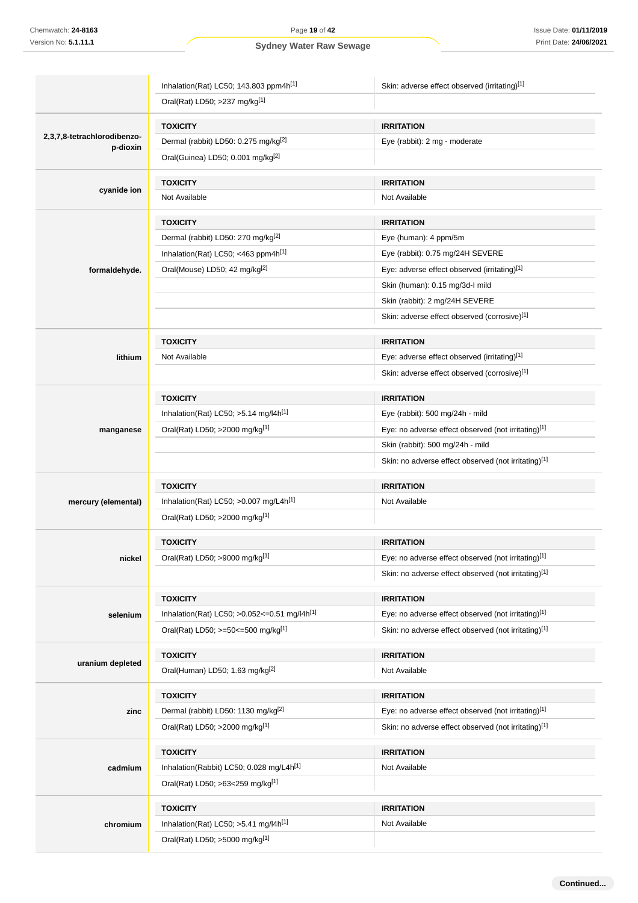Inhalation(Rat) LC50; 143.803 ppm4h<sup>[1]</sup> Skin: adverse effect observed (irritating)<sup>[1]</sup> Oral(Rat) LD50; >237 mg/kg[1] **2,3,7,8-tetrachlorodibenzop-dioxin TOXICITY IRRITATION** Dermal (rabbit) LD50: 0.275 mg/kg<sup>[2]</sup> example and Eye (rabbit): 2 mg - moderate Oral(Guinea) LD50; 0.001 mg/kg[2] **cyanide ion TOXICITY IRRITATION** Not Available Not Available **formaldehyde. TOXICITY IRRITATION** Dermal (rabbit) LD50: 270 mg/kg<sup>[2]</sup> example and the Eye (human): 4 ppm/5m Inhalation(Rat) LC50; <463 ppm4h<sup>[1]</sup> Eye (rabbit): 0.75 mg/24H SEVERE Oral(Mouse) LD50; 42 mg/kg<sup>[2]</sup> exercise of Eye: adverse effect observed (irritating)<sup>[1]</sup> Skin (human): 0.15 mg/3d-I mild Skin (rabbit): 2 mg/24H SEVERE Skin: adverse effect observed (corrosive)[1] **lithium TOXICITY IRRITATION** Not Available **Not Available** Eye: adverse effect observed (irritating)<sup>[1]</sup> Skin: adverse effect observed (corrosive)[1] **manganese TOXICITY IRRITATION** Inhalation(Rat) LC50; >5.14 mg/l4h[1] Eye (rabbit): 500 mg/24h - mild Oral(Rat) LD50; >2000 mg/kg<sup>[1]</sup> execution of the state of Eye: no adverse effect observed (not irritating)<sup>[1]</sup> Skin (rabbit): 500 mg/24h - mild Skin: no adverse effect observed (not irritating)[1] **mercury (elemental) TOXICITY IRRITATION** Inhalation(Rat) LC50;  $>0.007$  mg/L4h<sup>[1]</sup> Not Available Oral(Rat) LD50; >2000 mg/kg[1] **nickel TOXICITY IRRITATION** Oral(Rat) LD50; >9000 mg/kg<sup>[1]</sup> execution of the state of Eye: no adverse effect observed (not irritating)<sup>[1]</sup> Skin: no adverse effect observed (not irritating)[1] **selenium TOXICITY IRRITATION** Inhalation(Rat) LC50; >0.052<=0.51 mg/l4h<sup>[1]</sup> Eye: no adverse effect observed (not irritating)<sup>[1]</sup> Oral(Rat) LD50; >=50<=500 mg/kg<sup>[1]</sup> Skin: no adverse effect observed (not irritating)<sup>[1]</sup> **uranium depleted TOXICITY IRRITATION** Oral(Human) LD50; 1.63 mg/kg<sup>[2]</sup> Not Available **zinc TOXICITY IRRITATION** Dermal (rabbit) LD50: 1130 mg/kg<sup>[2]</sup> Eye: no adverse effect observed (not irritating)<sup>[1]</sup> Oral(Rat) LD50; >2000 mg/kg<sup>[1]</sup> Skin: no adverse effect observed (not irritating)<sup>[1]</sup> **cadmium TOXICITY IRRITATION** Inhalation(Rabbit) LC50; 0.028 mg/L4h<sup>[1]</sup> Not Available Oral(Rat) LD50; >63<259 mg/kg[1] **chromium TOXICITY IRRITATION** Inhalation(Rat) LC50; >5.41 mg/l4h<sup>[1]</sup> Not Available Oral(Rat) LD50; >5000 mg/kg[1]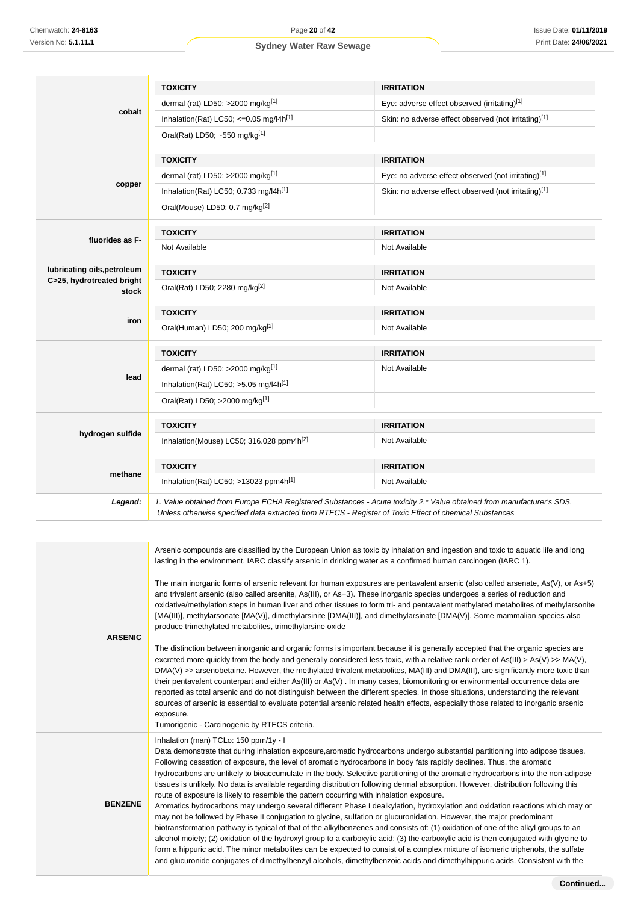|                                    | <b>TOXICITY</b>                                                                                               | <b>IRRITATION</b>                                                                                                                                                                                                                                                                                                                                                                                                                                                                                                                  |
|------------------------------------|---------------------------------------------------------------------------------------------------------------|------------------------------------------------------------------------------------------------------------------------------------------------------------------------------------------------------------------------------------------------------------------------------------------------------------------------------------------------------------------------------------------------------------------------------------------------------------------------------------------------------------------------------------|
|                                    | dermal (rat) LD50: >2000 mg/kg <sup>[1]</sup>                                                                 | Eye: adverse effect observed (irritating)[1]                                                                                                                                                                                                                                                                                                                                                                                                                                                                                       |
| cobalt                             | Inhalation(Rat) LC50; $\leq$ 0.05 mg/l4h <sup>[1]</sup>                                                       | Skin: no adverse effect observed (not irritating)[1]                                                                                                                                                                                                                                                                                                                                                                                                                                                                               |
|                                    | Oral(Rat) LD50; ~550 mg/kg[1]                                                                                 |                                                                                                                                                                                                                                                                                                                                                                                                                                                                                                                                    |
|                                    | <b>TOXICITY</b>                                                                                               | <b>IRRITATION</b>                                                                                                                                                                                                                                                                                                                                                                                                                                                                                                                  |
|                                    | dermal (rat) LD50: >2000 mg/kg <sup>[1]</sup>                                                                 | Eye: no adverse effect observed (not irritating)[1]                                                                                                                                                                                                                                                                                                                                                                                                                                                                                |
| copper                             | Inhalation(Rat) LC50; 0.733 mg/l4h <sup>[1]</sup>                                                             | Skin: no adverse effect observed (not irritating)[1]                                                                                                                                                                                                                                                                                                                                                                                                                                                                               |
|                                    | Oral(Mouse) LD50; 0.7 mg/kg <sup>[2]</sup>                                                                    |                                                                                                                                                                                                                                                                                                                                                                                                                                                                                                                                    |
| fluorides as F-                    | <b>TOXICITY</b>                                                                                               | <b>IRRITATION</b>                                                                                                                                                                                                                                                                                                                                                                                                                                                                                                                  |
|                                    | Not Available                                                                                                 | Not Available                                                                                                                                                                                                                                                                                                                                                                                                                                                                                                                      |
| lubricating oils, petroleum        | <b>TOXICITY</b>                                                                                               | <b>IRRITATION</b>                                                                                                                                                                                                                                                                                                                                                                                                                                                                                                                  |
| C>25, hydrotreated bright<br>stock | Oral(Rat) LD50; 2280 mg/kg <sup>[2]</sup>                                                                     | Not Available                                                                                                                                                                                                                                                                                                                                                                                                                                                                                                                      |
|                                    | <b>TOXICITY</b>                                                                                               | <b>IRRITATION</b>                                                                                                                                                                                                                                                                                                                                                                                                                                                                                                                  |
| iron                               | Oral(Human) LD50; 200 mg/kg <sup>[2]</sup>                                                                    | Not Available                                                                                                                                                                                                                                                                                                                                                                                                                                                                                                                      |
|                                    | <b>TOXICITY</b>                                                                                               | <b>IRRITATION</b>                                                                                                                                                                                                                                                                                                                                                                                                                                                                                                                  |
|                                    | dermal (rat) LD50: $>2000$ mg/kg <sup>[1]</sup>                                                               | Not Available                                                                                                                                                                                                                                                                                                                                                                                                                                                                                                                      |
| lead                               | Inhalation(Rat) LC50; $>5.05$ mg/l4h <sup>[1]</sup>                                                           |                                                                                                                                                                                                                                                                                                                                                                                                                                                                                                                                    |
|                                    | Oral(Rat) LD50; >2000 mg/kg <sup>[1]</sup>                                                                    |                                                                                                                                                                                                                                                                                                                                                                                                                                                                                                                                    |
|                                    | <b>TOXICITY</b>                                                                                               | <b>IRRITATION</b>                                                                                                                                                                                                                                                                                                                                                                                                                                                                                                                  |
| hydrogen sulfide                   | Inhalation(Mouse) LC50; 316.028 ppm4h <sup>[2]</sup>                                                          | Not Available                                                                                                                                                                                                                                                                                                                                                                                                                                                                                                                      |
|                                    | <b>TOXICITY</b>                                                                                               | <b>IRRITATION</b>                                                                                                                                                                                                                                                                                                                                                                                                                                                                                                                  |
| methane                            | Inhalation(Rat) LC50; >13023 ppm4h <sup>[1]</sup>                                                             | Not Available                                                                                                                                                                                                                                                                                                                                                                                                                                                                                                                      |
| Legend:                            | Unless otherwise specified data extracted from RTECS - Register of Toxic Effect of chemical Substances        | 1. Value obtained from Europe ECHA Registered Substances - Acute toxicity 2.* Value obtained from manufacturer's SDS.                                                                                                                                                                                                                                                                                                                                                                                                              |
|                                    |                                                                                                               |                                                                                                                                                                                                                                                                                                                                                                                                                                                                                                                                    |
|                                    | lasting in the environment. IARC classify arsenic in drinking water as a confirmed human carcinogen (IARC 1). | Arsenic compounds are classified by the European Union as toxic by inhalation and ingestion and toxic to aquatic life and long                                                                                                                                                                                                                                                                                                                                                                                                     |
|                                    | produce trimethylated metabolites trimethylarsine oxide                                                       | The main inorganic forms of arsenic relevant for human exposures are pentavalent arsenic (also called arsenate, As(V), or As+5)<br>and trivalent arsenic (also called arsenite, As(III), or As+3). These inorganic species undergoes a series of reduction and<br>oxidative/methylation steps in human liver and other tissues to form tri- and pentavalent methylated metabolites of methylarsonite<br>[MA(III)], methylarsonate [MA(V)], dimethylarsinite [DMA(III)], and dimethylarsinate [DMA(V)]. Some mammalian species also |

**ARSENIC**

**BENZENE**

The distinction between inorganic and organic forms is important because it is generally accepted that the organic species are excreted more quickly from the body and generally considered less toxic, with a relative rank order of As(III) > As(V) >> MA(V), DMA(V) >> arsenobetaine. However, the methylated trivalent metabolites, MA(III) and DMA(III), are significantly more toxic than their pentavalent counterpart and either As(III) or As(V) . In many cases, biomonitoring or environmental occurrence data are reported as total arsenic and do not distinguish between the different species. In those situations, understanding the relevant sources of arsenic is essential to evaluate potential arsenic related health effects, especially those related to inorganic arsenic exposure.

Tumorigenic - Carcinogenic by RTECS criteria.

Inhalation (man) TCLo: 150 ppm/1y - I

Data demonstrate that during inhalation exposure,aromatic hydrocarbons undergo substantial partitioning into adipose tissues. Following cessation of exposure, the level of aromatic hydrocarbons in body fats rapidly declines. Thus, the aromatic hydrocarbons are unlikely to bioaccumulate in the body. Selective partitioning of the aromatic hydrocarbons into the non-adipose tissues is unlikely. No data is available regarding distribution following dermal absorption. However, distribution following this route of exposure is likely to resemble the pattern occurring with inhalation exposure.

Aromatics hydrocarbons may undergo several different Phase I dealkylation, hydroxylation and oxidation reactions which may or may not be followed by Phase II conjugation to glycine, sulfation or glucuronidation. However, the major predominant biotransformation pathway is typical of that of the alkylbenzenes and consists of: (1) oxidation of one of the alkyl groups to an alcohol moiety; (2) oxidation of the hydroxyl group to a carboxylic acid; (3) the carboxylic acid is then conjugated with glycine to form a hippuric acid. The minor metabolites can be expected to consist of a complex mixture of isomeric triphenols, the sulfate and glucuronide conjugates of dimethylbenzyl alcohols, dimethylbenzoic acids and dimethylhippuric acids. Consistent with the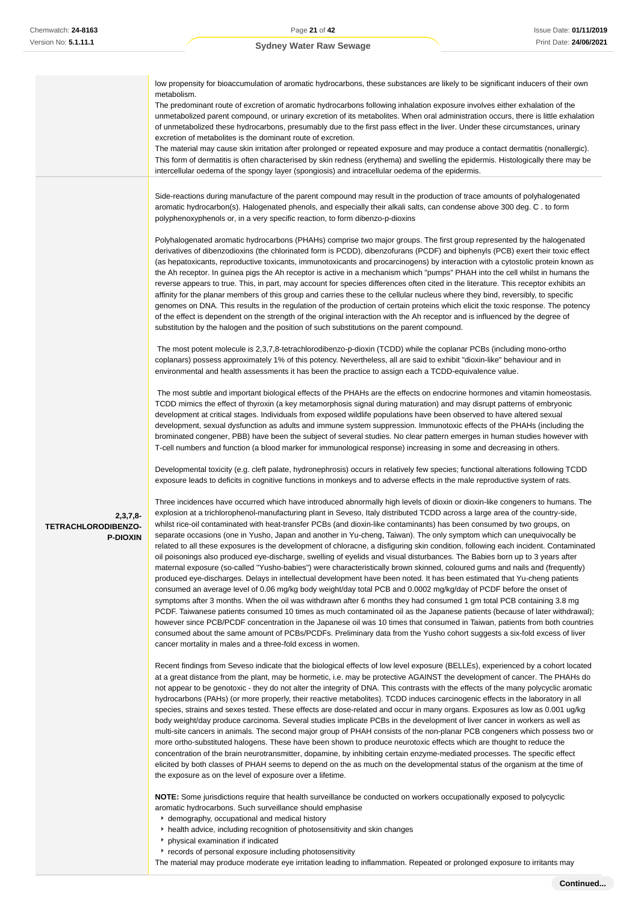|                                                      | low propensity for bioaccumulation of aromatic hydrocarbons, these substances are likely to be significant inducers of their own<br>metabolism.<br>The predominant route of excretion of aromatic hydrocarbons following inhalation exposure involves either exhalation of the<br>unmetabolized parent compound, or urinary excretion of its metabolites. When oral administration occurs, there is little exhalation<br>of unmetabolized these hydrocarbons, presumably due to the first pass effect in the liver. Under these circumstances, urinary<br>excretion of metabolites is the dominant route of excretion.<br>The material may cause skin irritation after prolonged or repeated exposure and may produce a contact dermatitis (nonallergic).<br>This form of dermatitis is often characterised by skin redness (erythema) and swelling the epidermis. Histologically there may be<br>intercellular oedema of the spongy layer (spongiosis) and intracellular oedema of the epidermis.                                                                                                                                                                                                                                                                                                                                                                                                                                                                                                                                                                                                                                                                                                                                                                                                                                                                                                                                                                                                                                                                                                                                                                                                                                                                                                                                                                                                                                                                                                                                                                                                                                                                                                                                                                                                                                                                                                                                                                                                                                                                                                                                                                                                                                                                                                                                                                                                                                                                                                                                                                                                                                                                                                                                                                                                                                                                                                                                                                                                                                                                                                                                                                                                                                                                                                                                                                                                                                                                                                                                                                                                                                                                                                                                                                                                                                                                                                                                                                                                                                                                                                                                                                                                                                                                                                                                                                                                                                                                                                                                                                                                                                                                                                                                                                                                                                                                                                                                                                                                                                                                                                                                                                                                                                                                                          |
|------------------------------------------------------|---------------------------------------------------------------------------------------------------------------------------------------------------------------------------------------------------------------------------------------------------------------------------------------------------------------------------------------------------------------------------------------------------------------------------------------------------------------------------------------------------------------------------------------------------------------------------------------------------------------------------------------------------------------------------------------------------------------------------------------------------------------------------------------------------------------------------------------------------------------------------------------------------------------------------------------------------------------------------------------------------------------------------------------------------------------------------------------------------------------------------------------------------------------------------------------------------------------------------------------------------------------------------------------------------------------------------------------------------------------------------------------------------------------------------------------------------------------------------------------------------------------------------------------------------------------------------------------------------------------------------------------------------------------------------------------------------------------------------------------------------------------------------------------------------------------------------------------------------------------------------------------------------------------------------------------------------------------------------------------------------------------------------------------------------------------------------------------------------------------------------------------------------------------------------------------------------------------------------------------------------------------------------------------------------------------------------------------------------------------------------------------------------------------------------------------------------------------------------------------------------------------------------------------------------------------------------------------------------------------------------------------------------------------------------------------------------------------------------------------------------------------------------------------------------------------------------------------------------------------------------------------------------------------------------------------------------------------------------------------------------------------------------------------------------------------------------------------------------------------------------------------------------------------------------------------------------------------------------------------------------------------------------------------------------------------------------------------------------------------------------------------------------------------------------------------------------------------------------------------------------------------------------------------------------------------------------------------------------------------------------------------------------------------------------------------------------------------------------------------------------------------------------------------------------------------------------------------------------------------------------------------------------------------------------------------------------------------------------------------------------------------------------------------------------------------------------------------------------------------------------------------------------------------------------------------------------------------------------------------------------------------------------------------------------------------------------------------------------------------------------------------------------------------------------------------------------------------------------------------------------------------------------------------------------------------------------------------------------------------------------------------------------------------------------------------------------------------------------------------------------------------------------------------------------------------------------------------------------------------------------------------------------------------------------------------------------------------------------------------------------------------------------------------------------------------------------------------------------------------------------------------------------------------------------------------------------------------------------------------------------------------------------------------------------------------------------------------------------------------------------------------------------------------------------------------------------------------------------------------------------------------------------------------------------------------------------------------------------------------------------------------------------------------------------------------------------------------------------------------------------------------------------------------------------------------------------------------------------------------------------------------------------------------------------------------------------------------------------------------------------------------------------------------------------------------------------------------------------------------------------------------------------------------------------------------------------------------------------------------------------------------------------------------------|
| $2,3,7,8-$<br>TETRACHLORODIBENZO-<br><b>P-DIOXIN</b> | Side-reactions during manufacture of the parent compound may result in the production of trace amounts of polyhalogenated<br>aromatic hydrocarbon(s). Halogenated phenols, and especially their alkali salts, can condense above 300 deg. C. to form<br>polyphenoxyphenols or, in a very specific reaction, to form dibenzo-p-dioxins<br>Polyhalogenated aromatic hydrocarbons (PHAHs) comprise two major groups. The first group represented by the halogenated<br>derivatives of dibenzodioxins (the chlorinated form is PCDD), dibenzofurans (PCDF) and biphenyls (PCB) exert their toxic effect<br>(as hepatoxicants, reproductive toxicants, immunotoxicants and procarcinogens) by interaction with a cytostolic protein known as<br>the Ah receptor. In guinea pigs the Ah receptor is active in a mechanism which "pumps" PHAH into the cell whilst in humans the<br>reverse appears to true. This, in part, may account for species differences often cited in the literature. This receptor exhibits an<br>affinity for the planar members of this group and carries these to the cellular nucleus where they bind, reversibly, to specific<br>genomes on DNA. This results in the regulation of the production of certain proteins which elicit the toxic response. The potency<br>of the effect is dependent on the strength of the original interaction with the Ah receptor and is influenced by the degree of<br>substitution by the halogen and the position of such substitutions on the parent compound.<br>The most potent molecule is 2,3,7,8-tetrachlorodibenzo-p-dioxin (TCDD) while the coplanar PCBs (including mono-ortho<br>coplanars) possess approximately 1% of this potency. Nevertheless, all are said to exhibit "dioxin-like" behaviour and in<br>environmental and health assessments it has been the practice to assign each a TCDD-equivalence value.<br>The most subtle and important biological effects of the PHAHs are the effects on endocrine hormones and vitamin homeostasis.<br>TCDD mimics the effect of thyroxin (a key metamorphosis signal during maturation) and may disrupt patterns of embryonic<br>development at critical stages. Individuals from exposed wildlife populations have been observed to have altered sexual<br>development, sexual dysfunction as adults and immune system suppression. Immunotoxic effects of the PHAHs (including the<br>brominated congener, PBB) have been the subject of several studies. No clear pattern emerges in human studies however with<br>T-cell numbers and function (a blood marker for immunological response) increasing in some and decreasing in others.<br>Developmental toxicity (e.g. cleft palate, hydronephrosis) occurs in relatively few species; functional alterations following TCDD<br>exposure leads to deficits in cognitive functions in monkeys and to adverse effects in the male reproductive system of rats.<br>Three incidences have occurred which have introduced abnormally high levels of dioxin or dioxin-like congeners to humans. The<br>explosion at a trichlorophenol-manufacturing plant in Seveso, Italy distributed TCDD across a large area of the country-side,<br>whilst rice-oil contaminated with heat-transfer PCBs (and dioxin-like contaminants) has been consumed by two groups, on<br>separate occasions (one in Yusho, Japan and another in Yu-cheng, Taiwan). The only symptom which can unequivocally be<br>related to all these exposures is the development of chloracne, a disfiguring skin condition, following each incident. Contaminated<br>oil poisonings also produced eye-discharge, swelling of eyelids and visual disturbances. The Babies born up to 3 years after<br>maternal exposure (so-called "Yusho-babies") were characteristically brown skinned, coloured gums and nails and (frequently)<br>produced eye-discharges. Delays in intellectual development have been noted. It has been estimated that Yu-cheng patients<br>consumed an average level of 0.06 mg/kg body weight/day total PCB and 0.0002 mg/kg/day of PCDF before the onset of<br>symptoms after 3 months. When the oil was withdrawn after 6 months they had consumed 1 gm total PCB containing 3.8 mg<br>PCDF. Taiwanese patients consumed 10 times as much contaminated oil as the Japanese patients (because of later withdrawal);<br>however since PCB/PCDF concentration in the Japanese oil was 10 times that consumed in Taiwan, patients from both countries<br>consumed about the same amount of PCBs/PCDFs. Preliminary data from the Yusho cohort suggests a six-fold excess of liver<br>cancer mortality in males and a three-fold excess in women.<br>Recent findings from Seveso indicate that the biological effects of low level exposure (BELLEs), experienced by a cohort located<br>at a great distance from the plant, may be hormetic, i.e. may be protective AGAINST the development of cancer. The PHAHs do<br>not appear to be genotoxic - they do not alter the integrity of DNA. This contrasts with the effects of the many polycyclic aromatic<br>hydrocarbons (PAHs) (or more properly, their reactive metabolites). TCDD induces carcinogenic effects in the laboratory in all<br>species, strains and sexes tested. These effects are dose-related and occur in many organs. Exposures as low as 0.001 ug/kg<br>body weight/day produce carcinoma. Several studies implicate PCBs in the development of liver cancer in workers as well as<br>multi-site cancers in animals. The second major group of PHAH consists of the non-planar PCB congeners which possess two or<br>more ortho-substituted halogens. These have been shown to produce neurotoxic effects which are thought to reduce the<br>concentration of the brain neurotransmitter, dopamine, by inhibiting certain enzyme-mediated processes. The specific effect<br>elicited by both classes of PHAH seems to depend on the as much on the developmental status of the organism at the time of<br>the exposure as on the level of exposure over a lifetime.<br>NOTE: Some jurisdictions require that health surveillance be conducted on workers occupationally exposed to polycyclic<br>aromatic hydrocarbons. Such surveillance should emphasise |

- demography, occupational and medical history
- health advice, including recognition of photosensitivity and skin changes
- physical examination if indicated
- **F** records of personal exposure including photosensitivity

The material may produce moderate eye irritation leading to inflammation. Repeated or prolonged exposure to irritants may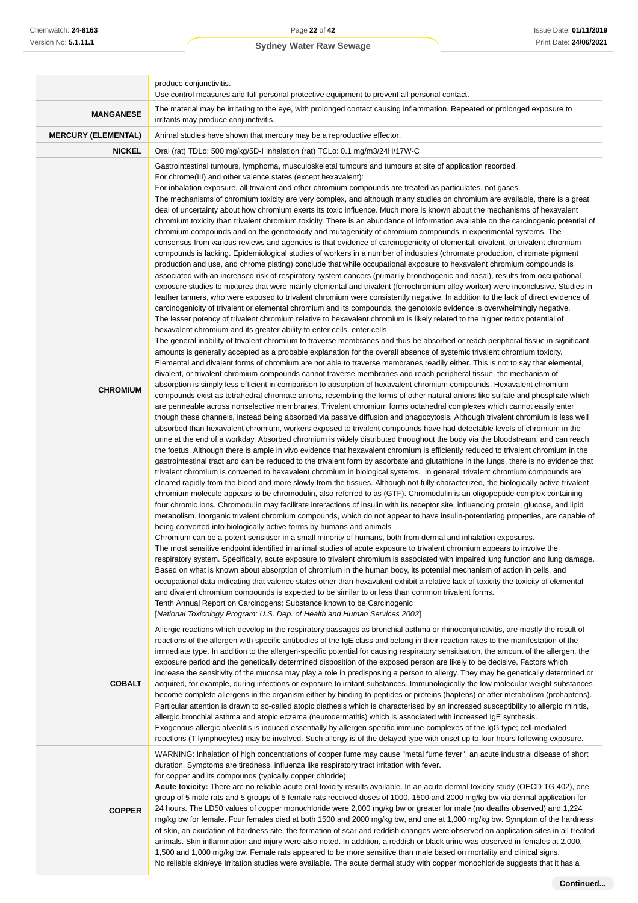|                            | produce conjunctivitis.<br>Use control measures and full personal protective equipment to prevent all personal contact.                                                                                                                                                                                                                                                                                                                                                                                                                                                                                                                                                                                                                                                                                                                                                                                                                                                                                                                                                                                                                                                                                                                                                                                                                                                                                                                                                                                                                                                                                                                                                                                                                                                                                                                                                                                                                                                                                                                                                                                                                                                                                                                                                                                                                                                                                                                                                                                                                                                                                                                                                                                                                                                                                                                                                                                                                                                                                                                                                                                                                                                                                                                                                                                                                                                                                                                                                                                                                                                                                                                                                                                                                                                                                                                                                                                                                                                                                                                                                                                                                                                                                                                                                                                                                                                                                                                                                                                                                                                                                                                                                                                                                                                                                                                                                                                                                                                                                                                                                                                                                                                                                        |
|----------------------------|----------------------------------------------------------------------------------------------------------------------------------------------------------------------------------------------------------------------------------------------------------------------------------------------------------------------------------------------------------------------------------------------------------------------------------------------------------------------------------------------------------------------------------------------------------------------------------------------------------------------------------------------------------------------------------------------------------------------------------------------------------------------------------------------------------------------------------------------------------------------------------------------------------------------------------------------------------------------------------------------------------------------------------------------------------------------------------------------------------------------------------------------------------------------------------------------------------------------------------------------------------------------------------------------------------------------------------------------------------------------------------------------------------------------------------------------------------------------------------------------------------------------------------------------------------------------------------------------------------------------------------------------------------------------------------------------------------------------------------------------------------------------------------------------------------------------------------------------------------------------------------------------------------------------------------------------------------------------------------------------------------------------------------------------------------------------------------------------------------------------------------------------------------------------------------------------------------------------------------------------------------------------------------------------------------------------------------------------------------------------------------------------------------------------------------------------------------------------------------------------------------------------------------------------------------------------------------------------------------------------------------------------------------------------------------------------------------------------------------------------------------------------------------------------------------------------------------------------------------------------------------------------------------------------------------------------------------------------------------------------------------------------------------------------------------------------------------------------------------------------------------------------------------------------------------------------------------------------------------------------------------------------------------------------------------------------------------------------------------------------------------------------------------------------------------------------------------------------------------------------------------------------------------------------------------------------------------------------------------------------------------------------------------------------------------------------------------------------------------------------------------------------------------------------------------------------------------------------------------------------------------------------------------------------------------------------------------------------------------------------------------------------------------------------------------------------------------------------------------------------------------------------------------------------------------------------------------------------------------------------------------------------------------------------------------------------------------------------------------------------------------------------------------------------------------------------------------------------------------------------------------------------------------------------------------------------------------------------------------------------------------------------------------------------------------------------------------------------------------------------------------------------------------------------------------------------------------------------------------------------------------------------------------------------------------------------------------------------------------------------------------------------------------------------------------------------------------------------------------------------------------------------------------------------------------------------------------------|
| <b>MANGANESE</b>           | The material may be irritating to the eye, with prolonged contact causing inflammation. Repeated or prolonged exposure to<br>irritants may produce conjunctivitis.                                                                                                                                                                                                                                                                                                                                                                                                                                                                                                                                                                                                                                                                                                                                                                                                                                                                                                                                                                                                                                                                                                                                                                                                                                                                                                                                                                                                                                                                                                                                                                                                                                                                                                                                                                                                                                                                                                                                                                                                                                                                                                                                                                                                                                                                                                                                                                                                                                                                                                                                                                                                                                                                                                                                                                                                                                                                                                                                                                                                                                                                                                                                                                                                                                                                                                                                                                                                                                                                                                                                                                                                                                                                                                                                                                                                                                                                                                                                                                                                                                                                                                                                                                                                                                                                                                                                                                                                                                                                                                                                                                                                                                                                                                                                                                                                                                                                                                                                                                                                                                             |
| <b>MERCURY (ELEMENTAL)</b> | Animal studies have shown that mercury may be a reproductive effector.                                                                                                                                                                                                                                                                                                                                                                                                                                                                                                                                                                                                                                                                                                                                                                                                                                                                                                                                                                                                                                                                                                                                                                                                                                                                                                                                                                                                                                                                                                                                                                                                                                                                                                                                                                                                                                                                                                                                                                                                                                                                                                                                                                                                                                                                                                                                                                                                                                                                                                                                                                                                                                                                                                                                                                                                                                                                                                                                                                                                                                                                                                                                                                                                                                                                                                                                                                                                                                                                                                                                                                                                                                                                                                                                                                                                                                                                                                                                                                                                                                                                                                                                                                                                                                                                                                                                                                                                                                                                                                                                                                                                                                                                                                                                                                                                                                                                                                                                                                                                                                                                                                                                         |
| <b>NICKEL</b>              | Oral (rat) TDLo: 500 mg/kg/5D-I Inhalation (rat) TCLo: 0.1 mg/m3/24H/17W-C                                                                                                                                                                                                                                                                                                                                                                                                                                                                                                                                                                                                                                                                                                                                                                                                                                                                                                                                                                                                                                                                                                                                                                                                                                                                                                                                                                                                                                                                                                                                                                                                                                                                                                                                                                                                                                                                                                                                                                                                                                                                                                                                                                                                                                                                                                                                                                                                                                                                                                                                                                                                                                                                                                                                                                                                                                                                                                                                                                                                                                                                                                                                                                                                                                                                                                                                                                                                                                                                                                                                                                                                                                                                                                                                                                                                                                                                                                                                                                                                                                                                                                                                                                                                                                                                                                                                                                                                                                                                                                                                                                                                                                                                                                                                                                                                                                                                                                                                                                                                                                                                                                                                     |
| <b>CHROMIUM</b>            | Gastrointestinal tumours, lymphoma, musculoskeletal tumours and tumours at site of application recorded.<br>For chrome(III) and other valence states (except hexavalent):<br>For inhalation exposure, all trivalent and other chromium compounds are treated as particulates, not gases.<br>The mechanisms of chromium toxicity are very complex, and although many studies on chromium are available, there is a great<br>deal of uncertainty about how chromium exerts its toxic influence. Much more is known about the mechanisms of hexavalent<br>chromium toxicity than trivalent chromium toxicity. There is an abundance of information available on the carcinogenic potential of<br>chromium compounds and on the genotoxicity and mutagenicity of chromium compounds in experimental systems. The<br>consensus from various reviews and agencies is that evidence of carcinogenicity of elemental, divalent, or trivalent chromium<br>compounds is lacking. Epidemiological studies of workers in a number of industries (chromate production, chromate pigment<br>production and use, and chrome plating) conclude that while occupational exposure to hexavalent chromium compounds is<br>associated with an increased risk of respiratory system cancers (primarily bronchogenic and nasal), results from occupational<br>exposure studies to mixtures that were mainly elemental and trivalent (ferrochromium alloy worker) were inconclusive. Studies in<br>leather tanners, who were exposed to trivalent chromium were consistently negative. In addition to the lack of direct evidence of<br>carcinogenicity of trivalent or elemental chromium and its compounds, the genotoxic evidence is overwhelmingly negative.<br>The lesser potency of trivalent chromium relative to hexavalent chromium is likely related to the higher redox potential of<br>hexavalent chromium and its greater ability to enter cells, enter cells<br>The general inability of trivalent chromium to traverse membranes and thus be absorbed or reach peripheral tissue in significant<br>amounts is generally accepted as a probable explanation for the overall absence of systemic trivalent chromium toxicity.<br>Elemental and divalent forms of chromium are not able to traverse membranes readily either. This is not to say that elemental,<br>divalent, or trivalent chromium compounds cannot traverse membranes and reach peripheral tissue, the mechanism of<br>absorption is simply less efficient in comparison to absorption of hexavalent chromium compounds. Hexavalent chromium<br>compounds exist as tetrahedral chromate anions, resembling the forms of other natural anions like sulfate and phosphate which<br>are permeable across nonselective membranes. Trivalent chromium forms octahedral complexes which cannot easily enter<br>though these channels, instead being absorbed via passive diffusion and phagocytosis. Although trivalent chromium is less well<br>absorbed than hexavalent chromium, workers exposed to trivalent compounds have had detectable levels of chromium in the<br>urine at the end of a workday. Absorbed chromium is widely distributed throughout the body via the bloodstream, and can reach<br>the foetus. Although there is ample in vivo evidence that hexavalent chromium is efficiently reduced to trivalent chromium in the<br>gastrointestinal tract and can be reduced to the trivalent form by ascorbate and glutathione in the lungs, there is no evidence that<br>trivalent chromium is converted to hexavalent chromium in biological systems. In general, trivalent chromium compounds are<br>cleared rapidly from the blood and more slowly from the tissues. Although not fully characterized, the biologically active trivalent<br>chromium molecule appears to be chromodulin, also referred to as (GTF). Chromodulin is an oligopeptide complex containing<br>four chromic ions. Chromodulin may facilitate interactions of insulin with its receptor site, influencing protein, glucose, and lipid<br>metabolism. Inorganic trivalent chromium compounds, which do not appear to have insulin-potentiating properties, are capable of<br>being converted into biologically active forms by humans and animals<br>Chromium can be a potent sensitiser in a small minority of humans, both from dermal and inhalation exposures.<br>The most sensitive endpoint identified in animal studies of acute exposure to trivalent chromium appears to involve the<br>respiratory system. Specifically, acute exposure to trivalent chromium is associated with impaired lung function and lung damage.<br>Based on what is known about absorption of chromium in the human body, its potential mechanism of action in cells, and<br>occupational data indicating that valence states other than hexavalent exhibit a relative lack of toxicity the toxicity of elemental<br>and divalent chromium compounds is expected to be similar to or less than common trivalent forms.<br>Tenth Annual Report on Carcinogens: Substance known to be Carcinogenic<br>[National Toxicology Program: U.S. Dep. of Health and Human Services 2002] |
| <b>COBALT</b>              | Allergic reactions which develop in the respiratory passages as bronchial asthma or rhinoconjunctivitis, are mostly the result of<br>reactions of the allergen with specific antibodies of the IgE class and belong in their reaction rates to the manifestation of the<br>immediate type. In addition to the allergen-specific potential for causing respiratory sensitisation, the amount of the allergen, the<br>exposure period and the genetically determined disposition of the exposed person are likely to be decisive. Factors which<br>increase the sensitivity of the mucosa may play a role in predisposing a person to allergy. They may be genetically determined or<br>acquired, for example, during infections or exposure to irritant substances. Immunologically the low molecular weight substances<br>become complete allergens in the organism either by binding to peptides or proteins (haptens) or after metabolism (prohaptens).<br>Particular attention is drawn to so-called atopic diathesis which is characterised by an increased susceptibility to allergic rhinitis,<br>allergic bronchial asthma and atopic eczema (neurodermatitis) which is associated with increased IgE synthesis.<br>Exogenous allergic alveolitis is induced essentially by allergen specific immune-complexes of the IgG type; cell-mediated<br>reactions (T lymphocytes) may be involved. Such allergy is of the delayed type with onset up to four hours following exposure.                                                                                                                                                                                                                                                                                                                                                                                                                                                                                                                                                                                                                                                                                                                                                                                                                                                                                                                                                                                                                                                                                                                                                                                                                                                                                                                                                                                                                                                                                                                                                                                                                                                                                                                                                                                                                                                                                                                                                                                                                                                                                                                                                                                                                                                                                                                                                                                                                                                                                                                                                                                                                                                                                                                                                                                                                                                                                                                                                                                                                                                                                                                                                                                                                                                                                                                                                                                                                                                                                                                                                                                                                                                                                                                         |
| <b>COPPER</b>              | WARNING: Inhalation of high concentrations of copper fume may cause "metal fume fever", an acute industrial disease of short<br>duration. Symptoms are tiredness, influenza like respiratory tract irritation with fever.<br>for copper and its compounds (typically copper chloride):<br>Acute toxicity: There are no reliable acute oral toxicity results available. In an acute dermal toxicity study (OECD TG 402), one<br>group of 5 male rats and 5 groups of 5 female rats received doses of 1000, 1500 and 2000 mg/kg bw via dermal application for<br>24 hours. The LD50 values of copper monochloride were 2,000 mg/kg bw or greater for male (no deaths observed) and 1,224<br>mg/kg bw for female. Four females died at both 1500 and 2000 mg/kg bw, and one at 1,000 mg/kg bw. Symptom of the hardness<br>of skin, an exudation of hardness site, the formation of scar and reddish changes were observed on application sites in all treated<br>animals. Skin inflammation and injury were also noted. In addition, a reddish or black urine was observed in females at 2,000,<br>1,500 and 1,000 mg/kg bw. Female rats appeared to be more sensitive than male based on mortality and clinical signs.<br>No reliable skin/eye irritation studies were available. The acute dermal study with copper monochloride suggests that it has a                                                                                                                                                                                                                                                                                                                                                                                                                                                                                                                                                                                                                                                                                                                                                                                                                                                                                                                                                                                                                                                                                                                                                                                                                                                                                                                                                                                                                                                                                                                                                                                                                                                                                                                                                                                                                                                                                                                                                                                                                                                                                                                                                                                                                                                                                                                                                                                                                                                                                                                                                                                                                                                                                                                                                                                                                                                                                                                                                                                                                                                                                                                                                                                                                                                                                                                                                                                                                                                                                                                                                                                                                                                                                                                                                                                                                                                         |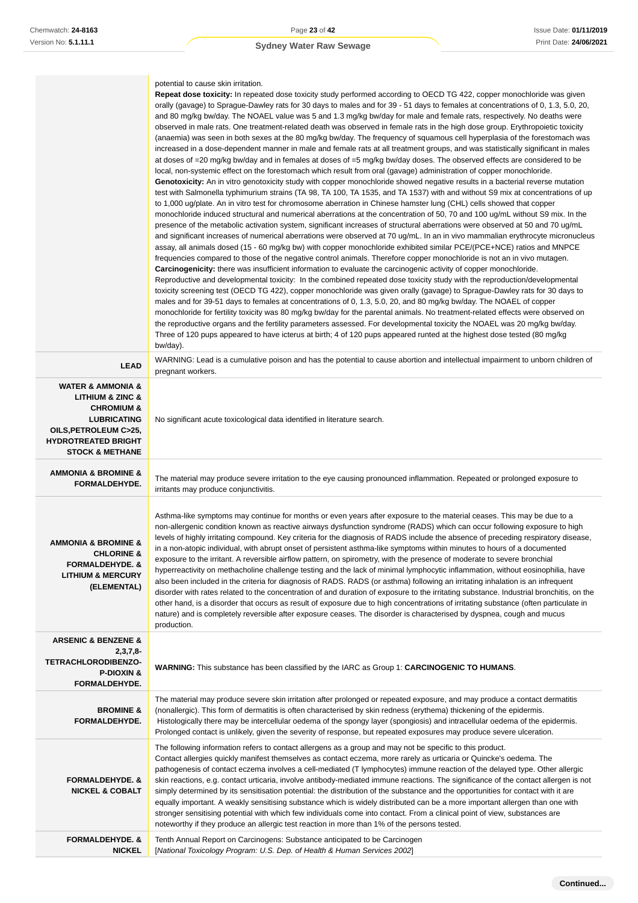|                                                                                                                                                                                          | potential to cause skin irritation.<br><b>Repeat dose toxicity:</b> In repeated dose toxicity study performed according to OECD TG 422, copper monochloride was given<br>orally (gavage) to Sprague-Dawley rats for 30 days to males and for 39 - 51 days to females at concentrations of 0, 1.3, 5.0, 20,<br>and 80 mg/kg bw/day. The NOAEL value was 5 and 1.3 mg/kg bw/day for male and female rats, respectively. No deaths were<br>observed in male rats. One treatment-related death was observed in female rats in the high dose group. Erythropoietic toxicity<br>(anaemia) was seen in both sexes at the 80 mg/kg bw/day. The frequency of squamous cell hyperplasia of the forestomach was<br>increased in a dose-dependent manner in male and female rats at all treatment groups, and was statistically significant in males<br>at doses of =20 mg/kg bw/day and in females at doses of =5 mg/kg bw/day doses. The observed effects are considered to be<br>local, non-systemic effect on the forestomach which result from oral (gavage) administration of copper monochloride.<br>Genotoxicity: An in vitro genotoxicity study with copper monochloride showed negative results in a bacterial reverse mutation<br>test with Salmonella typhimurium strains (TA 98, TA 100, TA 1535, and TA 1537) with and without S9 mix at concentrations of up<br>to 1,000 ug/plate. An in vitro test for chromosome aberration in Chinese hamster lung (CHL) cells showed that copper<br>monochloride induced structural and numerical aberrations at the concentration of 50, 70 and 100 ug/mL without S9 mix. In the<br>presence of the metabolic activation system, significant increases of structural aberrations were observed at 50 and 70 ug/mL<br>and significant increases of numerical aberrations were observed at 70 ug/mL. In an in vivo mammalian erythrocyte micronucleus<br>assay, all animals dosed (15 - 60 mg/kg bw) with copper monochloride exhibited similar PCE/(PCE+NCE) ratios and MNPCE<br>frequencies compared to those of the negative control animals. Therefore copper monochloride is not an in vivo mutagen.<br>Carcinogenicity: there was insufficient information to evaluate the carcinogenic activity of copper monochloride. |
|------------------------------------------------------------------------------------------------------------------------------------------------------------------------------------------|----------------------------------------------------------------------------------------------------------------------------------------------------------------------------------------------------------------------------------------------------------------------------------------------------------------------------------------------------------------------------------------------------------------------------------------------------------------------------------------------------------------------------------------------------------------------------------------------------------------------------------------------------------------------------------------------------------------------------------------------------------------------------------------------------------------------------------------------------------------------------------------------------------------------------------------------------------------------------------------------------------------------------------------------------------------------------------------------------------------------------------------------------------------------------------------------------------------------------------------------------------------------------------------------------------------------------------------------------------------------------------------------------------------------------------------------------------------------------------------------------------------------------------------------------------------------------------------------------------------------------------------------------------------------------------------------------------------------------------------------------------------------------------------------------------------------------------------------------------------------------------------------------------------------------------------------------------------------------------------------------------------------------------------------------------------------------------------------------------------------------------------------------------------------------------------------------------------------------------------------------------------------|
|                                                                                                                                                                                          | Reproductive and developmental toxicity: In the combined repeated dose toxicity study with the reproduction/developmental<br>toxicity screening test (OECD TG 422), copper monochloride was given orally (gavage) to Sprague-Dawley rats for 30 days to<br>males and for 39-51 days to females at concentrations of 0, 1.3, 5.0, 20, and 80 mg/kg bw/day. The NOAEL of copper<br>monochloride for fertility toxicity was 80 mg/kg bw/day for the parental animals. No treatment-related effects were observed on<br>the reproductive organs and the fertility parameters assessed. For developmental toxicity the NOAEL was 20 mg/kg bw/day.<br>Three of 120 pups appeared to have icterus at birth; 4 of 120 pups appeared runted at the highest dose tested (80 mg/kg)<br>bw/day).                                                                                                                                                                                                                                                                                                                                                                                                                                                                                                                                                                                                                                                                                                                                                                                                                                                                                                                                                                                                                                                                                                                                                                                                                                                                                                                                                                                                                                                                                 |
| <b>LEAD</b>                                                                                                                                                                              | WARNING: Lead is a cumulative poison and has the potential to cause abortion and intellectual impairment to unborn children of<br>pregnant workers.                                                                                                                                                                                                                                                                                                                                                                                                                                                                                                                                                                                                                                                                                                                                                                                                                                                                                                                                                                                                                                                                                                                                                                                                                                                                                                                                                                                                                                                                                                                                                                                                                                                                                                                                                                                                                                                                                                                                                                                                                                                                                                                  |
| <b>WATER &amp; AMMONIA &amp;</b><br>LITHIUM & ZINC &<br><b>CHROMIUM &amp;</b><br><b>LUBRICATING</b><br>OILS, PETROLEUM C>25,<br><b>HYDROTREATED BRIGHT</b><br><b>STOCK &amp; METHANE</b> | No significant acute toxicological data identified in literature search.                                                                                                                                                                                                                                                                                                                                                                                                                                                                                                                                                                                                                                                                                                                                                                                                                                                                                                                                                                                                                                                                                                                                                                                                                                                                                                                                                                                                                                                                                                                                                                                                                                                                                                                                                                                                                                                                                                                                                                                                                                                                                                                                                                                             |
| <b>AMMONIA &amp; BROMINE &amp;</b><br>FORMALDEHYDE.                                                                                                                                      | The material may produce severe irritation to the eye causing pronounced inflammation. Repeated or prolonged exposure to<br>irritants may produce conjunctivitis.                                                                                                                                                                                                                                                                                                                                                                                                                                                                                                                                                                                                                                                                                                                                                                                                                                                                                                                                                                                                                                                                                                                                                                                                                                                                                                                                                                                                                                                                                                                                                                                                                                                                                                                                                                                                                                                                                                                                                                                                                                                                                                    |
| <b>AMMONIA &amp; BROMINE &amp;</b><br><b>CHLORINE &amp;</b><br><b>FORMALDEHYDE. &amp;</b><br><b>LITHIUM &amp; MERCURY</b><br>(ELEMENTAL)                                                 | Asthma-like symptoms may continue for months or even years after exposure to the material ceases. This may be due to a<br>non-allergenic condition known as reactive airways dysfunction syndrome (RADS) which can occur following exposure to high<br>levels of highly irritating compound. Key criteria for the diagnosis of RADS include the absence of preceding respiratory disease,<br>in a non-atopic individual, with abrupt onset of persistent asthma-like symptoms within minutes to hours of a documented<br>exposure to the irritant. A reversible airflow pattern, on spirometry, with the presence of moderate to severe bronchial<br>hyperreactivity on methacholine challenge testing and the lack of minimal lymphocytic inflammation, without eosinophilia, have<br>also been included in the criteria for diagnosis of RADS. RADS (or asthma) following an irritating inhalation is an infrequent<br>disorder with rates related to the concentration of and duration of exposure to the irritating substance. Industrial bronchitis, on the<br>other hand, is a disorder that occurs as result of exposure due to high concentrations of irritating substance (often particulate in<br>nature) and is completely reversible after exposure ceases. The disorder is characterised by dyspnea, cough and mucus<br>production.                                                                                                                                                                                                                                                                                                                                                                                                                                                                                                                                                                                                                                                                                                                                                                                                                                                                                                                     |
| <b>ARSENIC &amp; BENZENE &amp;</b><br>$2,3,7,8-$<br><b>TETRACHLORODIBENZO-</b><br><b>P-DIOXIN &amp;</b><br>FORMALDEHYDE.                                                                 | <b>WARNING:</b> This substance has been classified by the IARC as Group 1: CARCINOGENIC TO HUMANS.                                                                                                                                                                                                                                                                                                                                                                                                                                                                                                                                                                                                                                                                                                                                                                                                                                                                                                                                                                                                                                                                                                                                                                                                                                                                                                                                                                                                                                                                                                                                                                                                                                                                                                                                                                                                                                                                                                                                                                                                                                                                                                                                                                   |
| <b>BROMINE &amp;</b><br>FORMALDEHYDE.                                                                                                                                                    | The material may produce severe skin irritation after prolonged or repeated exposure, and may produce a contact dermatitis<br>(nonallergic). This form of dermatitis is often characterised by skin redness (erythema) thickening of the epidermis.<br>Histologically there may be intercellular oedema of the spongy layer (spongiosis) and intracellular oedema of the epidermis.<br>Prolonged contact is unlikely, given the severity of response, but repeated exposures may produce severe ulceration.                                                                                                                                                                                                                                                                                                                                                                                                                                                                                                                                                                                                                                                                                                                                                                                                                                                                                                                                                                                                                                                                                                                                                                                                                                                                                                                                                                                                                                                                                                                                                                                                                                                                                                                                                          |
| <b>FORMALDEHYDE. &amp;</b><br><b>NICKEL &amp; COBALT</b>                                                                                                                                 | The following information refers to contact allergens as a group and may not be specific to this product.<br>Contact allergies quickly manifest themselves as contact eczema, more rarely as urticaria or Quincke's oedema. The<br>pathogenesis of contact eczema involves a cell-mediated (T lymphocytes) immune reaction of the delayed type. Other allergic<br>skin reactions, e.g. contact urticaria, involve antibody-mediated immune reactions. The significance of the contact allergen is not<br>simply determined by its sensitisation potential: the distribution of the substance and the opportunities for contact with it are<br>equally important. A weakly sensitising substance which is widely distributed can be a more important allergen than one with<br>stronger sensitising potential with which few individuals come into contact. From a clinical point of view, substances are<br>noteworthy if they produce an allergic test reaction in more than 1% of the persons tested.                                                                                                                                                                                                                                                                                                                                                                                                                                                                                                                                                                                                                                                                                                                                                                                                                                                                                                                                                                                                                                                                                                                                                                                                                                                              |
| <b>FORMALDEHYDE. &amp;</b><br><b>NICKEL</b>                                                                                                                                              | Tenth Annual Report on Carcinogens: Substance anticipated to be Carcinogen<br>[National Toxicology Program: U.S. Dep. of Health & Human Services 2002]                                                                                                                                                                                                                                                                                                                                                                                                                                                                                                                                                                                                                                                                                                                                                                                                                                                                                                                                                                                                                                                                                                                                                                                                                                                                                                                                                                                                                                                                                                                                                                                                                                                                                                                                                                                                                                                                                                                                                                                                                                                                                                               |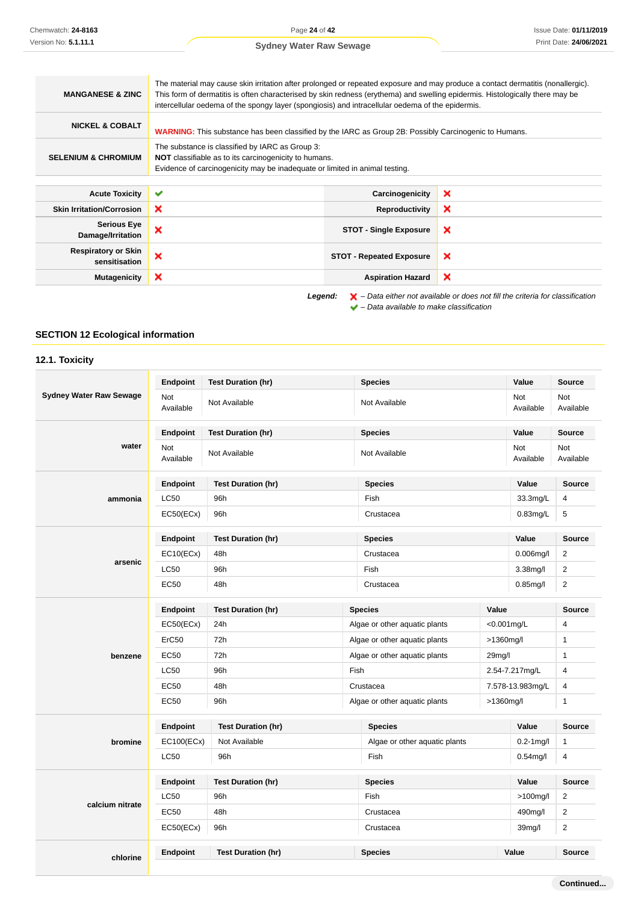| <b>MANGANESE &amp; ZINC</b>                 | The material may cause skin irritation after prolonged or repeated exposure and may produce a contact dermatitis (nonallergic).<br>This form of dermatitis is often characterised by skin redness (erythema) and swelling epidermis. Histologically there may be<br>intercellular oedema of the spongy layer (spongiosis) and intracellular oedema of the epidermis. |                                 |                                                                                                    |
|---------------------------------------------|----------------------------------------------------------------------------------------------------------------------------------------------------------------------------------------------------------------------------------------------------------------------------------------------------------------------------------------------------------------------|---------------------------------|----------------------------------------------------------------------------------------------------|
| <b>NICKEL &amp; COBALT</b>                  | WARNING: This substance has been classified by the IARC as Group 2B: Possibly Carcinogenic to Humans.                                                                                                                                                                                                                                                                |                                 |                                                                                                    |
| <b>SELENIUM &amp; CHROMIUM</b>              | The substance is classified by IARC as Group 3:<br><b>NOT</b> classifiable as to its carcinogenicity to humans.<br>Evidence of carcinogenicity may be inadequate or limited in animal testing.                                                                                                                                                                       |                                 |                                                                                                    |
| <b>Acute Toxicity</b>                       | ✔                                                                                                                                                                                                                                                                                                                                                                    | Carcinogenicity                 | ×                                                                                                  |
| <b>Skin Irritation/Corrosion</b>            | ×                                                                                                                                                                                                                                                                                                                                                                    | Reproductivity                  | ×                                                                                                  |
| <b>Serious Eye</b><br>Damage/Irritation     | ×                                                                                                                                                                                                                                                                                                                                                                    | <b>STOT - Single Exposure</b>   | ×                                                                                                  |
| <b>Respiratory or Skin</b><br>sensitisation | ×                                                                                                                                                                                                                                                                                                                                                                    | <b>STOT - Repeated Exposure</b> | ×                                                                                                  |
| <b>Mutagenicity</b>                         | ×                                                                                                                                                                                                                                                                                                                                                                    | <b>Aspiration Hazard</b>        | ×                                                                                                  |
|                                             | Legend:                                                                                                                                                                                                                                                                                                                                                              |                                 | $\blacktriangleright$ - Data either not available or does not fill the criteria for classification |

 $\blacktriangleright$  – Data available to make classification

### **SECTION 12 Ecological information**

### **12.1. Toxicity**

|                                | <b>Endpoint</b>         | <b>Test Duration (hr)</b> | <b>Species</b>                |                     | Value                   | Source                  |
|--------------------------------|-------------------------|---------------------------|-------------------------------|---------------------|-------------------------|-------------------------|
| <b>Sydney Water Raw Sewage</b> | <b>Not</b><br>Available | Not Available             | Not Available                 |                     | <b>Not</b><br>Available | <b>Not</b><br>Available |
|                                | Endpoint                | <b>Test Duration (hr)</b> | <b>Species</b>                |                     | Value                   | Source                  |
| water                          | Not<br>Available        | Not Available             | Not Available                 |                     | Not<br>Available        | <b>Not</b><br>Available |
|                                | Endpoint                | <b>Test Duration (hr)</b> | <b>Species</b>                |                     | Value                   | <b>Source</b>           |
| ammonia                        | <b>LC50</b>             | 96h                       | Fish                          |                     | 33.3mg/L                | 4                       |
|                                | EC50(ECx)               | 96h                       | Crustacea                     |                     | $0.83$ mg/L             | 5                       |
|                                | Endpoint                | <b>Test Duration (hr)</b> | <b>Species</b>                |                     | Value                   | <b>Source</b>           |
|                                | EC10(ECx)               | 48h                       | Crustacea                     |                     | $0.006$ mg/l            | $\overline{2}$          |
| arsenic                        | <b>LC50</b>             | 96h                       | Fish                          |                     | $3.38$ mg/l             | $\overline{2}$          |
|                                | EC50                    | 48h                       | Crustacea                     |                     | $0.85$ mg/l             | $\overline{2}$          |
|                                | <b>Endpoint</b>         | <b>Test Duration (hr)</b> | <b>Species</b>                | Value               |                         | <b>Source</b>           |
|                                | EC50(ECx)               | 24h                       | Algae or other aquatic plants |                     | $< 0.001$ mg/L          | 4                       |
|                                | ErC50                   | 72h                       | Algae or other aquatic plants | >1360mg/l           |                         | $\mathbf{1}$            |
| benzene                        | EC50                    | 72h                       | Algae or other aquatic plants | 29 <sub>mg</sub> /l |                         | $\mathbf{1}$            |
|                                | <b>LC50</b>             | 96h                       | Fish                          |                     | 2.54-7.217mg/L          | 4                       |
|                                | EC50                    | 48h                       | Crustacea                     |                     | 7.578-13.983mg/L        | 4                       |
|                                | EC50                    | 96h                       | Algae or other aquatic plants | >1360mg/l           |                         | $\mathbf{1}$            |
|                                | Endpoint                | <b>Test Duration (hr)</b> | <b>Species</b>                |                     | Value                   | <b>Source</b>           |
| bromine                        | EC100(ECx)              | Not Available             | Algae or other aquatic plants |                     | $0.2 - 1$ mg/l          | $\mathbf{1}$            |
|                                | <b>LC50</b>             | 96h                       | Fish                          |                     | $0.54$ mg/l             | 4                       |
|                                | Endpoint                | <b>Test Duration (hr)</b> | <b>Species</b>                |                     | Value                   | Source                  |
|                                | LC50                    | 96h                       | Fish                          |                     | $>100$ mg/l             | $\sqrt{2}$              |
| calcium nitrate                | EC50                    | 48h                       | Crustacea                     |                     | 490mg/l                 | $\overline{2}$          |
|                                | EC50(ECx)               | 96h                       | Crustacea                     |                     | 39 <sub>mg</sub> /l     | $\overline{2}$          |
|                                | Endpoint                | <b>Test Duration (hr)</b> | <b>Species</b>                | Value               |                         | Source                  |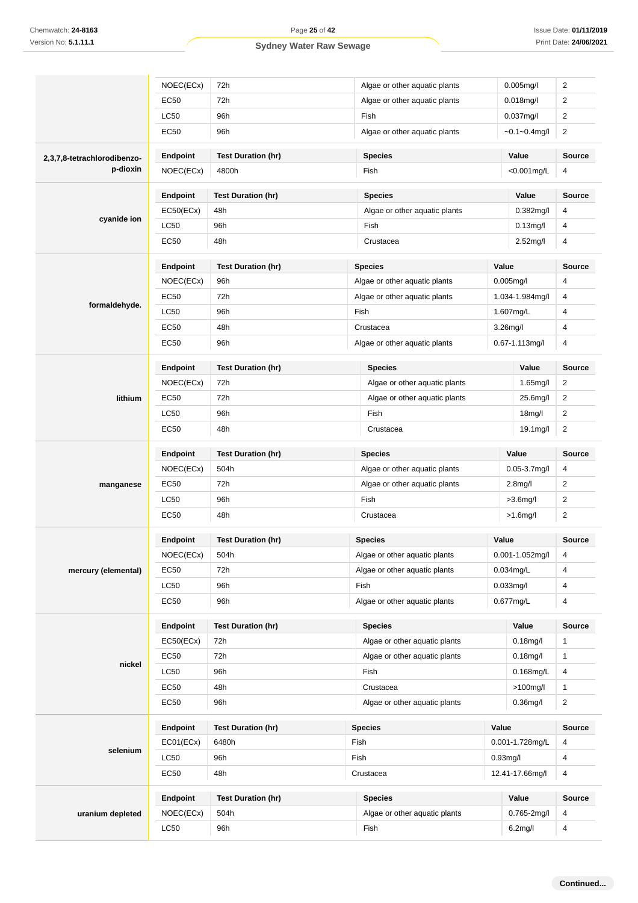|                             | NOEC(ECx)             | 72h                               |                               | Algae or other aquatic plants                   |                     | $0.005$ mg/l                   | $\overline{2}$                 |
|-----------------------------|-----------------------|-----------------------------------|-------------------------------|-------------------------------------------------|---------------------|--------------------------------|--------------------------------|
|                             | <b>EC50</b>           | 72h                               |                               | Algae or other aquatic plants                   |                     | $0.018$ mg/l                   | 2                              |
|                             | <b>LC50</b>           | 96h                               |                               | Fish                                            |                     | 0.037mg/l                      | $\overline{2}$                 |
|                             | <b>EC50</b>           | 96h                               |                               | Algae or other aquatic plants                   |                     | $-0.1 - 0.4$ mg/l              | $\overline{2}$                 |
| 2,3,7,8-tetrachlorodibenzo- | Endpoint              | <b>Test Duration (hr)</b>         |                               | <b>Species</b>                                  |                     | Value                          | Source                         |
| p-dioxin                    | NOEC(ECx)             | 4800h                             |                               | Fish                                            | <0.001mg/L          |                                | 4                              |
|                             | Endpoint              | <b>Test Duration (hr)</b>         |                               | <b>Species</b>                                  |                     | Value                          | Source                         |
|                             | EC50(ECx)             | 48h                               |                               | Algae or other aquatic plants                   |                     | $0.382$ mg/l                   | 4                              |
| cyanide ion                 | <b>LC50</b>           | 96h                               |                               | Fish                                            |                     | $0.13$ mg/l                    | 4                              |
|                             | <b>EC50</b>           | 48h                               |                               | Crustacea                                       |                     | 2.52mg/l                       | 4                              |
|                             | Endpoint              | <b>Test Duration (hr)</b>         |                               | <b>Species</b>                                  |                     | Value                          | Source                         |
|                             | NOEC(ECx)             | 96h                               |                               | Algae or other aquatic plants                   |                     | $0.005$ mg/l                   | 4                              |
|                             |                       |                                   |                               |                                                 |                     |                                |                                |
| formaldehyde.               | <b>EC50</b>           | 72h                               |                               | Algae or other aquatic plants                   |                     | 1.034-1.984mg/l                | 4                              |
|                             | <b>LC50</b>           | 96h                               |                               | Fish                                            |                     | 1.607mg/L                      | 4                              |
|                             | <b>EC50</b>           | 48h                               |                               | Crustacea                                       |                     | 3.26mg/l                       | 4                              |
|                             | <b>EC50</b>           | 96h                               |                               | Algae or other aquatic plants                   |                     | 0.67-1.113mg/l                 | 4                              |
|                             | Endpoint              | <b>Test Duration (hr)</b>         |                               | <b>Species</b>                                  |                     | Value                          | Source                         |
|                             | NOEC(ECx)             | 72h                               |                               | Algae or other aquatic plants                   |                     | $1.65$ mg/l                    | $\overline{2}$                 |
| lithium                     | <b>EC50</b>           | 72h                               | Algae or other aquatic plants |                                                 |                     | 25.6mg/l                       | $\overline{2}$                 |
|                             | LC50                  | 96h<br>Fish                       |                               |                                                 | 18 <sub>mg</sub> /l | 2                              |                                |
|                             | <b>EC50</b>           | 48h<br>Crustacea                  |                               |                                                 | 19.1mg/l            | $\overline{2}$                 |                                |
|                             | <b>Endpoint</b>       | <b>Test Duration (hr)</b>         |                               | <b>Species</b>                                  |                     | Value                          | <b>Source</b>                  |
|                             | NOEC(ECx)             | 504h                              |                               | Algae or other aquatic plants                   |                     | 0.05-3.7mg/l                   | 4                              |
| manganese                   | EC50                  | 72h                               |                               | Algae or other aquatic plants                   |                     | 2.8 <sub>mg</sub> /I           | 2                              |
|                             | <b>LC50</b>           | 96h                               |                               | Fish                                            |                     | $>3.6$ mg/l                    | $\overline{c}$                 |
|                             | EC50                  | 48h<br>Crustacea                  |                               | $>1.6$ mg/l                                     | $\overline{2}$      |                                |                                |
|                             | <b>Endpoint</b>       | <b>Test Duration (hr)</b>         |                               | <b>Species</b>                                  |                     | Value                          | <b>Source</b>                  |
|                             | NOEC(ECx)             | 504h                              |                               | Algae or other aquatic plants                   |                     | 0.001-1.052mg/l                | 4                              |
| mercury (elemental)         | <b>EC50</b>           | 72h                               |                               | Algae or other aquatic plants                   |                     | 0.034mg/L                      | 4                              |
|                             | <b>LC50</b>           | 96h                               |                               | Fish                                            |                     | 0.033mg/l                      | 4                              |
|                             | <b>EC50</b>           | 96h                               |                               | Algae or other aquatic plants                   |                     | 0.677mg/L                      | 4                              |
|                             | Endpoint              | <b>Test Duration (hr)</b>         |                               | <b>Species</b>                                  |                     | Value                          | <b>Source</b>                  |
|                             | EC50(ECx)             | 72h                               |                               | Algae or other aquatic plants                   |                     | $0.18$ mg/l                    | $\mathbf{1}$                   |
|                             | <b>EC50</b>           | 72h                               |                               | Algae or other aquatic plants                   |                     | $0.18$ mg/l                    | $\mathbf{1}$                   |
|                             |                       |                                   |                               |                                                 |                     | $0.168$ mg/L                   | 4                              |
| nickel                      |                       |                                   |                               | Fish                                            |                     |                                |                                |
|                             | <b>LC50</b>           | 96h                               |                               |                                                 |                     |                                |                                |
|                             | <b>EC50</b><br>EC50   | 48h<br>96h                        |                               | Crustacea<br>Algae or other aquatic plants      |                     | $>100$ mg/l<br>$0.36$ mg/l     | $\mathbf{1}$<br>$\overline{2}$ |
|                             |                       |                                   |                               |                                                 |                     |                                |                                |
|                             | Endpoint              | <b>Test Duration (hr)</b>         |                               | <b>Species</b>                                  | Value               |                                |                                |
| selenium                    | EC01(ECx)             | 6480h                             |                               | Fish                                            |                     | 0.001-1.728mg/L                | 4                              |
|                             | <b>LC50</b><br>EC50   | 96h<br>48h                        |                               | Fish<br>Crustacea                               |                     | $0.93$ mg/l<br>12.41-17.66mg/l | Source<br>$\overline{4}$<br>4  |
|                             |                       |                                   |                               |                                                 |                     |                                |                                |
| uranium depleted            | Endpoint<br>NOEC(ECx) | <b>Test Duration (hr)</b><br>504h |                               | <b>Species</b><br>Algae or other aquatic plants |                     | Value<br>0.765-2mg/l           | <b>Source</b><br>4             |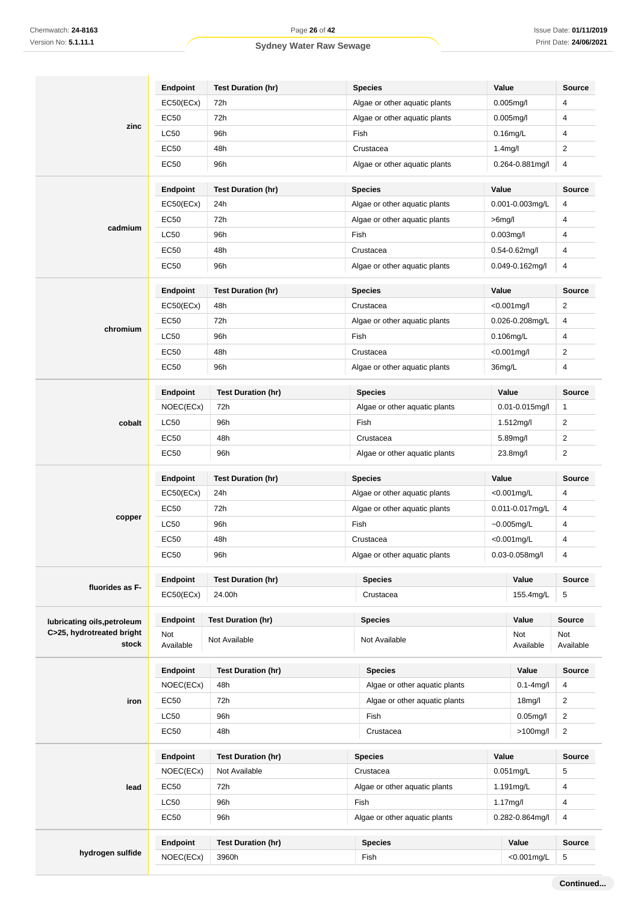|                                    | <b>Endpoint</b>       | <b>Test Duration (hr)</b>        | <b>Species</b>                                  | Value                   | <b>Source</b>       |
|------------------------------------|-----------------------|----------------------------------|-------------------------------------------------|-------------------------|---------------------|
| zinc                               | EC50(ECx)             | 72h                              | Algae or other aquatic plants                   | $0.005$ mg/l            | 4                   |
|                                    | <b>EC50</b>           | 72h                              | Algae or other aquatic plants                   | $0.005$ mg/l            | 4                   |
|                                    | <b>LC50</b>           | 96h                              | Fish                                            | $0.16$ mg/L             | 4                   |
|                                    | EC50                  | 48h                              | Crustacea                                       | 1.4 <sub>mg</sub> /l    | $\overline{2}$      |
|                                    | <b>EC50</b>           | 96h                              | Algae or other aquatic plants                   | 0.264-0.881mg/l         | 4                   |
|                                    | <b>Endpoint</b>       | <b>Test Duration (hr)</b>        | <b>Species</b>                                  | Value                   | Source              |
|                                    | EC50(ECx)             | 24h                              | Algae or other aquatic plants                   | 0.001-0.003mg/L         | 4                   |
|                                    | EC50                  | 72h                              | Algae or other aquatic plants                   | $>6$ mg/l               | 4                   |
| cadmium                            | <b>LC50</b>           | 96h                              | Fish                                            | $0.003$ mg/l            | 4                   |
|                                    | EC50                  | 48h                              | Crustacea                                       | 0.54-0.62mg/l           | 4                   |
|                                    | <b>EC50</b>           | 96h                              | Algae or other aquatic plants                   | $0.049 - 0.162$ mg/l    | 4                   |
|                                    | <b>Endpoint</b>       | <b>Test Duration (hr)</b>        | <b>Species</b>                                  | Value                   | Source              |
|                                    | EC50(ECx)             | 48h                              | Crustacea                                       | $< 0.001$ mg/l          | 2                   |
|                                    | <b>EC50</b>           | 72h                              | Algae or other aquatic plants                   | 0.026-0.208mg/L         | 4                   |
| chromium                           | <b>LC50</b>           | 96h                              | Fish                                            | 0.106mg/L               | 4                   |
|                                    | EC50                  | 48h                              | Crustacea                                       | $< 0.001$ mg/l          | 2                   |
|                                    | EC50                  | 96h                              | Algae or other aquatic plants                   | 36mg/L                  | 4                   |
|                                    |                       |                                  |                                                 |                         |                     |
|                                    | Endpoint<br>NOEC(ECx) | <b>Test Duration (hr)</b><br>72h | <b>Species</b><br>Algae or other aquatic plants | Value<br>0.01-0.015mg/l | Source<br>1         |
| cobalt                             | <b>LC50</b>           | 96h                              | Fish                                            | 1.512mg/l               | $\overline{2}$      |
|                                    | EC50                  | 48h                              | Crustacea                                       | 5.89mg/l                |                     |
|                                    | EC50                  | 96h                              |                                                 |                         | 2<br>$\overline{2}$ |
|                                    |                       |                                  | Algae or other aquatic plants                   | 23.8mg/l                |                     |
|                                    | <b>Endpoint</b>       | <b>Test Duration (hr)</b>        | <b>Species</b>                                  | Value                   | Source              |
|                                    | EC50(ECx)             | 24h                              | Algae or other aquatic plants                   | $< 0.001$ mg/L          | 4                   |
| copper                             | <b>EC50</b>           | 72h                              | Algae or other aquatic plants                   | 0.011-0.017mg/L         | 4                   |
|                                    | LC50                  | 96h                              | Fish                                            | $-0.005$ mg/L           | 4                   |
|                                    | <b>EC50</b>           | 48h                              | Crustacea                                       | <0.001mg/L              | 4                   |
|                                    | EC50                  | 96h                              | Algae or other aguatic plants                   | 0.03-0.058mg/l          | 4                   |
| fluorides as F-                    | <b>Endpoint</b>       | <b>Test Duration (hr)</b>        | <b>Species</b>                                  | Value                   | Source              |
|                                    | EC50(ECx)             | 24.00h                           | Crustacea                                       | 155.4mg/L               | 5                   |
| lubricating oils, petroleum        | Endpoint              | <b>Test Duration (hr)</b>        | <b>Species</b>                                  | Value                   | <b>Source</b>       |
| C>25, hydrotreated bright<br>stock | Not<br>Available      | Not Available                    | Not Available                                   | Not<br>Available        | Not<br>Available    |
|                                    | Endpoint              | <b>Test Duration (hr)</b>        | <b>Species</b>                                  | Value                   | Source              |
|                                    | NOEC(ECx)             | 48h                              | Algae or other aquatic plants                   | $0.1 - 4$ mg/l          | 4                   |
| iron                               | <b>EC50</b>           | 72h                              | Algae or other aquatic plants                   | 18 <sub>m</sub> g/l     | $\overline{2}$      |
|                                    | <b>LC50</b>           | 96h                              | Fish                                            | $0.05$ mg/l             | $\overline{2}$      |
|                                    | <b>EC50</b>           | 48h                              | Crustacea                                       | $>100$ mg/l             | $\overline{2}$      |
|                                    | <b>Endpoint</b>       | <b>Test Duration (hr)</b>        | <b>Species</b>                                  | Value                   | Source              |
|                                    | NOEC(ECx)             | Not Available                    | Crustacea                                       | $0.051$ mg/L            | 5                   |
| lead                               | <b>EC50</b>           | 72h                              | Algae or other aquatic plants                   | 1.191mg/L               | 4                   |
|                                    | <b>LC50</b>           | 96h                              | Fish                                            | 1.17mg/l                | 4                   |
|                                    | <b>EC50</b>           | 96h                              | Algae or other aquatic plants                   | 0.282-0.864mg/l         | 4                   |
|                                    | Endpoint              | <b>Test Duration (hr)</b>        | <b>Species</b>                                  | Value                   | <b>Source</b>       |
| hydrogen sulfide                   |                       |                                  |                                                 |                         |                     |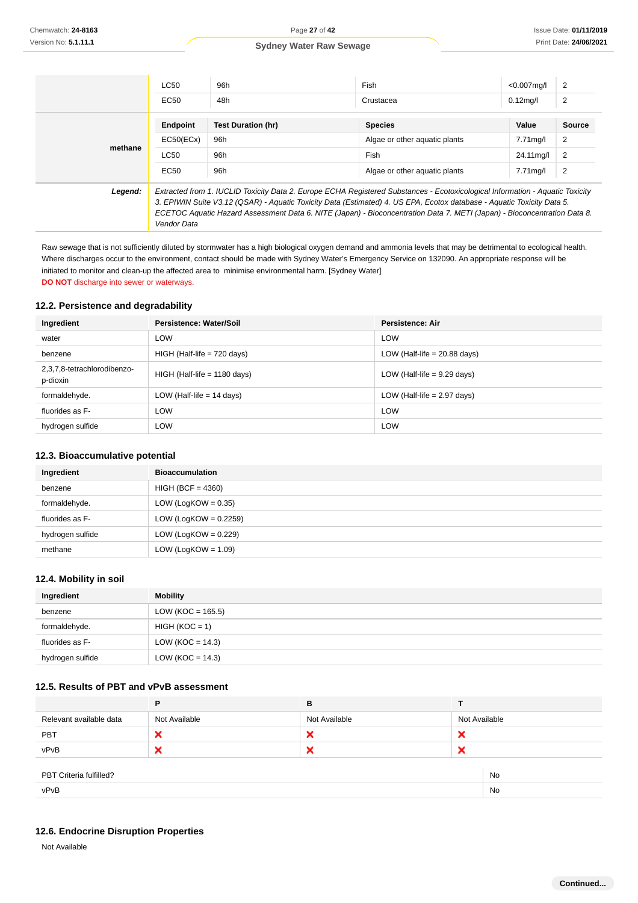|         | <b>LC50</b>                                                                                                                                                                                                                                                                                                                                                                                        | 96h                       | Fish                          | $< 0.007$ mg/l | 2             |
|---------|----------------------------------------------------------------------------------------------------------------------------------------------------------------------------------------------------------------------------------------------------------------------------------------------------------------------------------------------------------------------------------------------------|---------------------------|-------------------------------|----------------|---------------|
|         | EC50                                                                                                                                                                                                                                                                                                                                                                                               | 48h                       | Crustacea                     | $0.12$ mg/l    | 2             |
|         | Endpoint                                                                                                                                                                                                                                                                                                                                                                                           | <b>Test Duration (hr)</b> | <b>Species</b>                | Value          | <b>Source</b> |
| methane | EC50(ECx)                                                                                                                                                                                                                                                                                                                                                                                          | 96h                       | Algae or other aguatic plants | 7.71mg/l       | 2             |
|         | <b>LC50</b>                                                                                                                                                                                                                                                                                                                                                                                        | 96h                       | Fish                          | 24.11 mg/l     | 2             |
|         | EC50                                                                                                                                                                                                                                                                                                                                                                                               | 96h                       | Algae or other aguatic plants | $7.71$ mg/l    | 2             |
| Legend: | Extracted from 1. IUCLID Toxicity Data 2. Europe ECHA Registered Substances - Ecotoxicological Information - Aquatic Toxicity<br>3. EPIWIN Suite V3.12 (QSAR) - Aquatic Toxicity Data (Estimated) 4. US EPA, Ecotox database - Aquatic Toxicity Data 5.<br>ECETOC Aquatic Hazard Assessment Data 6. NITE (Japan) - Bioconcentration Data 7. METI (Japan) - Bioconcentration Data 8.<br>Vendor Data |                           |                               |                |               |

Raw sewage that is not sufficiently diluted by stormwater has a high biological oxygen demand and ammonia levels that may be detrimental to ecological health. Where discharges occur to the environment, contact should be made with Sydney Water's Emergency Service on 132090. An appropriate response will be initiated to monitor and clean-up the affected area to minimise environmental harm. [Sydney Water] **DO NOT** discharge into sewer or waterways.

#### **12.2. Persistence and degradability**

| Ingredient                              | Persistence: Water/Soil        | Persistence: Air               |
|-----------------------------------------|--------------------------------|--------------------------------|
| water                                   | <b>LOW</b>                     | LOW                            |
| benzene                                 | $HIGH$ (Half-life = 720 days)  | LOW (Half-life $= 20.88$ days) |
| 2,3,7,8-tetrachlorodibenzo-<br>p-dioxin | $HIGH$ (Half-life = 1180 days) | LOW (Half-life $= 9.29$ days)  |
| formaldehyde.                           | LOW (Half-life $= 14$ days)    | LOW (Half-life $= 2.97$ days)  |
| fluorides as F-                         | <b>LOW</b>                     | <b>LOW</b>                     |
| hydrogen sulfide                        | <b>LOW</b>                     | <b>LOW</b>                     |

#### **12.3. Bioaccumulative potential**

| Ingredient       | <b>Bioaccumulation</b>   |
|------------------|--------------------------|
| benzene          | $HIGH (BCF = 4360)$      |
| formaldehyde.    | LOW (LogKOW = $0.35$ )   |
| fluorides as F-  | LOW (LogKOW = $0.2259$ ) |
| hydrogen sulfide | LOW (LogKOW = $0.229$ )  |
| methane          | LOW (LogKOW = $1.09$ )   |

#### **12.4. Mobility in soil**

| Ingredient       | <b>Mobility</b>     |
|------------------|---------------------|
| benzene          | $LOW (KOC = 165.5)$ |
| formaldehyde.    | $HIGH (KOC = 1)$    |
| fluorides as F-  | LOW (KOC = $14.3$ ) |
| hydrogen sulfide | LOW (KOC = $14.3$ ) |

## **12.5. Results of PBT and vPvB assessment**

|                               | Р             | в             |               |  |
|-------------------------------|---------------|---------------|---------------|--|
| Relevant available data       | Not Available | Not Available | Not Available |  |
| PBT                           | ×             | ×             | ×             |  |
| vPvB                          | ◠             | ×             | ×             |  |
|                               |               |               |               |  |
| No<br>PBT Criteria fulfilled? |               |               |               |  |
| vPvB                          |               |               | No            |  |
|                               |               |               |               |  |

#### **12.6. Endocrine Disruption Properties**

Not Available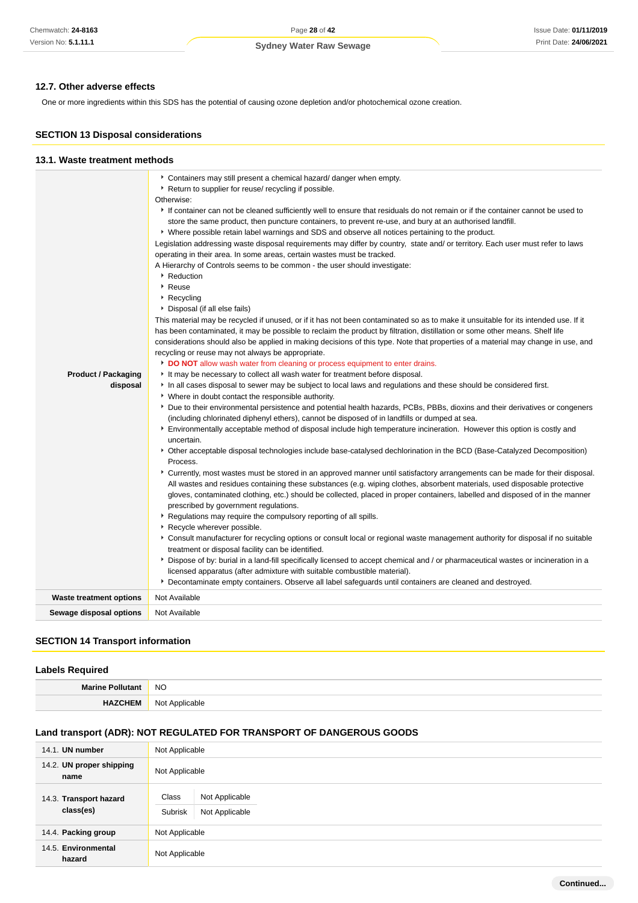### **12.7. Other adverse effects**

One or more ingredients within this SDS has the potential of causing ozone depletion and/or photochemical ozone creation.

### **SECTION 13 Disposal considerations**

| 13.1. Waste treatment methods          |                                                                                                                                                                                                                                                                                                                                                                                                                                                                                                                                                                                                                                                                                                                                                                                                                                                                                                                                                                                                                                                                                                                                                                                                                                                                                                                                                                                                                                                                                                                                                                                                                                                                                                                                                                                                                                                                                                                                                                                                                                                                                                                                                                                                                                                                                                                                                                                                                                                                                                                                                                                                                                                                                                                                                                                                                                                                                                                                                                                                                                                                                                                                                                                                                                                                             |
|----------------------------------------|-----------------------------------------------------------------------------------------------------------------------------------------------------------------------------------------------------------------------------------------------------------------------------------------------------------------------------------------------------------------------------------------------------------------------------------------------------------------------------------------------------------------------------------------------------------------------------------------------------------------------------------------------------------------------------------------------------------------------------------------------------------------------------------------------------------------------------------------------------------------------------------------------------------------------------------------------------------------------------------------------------------------------------------------------------------------------------------------------------------------------------------------------------------------------------------------------------------------------------------------------------------------------------------------------------------------------------------------------------------------------------------------------------------------------------------------------------------------------------------------------------------------------------------------------------------------------------------------------------------------------------------------------------------------------------------------------------------------------------------------------------------------------------------------------------------------------------------------------------------------------------------------------------------------------------------------------------------------------------------------------------------------------------------------------------------------------------------------------------------------------------------------------------------------------------------------------------------------------------------------------------------------------------------------------------------------------------------------------------------------------------------------------------------------------------------------------------------------------------------------------------------------------------------------------------------------------------------------------------------------------------------------------------------------------------------------------------------------------------------------------------------------------------------------------------------------------------------------------------------------------------------------------------------------------------------------------------------------------------------------------------------------------------------------------------------------------------------------------------------------------------------------------------------------------------------------------------------------------------------------------------------------------------|
| <b>Product / Packaging</b><br>disposal | Containers may still present a chemical hazard/ danger when empty.<br>▶ Return to supplier for reuse/ recycling if possible.<br>Otherwise:<br>If container can not be cleaned sufficiently well to ensure that residuals do not remain or if the container cannot be used to<br>store the same product, then puncture containers, to prevent re-use, and bury at an authorised landfill.<br>▶ Where possible retain label warnings and SDS and observe all notices pertaining to the product.<br>Legislation addressing waste disposal requirements may differ by country, state and/ or territory. Each user must refer to laws<br>operating in their area. In some areas, certain wastes must be tracked.<br>A Hierarchy of Controls seems to be common - the user should investigate:<br>▶ Reduction<br>▶ Reuse<br>$\triangleright$ Recycling<br>Disposal (if all else fails)<br>This material may be recycled if unused, or if it has not been contaminated so as to make it unsuitable for its intended use. If it<br>has been contaminated, it may be possible to reclaim the product by filtration, distillation or some other means. Shelf life<br>considerations should also be applied in making decisions of this type. Note that properties of a material may change in use, and<br>recycling or reuse may not always be appropriate.<br>DO NOT allow wash water from cleaning or process equipment to enter drains.<br>It may be necessary to collect all wash water for treatment before disposal.<br>In all cases disposal to sewer may be subject to local laws and regulations and these should be considered first.<br>• Where in doubt contact the responsible authority.<br>Due to their environmental persistence and potential health hazards, PCBs, PBBs, dioxins and their derivatives or congeners<br>(including chlorinated diphenyl ethers), cannot be disposed of in landfills or dumped at sea.<br>Environmentally acceptable method of disposal include high temperature incineration. However this option is costly and<br>uncertain.<br>▶ Other acceptable disposal technologies include base-catalysed dechlorination in the BCD (Base-Catalyzed Decomposition)<br>Process.<br>► Currently, most wastes must be stored in an approved manner until satisfactory arrangements can be made for their disposal.<br>All wastes and residues containing these substances (e.g. wiping clothes, absorbent materials, used disposable protective<br>gloves, contaminated clothing, etc.) should be collected, placed in proper containers, labelled and disposed of in the manner<br>prescribed by government regulations.<br>Regulations may require the compulsory reporting of all spills.<br>Recycle wherever possible.<br>* Consult manufacturer for recycling options or consult local or regional waste management authority for disposal if no suitable<br>treatment or disposal facility can be identified.<br>Dispose of by: burial in a land-fill specifically licensed to accept chemical and / or pharmaceutical wastes or incineration in a<br>licensed apparatus (after admixture with suitable combustible material).<br>Decontaminate empty containers. Observe all label safeguards until containers are cleaned and destroyed. |
| <b>Waste treatment options</b>         | Not Available                                                                                                                                                                                                                                                                                                                                                                                                                                                                                                                                                                                                                                                                                                                                                                                                                                                                                                                                                                                                                                                                                                                                                                                                                                                                                                                                                                                                                                                                                                                                                                                                                                                                                                                                                                                                                                                                                                                                                                                                                                                                                                                                                                                                                                                                                                                                                                                                                                                                                                                                                                                                                                                                                                                                                                                                                                                                                                                                                                                                                                                                                                                                                                                                                                                               |
| Sewage disposal options                | Not Available                                                                                                                                                                                                                                                                                                                                                                                                                                                                                                                                                                                                                                                                                                                                                                                                                                                                                                                                                                                                                                                                                                                                                                                                                                                                                                                                                                                                                                                                                                                                                                                                                                                                                                                                                                                                                                                                                                                                                                                                                                                                                                                                                                                                                                                                                                                                                                                                                                                                                                                                                                                                                                                                                                                                                                                                                                                                                                                                                                                                                                                                                                                                                                                                                                                               |

#### **SECTION 14 Transport information**

#### **Labels Required**

| <b>Marine</b><br>⇒ Pollura | <b>NO</b>           |
|----------------------------|---------------------|
|                            | Not<br>: Applicable |

#### **Land transport (ADR): NOT REGULATED FOR TRANSPORT OF DANGEROUS GOODS**

| 14.1. UN number                     | Not Applicable                                       |  |  |
|-------------------------------------|------------------------------------------------------|--|--|
| 14.2. UN proper shipping<br>name    | Not Applicable                                       |  |  |
| 14.3. Transport hazard<br>class(es) | Class<br>Not Applicable<br>Not Applicable<br>Subrisk |  |  |
| 14.4. Packing group                 | Not Applicable                                       |  |  |
| 14.5. Environmental<br>hazard       | Not Applicable                                       |  |  |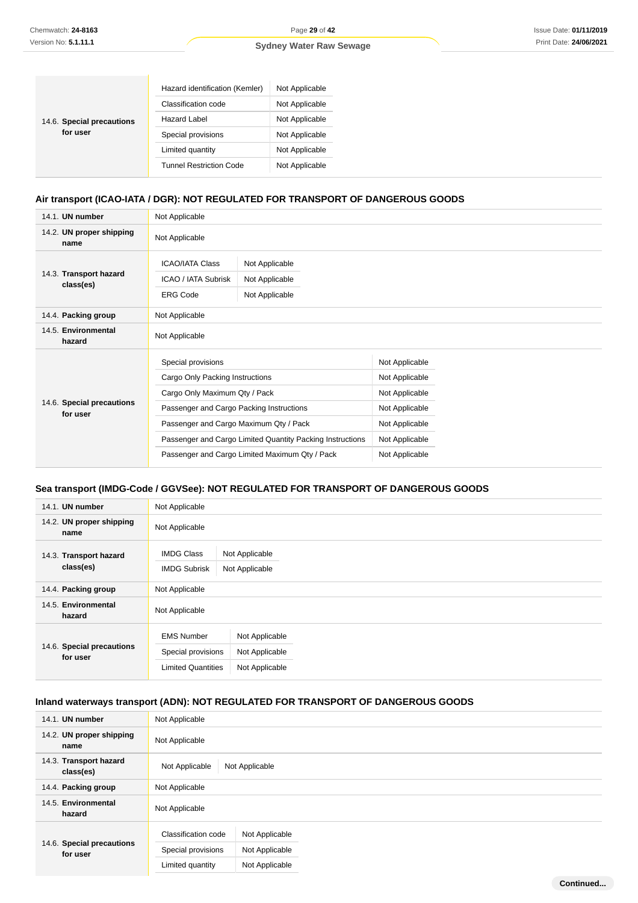**Continued...**

#### **Sydney Water Raw Sewage**

| 14.6. Special precautions<br>for user | Hazard identification (Kemler) | Not Applicable |
|---------------------------------------|--------------------------------|----------------|
|                                       | Classification code            | Not Applicable |
|                                       | Hazard Label                   | Not Applicable |
|                                       | Special provisions             | Not Applicable |
|                                       | Limited quantity               | Not Applicable |
|                                       | <b>Tunnel Restriction Code</b> | Not Applicable |

#### **Air transport (ICAO-IATA / DGR): NOT REGULATED FOR TRANSPORT OF DANGEROUS GOODS**

| 14.1. UN number                       | Not Applicable                                                                                                                                                                                                                            |                                                    |                                                                                                          |  |
|---------------------------------------|-------------------------------------------------------------------------------------------------------------------------------------------------------------------------------------------------------------------------------------------|----------------------------------------------------|----------------------------------------------------------------------------------------------------------|--|
| 14.2. UN proper shipping<br>name      | Not Applicable                                                                                                                                                                                                                            |                                                    |                                                                                                          |  |
| 14.3. Transport hazard<br>class(es)   | <b>ICAO/IATA Class</b><br>ICAO / IATA Subrisk<br><b>ERG Code</b>                                                                                                                                                                          | Not Applicable<br>Not Applicable<br>Not Applicable |                                                                                                          |  |
| 14.4. Packing group                   | Not Applicable                                                                                                                                                                                                                            |                                                    |                                                                                                          |  |
| 14.5. Environmental<br>hazard         | Not Applicable                                                                                                                                                                                                                            |                                                    |                                                                                                          |  |
| 14.6. Special precautions<br>for user | Special provisions<br>Cargo Only Packing Instructions<br>Cargo Only Maximum Qty / Pack<br>Passenger and Cargo Packing Instructions<br>Passenger and Cargo Maximum Qty / Pack<br>Passenger and Cargo Limited Quantity Packing Instructions |                                                    | Not Applicable<br>Not Applicable<br>Not Applicable<br>Not Applicable<br>Not Applicable<br>Not Applicable |  |
|                                       | Passenger and Cargo Limited Maximum Qty / Pack                                                                                                                                                                                            |                                                    | Not Applicable                                                                                           |  |

### **Sea transport (IMDG-Code / GGVSee): NOT REGULATED FOR TRANSPORT OF DANGEROUS GOODS**

| 14.1. UN number                       | Not Applicable                                                                                                             |                                  |  |  |
|---------------------------------------|----------------------------------------------------------------------------------------------------------------------------|----------------------------------|--|--|
| 14.2. UN proper shipping<br>name      | Not Applicable                                                                                                             |                                  |  |  |
| 14.3. Transport hazard<br>class(es)   | <b>IMDG Class</b><br><b>IMDG Subrisk</b>                                                                                   | Not Applicable<br>Not Applicable |  |  |
| 14.4. Packing group                   | Not Applicable                                                                                                             |                                  |  |  |
| 14.5. Environmental<br>hazard         | Not Applicable                                                                                                             |                                  |  |  |
| 14.6. Special precautions<br>for user | <b>EMS Number</b><br>Not Applicable<br>Special provisions<br>Not Applicable<br><b>Limited Quantities</b><br>Not Applicable |                                  |  |  |

#### **Inland waterways transport (ADN): NOT REGULATED FOR TRANSPORT OF DANGEROUS GOODS**

| 14.1. UN number                       | Not Applicable                        |
|---------------------------------------|---------------------------------------|
| 14.2. UN proper shipping<br>name      | Not Applicable                        |
| 14.3. Transport hazard<br>class(es)   | Not Applicable<br>Not Applicable      |
| 14.4. Packing group                   | Not Applicable                        |
| 14.5. Environmental<br>hazard         | Not Applicable                        |
|                                       | Classification code<br>Not Applicable |
| 14.6. Special precautions<br>for user | Special provisions<br>Not Applicable  |
|                                       | Not Applicable<br>Limited quantity    |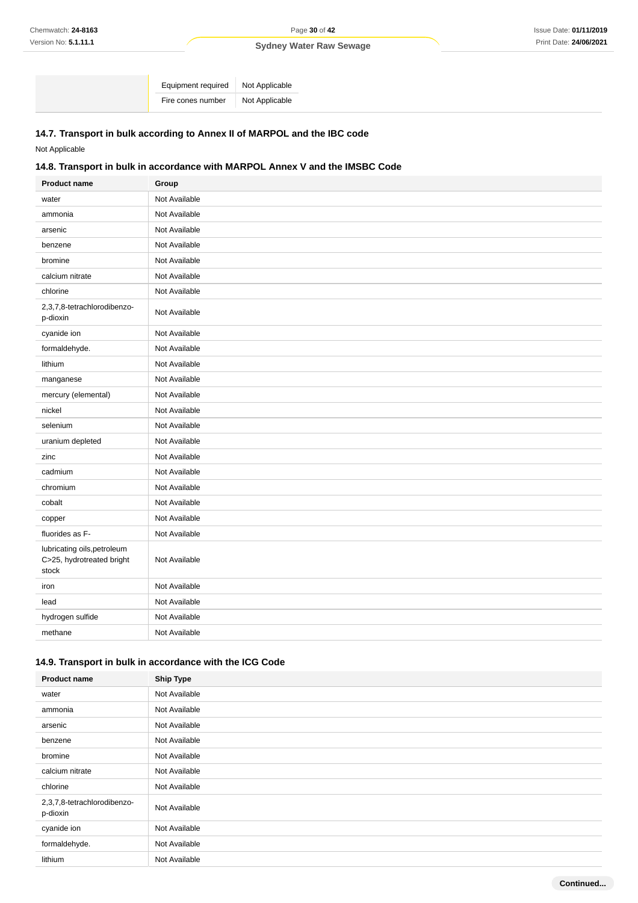Equipment required Not Applicable Fire cones number Not Applicable

### **14.7. Transport in bulk according to Annex II of MARPOL and the IBC code**

Not Applicable

### **14.8. Transport in bulk in accordance with MARPOL Annex V and the IMSBC Code**

| <b>Product name</b>                                               | Group         |
|-------------------------------------------------------------------|---------------|
| water                                                             | Not Available |
| ammonia                                                           | Not Available |
| arsenic                                                           | Not Available |
| benzene                                                           | Not Available |
| bromine                                                           | Not Available |
| calcium nitrate                                                   | Not Available |
| chlorine                                                          | Not Available |
| 2,3,7,8-tetrachlorodibenzo-<br>p-dioxin                           | Not Available |
| cyanide ion                                                       | Not Available |
| formaldehyde.                                                     | Not Available |
| lithium                                                           | Not Available |
| manganese                                                         | Not Available |
| mercury (elemental)                                               | Not Available |
| nickel                                                            | Not Available |
| selenium                                                          | Not Available |
| uranium depleted                                                  | Not Available |
| zinc                                                              | Not Available |
| cadmium                                                           | Not Available |
| chromium                                                          | Not Available |
| cobalt                                                            | Not Available |
| copper                                                            | Not Available |
| fluorides as F-                                                   | Not Available |
| lubricating oils, petroleum<br>C>25, hydrotreated bright<br>stock | Not Available |
| iron                                                              | Not Available |
| lead                                                              | Not Available |
| hydrogen sulfide                                                  | Not Available |
| methane                                                           | Not Available |

#### **14.9. Transport in bulk in accordance with the ICG Code**

| <b>Product name</b>                     | <b>Ship Type</b> |
|-----------------------------------------|------------------|
| water                                   | Not Available    |
| ammonia                                 | Not Available    |
| arsenic                                 | Not Available    |
| benzene                                 | Not Available    |
| bromine                                 | Not Available    |
| calcium nitrate                         | Not Available    |
| chlorine                                | Not Available    |
| 2,3,7,8-tetrachlorodibenzo-<br>p-dioxin | Not Available    |
| cyanide ion                             | Not Available    |
| formaldehyde.                           | Not Available    |
| lithium                                 | Not Available    |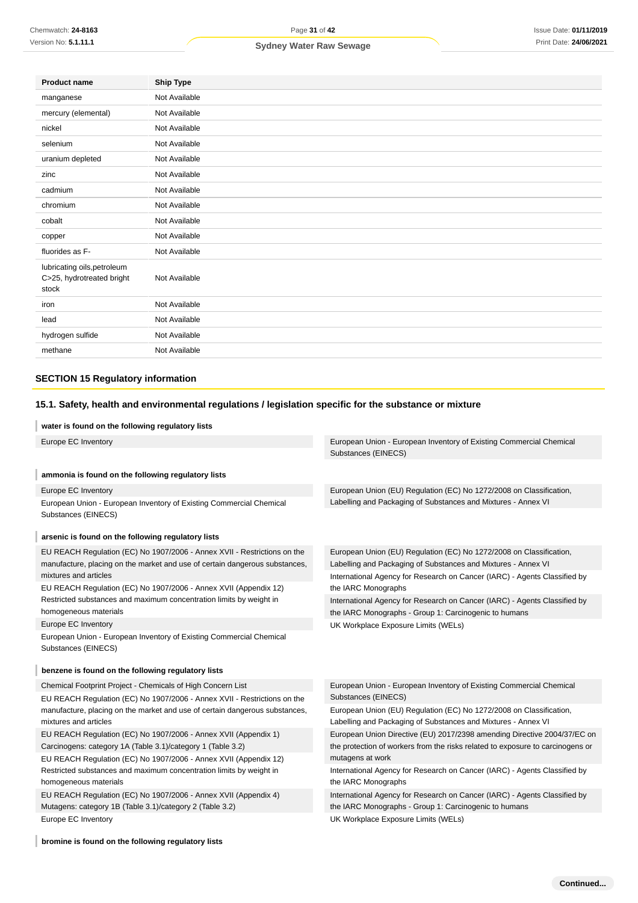| <b>Product name</b>                                               | <b>Ship Type</b> |
|-------------------------------------------------------------------|------------------|
| manganese                                                         | Not Available    |
| mercury (elemental)                                               | Not Available    |
| nickel                                                            | Not Available    |
| selenium                                                          | Not Available    |
| uranium depleted                                                  | Not Available    |
| zinc                                                              | Not Available    |
| cadmium                                                           | Not Available    |
| chromium                                                          | Not Available    |
| cobalt                                                            | Not Available    |
| copper                                                            | Not Available    |
| fluorides as F-                                                   | Not Available    |
| lubricating oils, petroleum<br>C>25, hydrotreated bright<br>stock | Not Available    |
| iron                                                              | Not Available    |
| lead                                                              | Not Available    |
| hydrogen sulfide                                                  | Not Available    |
| methane                                                           | Not Available    |
|                                                                   |                  |

#### **SECTION 15 Regulatory information**

### **15.1. Safety, health and environmental regulations / legislation specific for the substance or mixture**

#### **water is found on the following regulatory lists**

| Europe EC Inventory                                                                        | European Union - European Inventory of Existing Commercial Chemical<br>Substances (EINECS) |
|--------------------------------------------------------------------------------------------|--------------------------------------------------------------------------------------------|
| ammonia is found on the following regulatory lists                                         |                                                                                            |
| Europe EC Inventory                                                                        | European Union (EU) Regulation (EC) No 1272/2008 on Classification,                        |
| European Union - European Inventory of Existing Commercial Chemical                        | Labelling and Packaging of Substances and Mixtures - Annex VI                              |
| Substances (EINECS)                                                                        |                                                                                            |
| arsenic is found on the following regulatory lists                                         |                                                                                            |
| EU REACH Regulation (EC) No 1907/2006 - Annex XVII - Restrictions on the                   | European Union (EU) Regulation (EC) No 1272/2008 on Classification,                        |
| manufacture, placing on the market and use of certain dangerous substances,                | Labelling and Packaging of Substances and Mixtures - Annex VI                              |
| mixtures and articles                                                                      | International Agency for Research on Cancer (IARC) - Agents Classified by                  |
| EU REACH Regulation (EC) No 1907/2006 - Annex XVII (Appendix 12)                           | the IARC Monographs                                                                        |
| Restricted substances and maximum concentration limits by weight in                        | International Agency for Research on Cancer (IARC) - Agents Classified by                  |
| homogeneous materials                                                                      | the IARC Monographs - Group 1: Carcinogenic to humans                                      |
| Europe EC Inventory                                                                        | UK Workplace Exposure Limits (WELs)                                                        |
| European Union - European Inventory of Existing Commercial Chemical<br>Substances (EINECS) |                                                                                            |
| benzene is found on the following regulatory lists                                         |                                                                                            |
| Chemical Footprint Project - Chemicals of High Concern List                                | European Union - European Inventory of Existing Commercial Chemical                        |
| EU REACH Regulation (EC) No 1907/2006 - Annex XVII - Restrictions on the                   | Substances (EINECS)                                                                        |
| manufacture, placing on the market and use of certain dangerous substances,                | European Union (EU) Regulation (EC) No 1272/2008 on Classification,                        |
| mixtures and articles                                                                      | Labelling and Packaging of Substances and Mixtures - Annex VI                              |
| EU REACH Regulation (EC) No 1907/2006 - Annex XVII (Appendix 1)                            | European Union Directive (EU) 2017/2398 amending Directive 2004/37/EC on                   |
| Carcinogens: category 1A (Table 3.1)/category 1 (Table 3.2)                                | the protection of workers from the risks related to exposure to carcinogens or             |
| EU REACH Regulation (EC) No 1907/2006 - Annex XVII (Appendix 12)                           | mutagens at work                                                                           |
| Restricted substances and maximum concentration limits by weight in                        | International Agency for Research on Cancer (IARC) - Agents Classified by                  |
| homogeneous materials                                                                      | the IARC Monographs                                                                        |
| EU REACH Regulation (EC) No 1907/2006 - Annex XVII (Appendix 4)                            | International Agency for Research on Cancer (IARC) - Agents Classified by                  |
| Mutagens: category 1B (Table 3.1)/category 2 (Table 3.2)                                   | the IARC Monographs - Group 1: Carcinogenic to humans                                      |
| Europe EC Inventory                                                                        | UK Workplace Exposure Limits (WELs)                                                        |

**bromine is found on the following regulatory lists**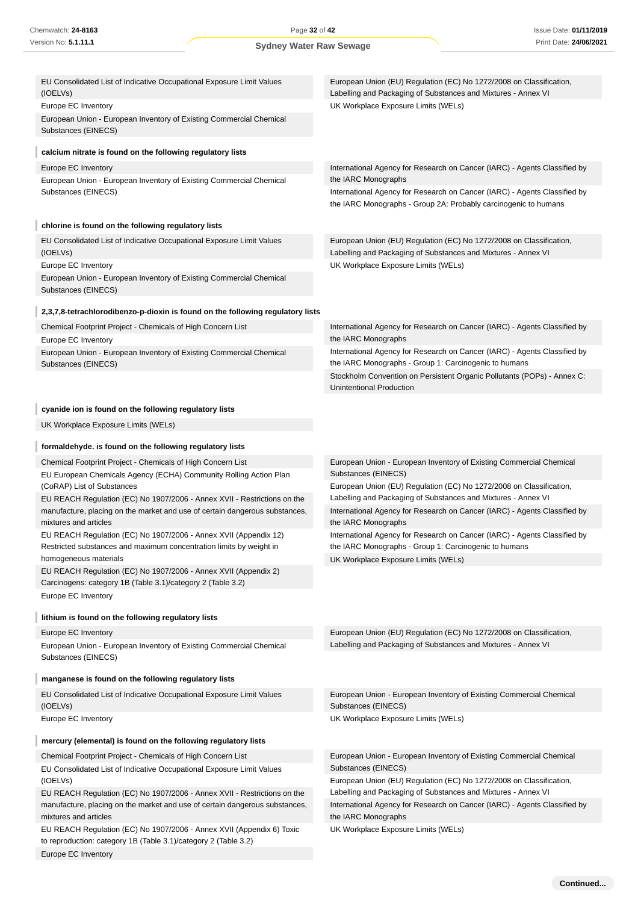to reproduction: category 1B (Table 3.1)/category 2 (Table 3.2)

Europe EC Inventory

| Chemwatch: 24-8163                                                                                                                                    | Page 32 of 42                  |                                                                                                                                              | <b>Issue Date: 01/11/2</b> |
|-------------------------------------------------------------------------------------------------------------------------------------------------------|--------------------------------|----------------------------------------------------------------------------------------------------------------------------------------------|----------------------------|
| Version No: 5.1.11.1                                                                                                                                  | <b>Sydney Water Raw Sewage</b> |                                                                                                                                              | Print Date: 24/06/2        |
|                                                                                                                                                       |                                |                                                                                                                                              |                            |
| EU Consolidated List of Indicative Occupational Exposure Limit Values<br>(IOELVs)                                                                     |                                | European Union (EU) Regulation (EC) No 1272/2008 on Classification,<br>Labelling and Packaging of Substances and Mixtures - Annex VI         |                            |
| Europe EC Inventory                                                                                                                                   |                                | UK Workplace Exposure Limits (WELs)                                                                                                          |                            |
| European Union - European Inventory of Existing Commercial Chemical<br>Substances (EINECS)                                                            |                                |                                                                                                                                              |                            |
| calcium nitrate is found on the following regulatory lists                                                                                            |                                |                                                                                                                                              |                            |
| Europe EC Inventory                                                                                                                                   |                                | International Agency for Research on Cancer (IARC) - Agents Classified by                                                                    |                            |
| European Union - European Inventory of Existing Commercial Chemical                                                                                   |                                | the IARC Monographs                                                                                                                          |                            |
| Substances (EINECS)                                                                                                                                   |                                | International Agency for Research on Cancer (IARC) - Agents Classified by<br>the IARC Monographs - Group 2A: Probably carcinogenic to humans |                            |
| chlorine is found on the following regulatory lists                                                                                                   |                                |                                                                                                                                              |                            |
| EU Consolidated List of Indicative Occupational Exposure Limit Values<br>(IOELVs)                                                                     |                                | European Union (EU) Regulation (EC) No 1272/2008 on Classification,<br>Labelling and Packaging of Substances and Mixtures - Annex VI         |                            |
| Europe EC Inventory                                                                                                                                   |                                | UK Workplace Exposure Limits (WELs)                                                                                                          |                            |
| European Union - European Inventory of Existing Commercial Chemical<br>Substances (EINECS)                                                            |                                |                                                                                                                                              |                            |
| 2,3,7,8-tetrachlorodibenzo-p-dioxin is found on the following regulatory lists                                                                        |                                |                                                                                                                                              |                            |
| Chemical Footprint Project - Chemicals of High Concern List<br>Europe EC Inventory                                                                    |                                | International Agency for Research on Cancer (IARC) - Agents Classified by<br>the IARC Monographs                                             |                            |
| European Union - European Inventory of Existing Commercial Chemical<br>Substances (EINECS)                                                            |                                | International Agency for Research on Cancer (IARC) - Agents Classified by<br>the IARC Monographs - Group 1: Carcinogenic to humans           |                            |
|                                                                                                                                                       |                                | Stockholm Convention on Persistent Organic Pollutants (POPs) - Annex C:<br><b>Unintentional Production</b>                                   |                            |
| cyanide ion is found on the following regulatory lists                                                                                                |                                |                                                                                                                                              |                            |
| UK Workplace Exposure Limits (WELs)                                                                                                                   |                                |                                                                                                                                              |                            |
| formaldehyde. is found on the following regulatory lists                                                                                              |                                |                                                                                                                                              |                            |
| Chemical Footprint Project - Chemicals of High Concern List                                                                                           |                                | European Union - European Inventory of Existing Commercial Chemical                                                                          |                            |
| EU European Chemicals Agency (ECHA) Community Rolling Action Plan                                                                                     |                                | Substances (EINECS)                                                                                                                          |                            |
| (CoRAP) List of Substances                                                                                                                            |                                | European Union (EU) Regulation (EC) No 1272/2008 on Classification,                                                                          |                            |
| EU REACH Regulation (EC) No 1907/2006 - Annex XVII - Restrictions on the                                                                              |                                | Labelling and Packaging of Substances and Mixtures - Annex VI                                                                                |                            |
| manufacture, placing on the market and use of certain dangerous substances,<br>mixtures and articles                                                  |                                | International Agency for Research on Cancer (IARC) - Agents Classified by<br>the IARC Monographs                                             |                            |
| EU REACH Regulation (EC) No 1907/2006 - Annex XVII (Appendix 12)<br>Restricted substances and maximum concentration limits by weight in               |                                | International Agency for Research on Cancer (IARC) - Agents Classified by<br>the IARC Monographs - Group 1: Carcinogenic to humans           |                            |
| homogeneous materials                                                                                                                                 |                                | UK Workplace Exposure Limits (WELs)                                                                                                          |                            |
| EU REACH Regulation (EC) No 1907/2006 - Annex XVII (Appendix 2)<br>Carcinogens: category 1B (Table 3.1)/category 2 (Table 3.2)<br>Europe EC Inventory |                                |                                                                                                                                              |                            |
| lithium is found on the following regulatory lists                                                                                                    |                                |                                                                                                                                              |                            |
| Europe EC Inventory                                                                                                                                   |                                | European Union (EU) Regulation (EC) No 1272/2008 on Classification,                                                                          |                            |
| European Union - European Inventory of Existing Commercial Chemical<br>Substances (EINECS)                                                            |                                | Labelling and Packaging of Substances and Mixtures - Annex VI                                                                                |                            |
| manganese is found on the following regulatory lists                                                                                                  |                                |                                                                                                                                              |                            |
| EU Consolidated List of Indicative Occupational Exposure Limit Values                                                                                 |                                | European Union - European Inventory of Existing Commercial Chemical                                                                          |                            |
| (IOELVs)                                                                                                                                              |                                | Substances (EINECS)                                                                                                                          |                            |
| Europe EC Inventory                                                                                                                                   |                                | UK Workplace Exposure Limits (WELs)                                                                                                          |                            |
| mercury (elemental) is found on the following regulatory lists                                                                                        |                                |                                                                                                                                              |                            |
| Chemical Footprint Project - Chemicals of High Concern List                                                                                           |                                | European Union - European Inventory of Existing Commercial Chemical                                                                          |                            |
| EU Consolidated List of Indicative Occupational Exposure Limit Values<br>(IOELVs)                                                                     |                                | Substances (EINECS)<br>European Union (EU) Regulation (EC) No 1272/2008 on Classification,                                                   |                            |
| EU REACH Regulation (EC) No 1907/2006 - Annex XVII - Restrictions on the                                                                              |                                | Labelling and Packaging of Substances and Mixtures - Annex VI                                                                                |                            |
| manufacture, placing on the market and use of certain dangerous substances,<br>mixtures and articles                                                  |                                | International Agency for Research on Cancer (IARC) - Agents Classified by<br>the IARC Monographs                                             |                            |
| EU REACH Regulation (EC) No 1907/2006 - Annex XVII (Appendix 6) Toxic                                                                                 |                                | UK Workplace Exposure Limits (WELs)                                                                                                          |                            |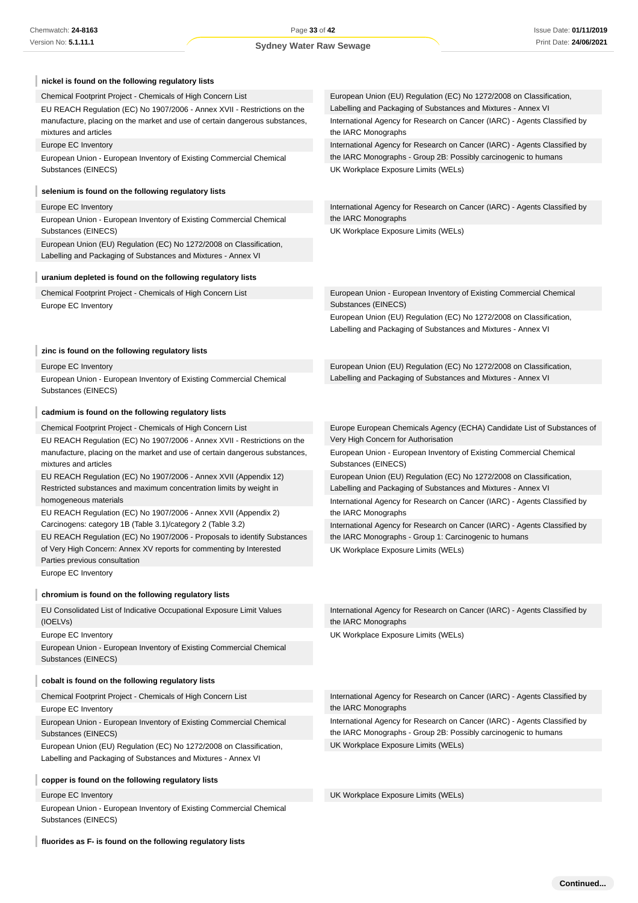| nickel is found on the following regulatory lists                                                                              |                                                                                                                                              |
|--------------------------------------------------------------------------------------------------------------------------------|----------------------------------------------------------------------------------------------------------------------------------------------|
| Chemical Footprint Project - Chemicals of High Concern List                                                                    | European Union (EU) Regulation (EC) No 1272/2008 on Classification,                                                                          |
| EU REACH Regulation (EC) No 1907/2006 - Annex XVII - Restrictions on the                                                       | Labelling and Packaging of Substances and Mixtures - Annex VI                                                                                |
| manufacture, placing on the market and use of certain dangerous substances,<br>mixtures and articles                           | International Agency for Research on Cancer (IARC) - Agents Classified by<br>the IARC Monographs                                             |
| Europe EC Inventory                                                                                                            | International Agency for Research on Cancer (IARC) - Agents Classified by                                                                    |
| European Union - European Inventory of Existing Commercial Chemical                                                            | the IARC Monographs - Group 2B: Possibly carcinogenic to humans                                                                              |
| Substances (EINECS)                                                                                                            | UK Workplace Exposure Limits (WELs)                                                                                                          |
| selenium is found on the following regulatory lists                                                                            |                                                                                                                                              |
| Europe EC Inventory                                                                                                            | International Agency for Research on Cancer (IARC) - Agents Classified by                                                                    |
| European Union - European Inventory of Existing Commercial Chemical<br>Substances (EINECS)                                     | the IARC Monographs<br>UK Workplace Exposure Limits (WELs)                                                                                   |
| European Union (EU) Regulation (EC) No 1272/2008 on Classification,                                                            |                                                                                                                                              |
| Labelling and Packaging of Substances and Mixtures - Annex VI                                                                  |                                                                                                                                              |
| uranium depleted is found on the following regulatory lists                                                                    |                                                                                                                                              |
| Chemical Footprint Project - Chemicals of High Concern List                                                                    | European Union - European Inventory of Existing Commercial Chemical                                                                          |
| Europe EC Inventory                                                                                                            | Substances (EINECS)                                                                                                                          |
|                                                                                                                                | European Union (EU) Regulation (EC) No 1272/2008 on Classification,<br>Labelling and Packaging of Substances and Mixtures - Annex VI         |
| zinc is found on the following regulatory lists                                                                                |                                                                                                                                              |
| Europe EC Inventory                                                                                                            | European Union (EU) Regulation (EC) No 1272/2008 on Classification,                                                                          |
| European Union - European Inventory of Existing Commercial Chemical<br>Substances (EINECS)                                     | Labelling and Packaging of Substances and Mixtures - Annex VI                                                                                |
| cadmium is found on the following regulatory lists                                                                             |                                                                                                                                              |
| Chemical Footprint Project - Chemicals of High Concern List                                                                    | Europe European Chemicals Agency (ECHA) Candidate List of Substances of                                                                      |
| EU REACH Regulation (EC) No 1907/2006 - Annex XVII - Restrictions on the                                                       | Very High Concern for Authorisation                                                                                                          |
| manufacture, placing on the market and use of certain dangerous substances,<br>mixtures and articles                           | European Union - European Inventory of Existing Commercial Chemical<br>Substances (EINECS)                                                   |
| EU REACH Regulation (EC) No 1907/2006 - Annex XVII (Appendix 12)                                                               | European Union (EU) Regulation (EC) No 1272/2008 on Classification,                                                                          |
| Restricted substances and maximum concentration limits by weight in                                                            | Labelling and Packaging of Substances and Mixtures - Annex VI                                                                                |
| homogeneous materials                                                                                                          | International Agency for Research on Cancer (IARC) - Agents Classified by<br>the IARC Monographs                                             |
| EU REACH Regulation (EC) No 1907/2006 - Annex XVII (Appendix 2)<br>Carcinogens: category 1B (Table 3.1)/category 2 (Table 3.2) | International Agency for Research on Cancer (IARC) - Agents Classified by                                                                    |
| EU REACH Regulation (EC) No 1907/2006 - Proposals to identify Substances                                                       | the IARC Monographs - Group 1: Carcinogenic to humans                                                                                        |
| of Very High Concern: Annex XV reports for commenting by Interested                                                            | UK Workplace Exposure Limits (WELs)                                                                                                          |
| Parties previous consultation                                                                                                  |                                                                                                                                              |
| Europe EC Inventory                                                                                                            |                                                                                                                                              |
| chromium is found on the following regulatory lists                                                                            |                                                                                                                                              |
| EU Consolidated List of Indicative Occupational Exposure Limit Values<br>(IOELVs)                                              | International Agency for Research on Cancer (IARC) - Agents Classified by<br>the IARC Monographs                                             |
| Europe EC Inventory                                                                                                            | UK Workplace Exposure Limits (WELs)                                                                                                          |
| European Union - European Inventory of Existing Commercial Chemical                                                            |                                                                                                                                              |
| Substances (EINECS)                                                                                                            |                                                                                                                                              |
| cobalt is found on the following regulatory lists                                                                              |                                                                                                                                              |
| Chemical Footprint Project - Chemicals of High Concern List                                                                    | International Agency for Research on Cancer (IARC) - Agents Classified by                                                                    |
| Europe EC Inventory                                                                                                            | the IARC Monographs                                                                                                                          |
| European Union - European Inventory of Existing Commercial Chemical<br>Substances (EINECS)                                     | International Agency for Research on Cancer (IARC) - Agents Classified by<br>the IARC Monographs - Group 2B: Possibly carcinogenic to humans |
| European Union (EU) Regulation (EC) No 1272/2008 on Classification,                                                            | UK Workplace Exposure Limits (WELs)                                                                                                          |
| Labelling and Packaging of Substances and Mixtures - Annex VI                                                                  |                                                                                                                                              |
| copper is found on the following regulatory lists                                                                              |                                                                                                                                              |
| Europe EC Inventory                                                                                                            | UK Workplace Exposure Limits (WELs)                                                                                                          |

**fluorides as F- is found on the following regulatory lists**

Substances (EINECS)

I

European Union - European Inventory of Existing Commercial Chemical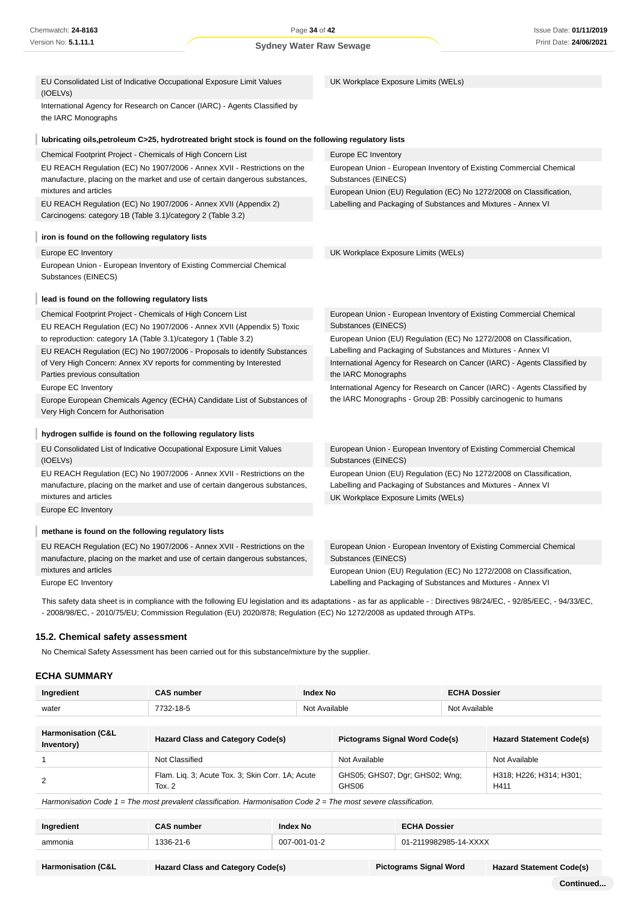| EU Consolidated List of Indicative Occupational Exposure Limit Values                                                                                                            | UK Workplace Exposure Limits (WELs)                                                                                                                               |  |
|----------------------------------------------------------------------------------------------------------------------------------------------------------------------------------|-------------------------------------------------------------------------------------------------------------------------------------------------------------------|--|
| (IOELVs)                                                                                                                                                                         |                                                                                                                                                                   |  |
| International Agency for Research on Cancer (IARC) - Agents Classified by<br>the IARC Monographs                                                                                 |                                                                                                                                                                   |  |
| lubricating oils, petroleum C>25, hydrotreated bright stock is found on the following regulatory lists                                                                           |                                                                                                                                                                   |  |
| Chemical Footprint Project - Chemicals of High Concern List                                                                                                                      | Europe EC Inventory                                                                                                                                               |  |
| EU REACH Regulation (EC) No 1907/2006 - Annex XVII - Restrictions on the<br>manufacture, placing on the market and use of certain dangerous substances,<br>mixtures and articles | European Union - European Inventory of Existing Commercial Chemical<br>Substances (EINECS)<br>European Union (EU) Regulation (EC) No 1272/2008 on Classification, |  |
| EU REACH Regulation (EC) No 1907/2006 - Annex XVII (Appendix 2)<br>Carcinogens: category 1B (Table 3.1)/category 2 (Table 3.2)                                                   | Labelling and Packaging of Substances and Mixtures - Annex VI                                                                                                     |  |
| iron is found on the following regulatory lists                                                                                                                                  |                                                                                                                                                                   |  |
| Europe EC Inventory                                                                                                                                                              | UK Workplace Exposure Limits (WELs)                                                                                                                               |  |
| European Union - European Inventory of Existing Commercial Chemical<br>Substances (EINECS)                                                                                       |                                                                                                                                                                   |  |
| lead is found on the following regulatory lists                                                                                                                                  |                                                                                                                                                                   |  |
| Chemical Footprint Project - Chemicals of High Concern List                                                                                                                      | European Union - European Inventory of Existing Commercial Chemical                                                                                               |  |
| EU REACH Regulation (EC) No 1907/2006 - Annex XVII (Appendix 5) Toxic                                                                                                            | Substances (EINECS)                                                                                                                                               |  |
| to reproduction: category 1A (Table 3.1)/category 1 (Table 3.2)                                                                                                                  | European Union (EU) Regulation (EC) No 1272/2008 on Classification,<br>Labelling and Packaging of Substances and Mixtures - Annex VI                              |  |
| EU REACH Regulation (EC) No 1907/2006 - Proposals to identify Substances<br>of Very High Concern: Annex XV reports for commenting by Interested<br>Parties previous consultation | International Agency for Research on Cancer (IARC) - Agents Classified by<br>the IARC Monographs                                                                  |  |
| Europe EC Inventory                                                                                                                                                              | International Agency for Research on Cancer (IARC) - Agents Classified by                                                                                         |  |
| Europe European Chemicals Agency (ECHA) Candidate List of Substances of<br>Very High Concern for Authorisation                                                                   | the IARC Monographs - Group 2B: Possibly carcinogenic to humans                                                                                                   |  |
| hydrogen sulfide is found on the following regulatory lists                                                                                                                      |                                                                                                                                                                   |  |
| EU Consolidated List of Indicative Occupational Exposure Limit Values<br>(IOELVs)                                                                                                | European Union - European Inventory of Existing Commercial Chemical<br>Substances (EINECS)                                                                        |  |
| EU REACH Regulation (EC) No 1907/2006 - Annex XVII - Restrictions on the<br>manufacture, placing on the market and use of certain dangerous substances,                          | European Union (EU) Regulation (EC) No 1272/2008 on Classification,<br>Labelling and Packaging of Substances and Mixtures - Annex VI                              |  |
| mixtures and articles                                                                                                                                                            | UK Workplace Exposure Limits (WELs)                                                                                                                               |  |
| Europe EC Inventory                                                                                                                                                              |                                                                                                                                                                   |  |
| methane is found on the following regulatory lists                                                                                                                               |                                                                                                                                                                   |  |
| EU REACH Regulation (EC) No 1907/2006 - Annex XVII - Restrictions on the<br>manufacture, placing on the market and use of certain dangerous substances,                          | European Union - European Inventory of Existing Commercial Chemical<br>Substances (EINECS)                                                                        |  |
| mixtures and articles                                                                                                                                                            | European Union (EU) Regulation (EC) No 1272/2008 on Classification,                                                                                               |  |
| Europe EC Inventory                                                                                                                                                              | Labelling and Packaging of Substances and Mixtures - Annex VI                                                                                                     |  |
|                                                                                                                                                                                  | .                                                                                                                                                                 |  |

This safety data sheet is in compliance with the following EU legislation and its adaptations - as far as applicable - : Directives 98/24/EC, - 92/85/EEC, - 94/33/EC, - 2008/98/EC, - 2010/75/EU; Commission Regulation (EU) 2020/878; Regulation (EC) No 1272/2008 as updated through ATPs.

### **15.2. Chemical safety assessment**

No Chemical Safety Assessment has been carried out for this substance/mixture by the supplier.

## **ECHA SUMMARY**

| Ingredient                                                                                                           | <b>CAS number</b>                                                                 |          | <b>Index No</b>                         |                                 | <b>ECHA Dossier</b>             |  |
|----------------------------------------------------------------------------------------------------------------------|-----------------------------------------------------------------------------------|----------|-----------------------------------------|---------------------------------|---------------------------------|--|
| water                                                                                                                | 7732-18-5                                                                         |          | Not Available                           |                                 | Not Available                   |  |
| <b>Harmonisation (C&amp;L</b><br>Inventory)                                                                          | <b>Hazard Class and Category Code(s)</b><br><b>Pictograms Signal Word Code(s)</b> |          |                                         | <b>Hazard Statement Code(s)</b> |                                 |  |
|                                                                                                                      | Not Classified                                                                    |          | Not Available                           |                                 | Not Available                   |  |
| 2                                                                                                                    | Flam. Lig. 3; Acute Tox. 3; Skin Corr. 1A; Acute<br>Tox. $2$                      |          | GHS05; GHS07; Dgr; GHS02; Wng;<br>GHS06 |                                 | H318; H226; H314; H301;<br>H411 |  |
| Harmonisation Code $1 =$ The most prevalent classification. Harmonisation Code $2 =$ The most severe classification. |                                                                                   |          |                                         |                                 |                                 |  |
| Ingredient                                                                                                           | <b>CAS</b> number                                                                 | Index No | <b>ECHA Dossier</b>                     |                                 |                                 |  |

**Ingredient CAS number Index No ECHA Dossier** ammonia 2011 1336-21-6 007-001-01-2 007-001-01-2 01-2119982985-14-XXXX

**Harmonisation (C&L Hazard Class and Category Code(s) Pictograms Signal Word Hazard Statement Code(s)**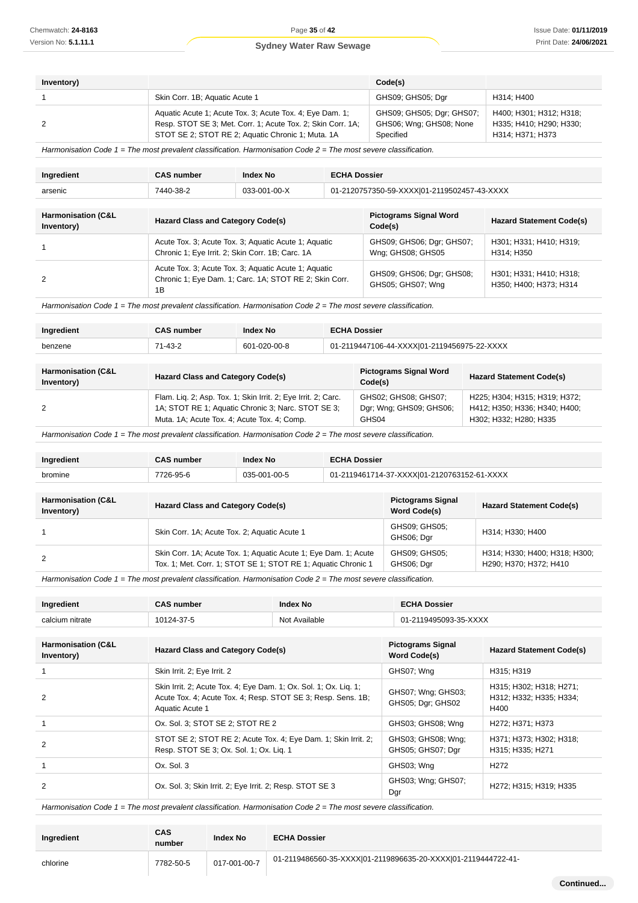| Inventory) |                                                                                                                                                                              | Code(s)                                                           |                                                                        |
|------------|------------------------------------------------------------------------------------------------------------------------------------------------------------------------------|-------------------------------------------------------------------|------------------------------------------------------------------------|
|            | Skin Corr. 1B; Aquatic Acute 1                                                                                                                                               | GHS09; GHS05; Dgr                                                 | H314: H400                                                             |
|            | Aquatic Acute 1; Acute Tox. 3; Acute Tox. 4; Eye Dam. 1;<br>Resp. STOT SE 3; Met. Corr. 1; Acute Tox. 2; Skin Corr. 1A;<br>STOT SE 2; STOT RE 2; Aquatic Chronic 1; Muta. 1A | GHS09; GHS05; Dgr; GHS07;<br>GHS06; Wng; GHS08; None<br>Specified | H400; H301; H312; H318;<br>H335; H410; H290; H330;<br>H314; H371; H373 |

Harmonisation Code 1 = The most prevalent classification. Harmonisation Code 2 = The most severe classification.

| Ingredient                    | <b>CAS number</b>                                               | <b>Index No</b> | <b>ECHA Dossier</b>                                                                        |  |  |
|-------------------------------|-----------------------------------------------------------------|-----------------|--------------------------------------------------------------------------------------------|--|--|
| arsenic                       | 7440-38-2                                                       | 033-001-00-X    | 01-2120757350-59-XXXX 01-2119502457-43-XXXX                                                |  |  |
|                               |                                                                 |                 |                                                                                            |  |  |
| <b>Harmonisation (C&amp;L</b> | $\mathbf{r}$ . The set of $\mathbf{r}$ is a set of $\mathbf{r}$ |                 | <b>Pictograms Signal Word</b><br>$\mathbf{r}$ . $\mathbf{r}$ . $\mathbf{r}$ . $\mathbf{r}$ |  |  |

| <b>Harmonisation (C&amp;L</b><br>Inventory) | <b>Hazard Class and Category Code(s)</b>                                                                             | <b>Pictograms Signal Word</b><br>Code(s)       | <b>Hazard Statement Code(s)</b>                   |
|---------------------------------------------|----------------------------------------------------------------------------------------------------------------------|------------------------------------------------|---------------------------------------------------|
|                                             | Acute Tox. 3; Acute Tox. 3; Aquatic Acute 1; Aquatic<br>Chronic 1; Eye Irrit. 2; Skin Corr. 1B; Carc. 1A             | GHS09; GHS06; Dgr; GHS07;<br>Wng; GHS08; GHS05 | H301; H331; H410; H319;<br>H314: H350             |
|                                             | Acute Tox. 3; Acute Tox. 3; Aquatic Acute 1; Aquatic<br>Chronic 1; Eye Dam. 1; Carc. 1A; STOT RE 2; Skin Corr.<br>1B | GHS09; GHS06; Dgr; GHS08;<br>GHS05: GHS07: Wng | H301; H331; H410; H318;<br>H350; H400; H373; H314 |

Harmonisation Code  $1$  = The most prevalent classification. Harmonisation Code  $2$  = The most severe classification.

| Ingredient | <b>CAS number</b> | <b>Index No</b> | <b>ECHA Dossier</b>                         |
|------------|-------------------|-----------------|---------------------------------------------|
| benzene    | $71 - 43 - 2$     | 601-020-00-8    | 01-2119447106-44-XXXX 01-2119456975-22-XXXX |

| <b>Harmonisation (C&amp;L</b><br>Inventory) | <b>Hazard Class and Category Code(s)</b>                      | <b>Pictograms Signal Word</b><br>Code(s) | <b>Hazard Statement Code(s)</b> |
|---------------------------------------------|---------------------------------------------------------------|------------------------------------------|---------------------------------|
|                                             | Flam. Liq. 2; Asp. Tox. 1; Skin Irrit. 2; Eye Irrit. 2; Carc. | GHS02; GHS08; GHS07;                     | H225; H304; H315; H319; H372;   |
|                                             | 1A: STOT RE 1; Aquatic Chronic 3; Narc. STOT SE 3;            | Dgr; Wng; GHS09; GHS06;                  | H412; H350; H336; H340; H400;   |
|                                             | Muta. 1A: Acute Tox. 4; Acute Tox. 4; Comp.                   | GHS04                                    | H302: H332: H280: H335          |

Harmonisation Code 1 = The most prevalent classification. Harmonisation Code 2 = The most severe classification.

| Ingredient                                  | <b>CAS number</b>                                                                                                                | <b>Index No</b> | <b>ECHA Dossier</b> |                                             |                                                         |  |
|---------------------------------------------|----------------------------------------------------------------------------------------------------------------------------------|-----------------|---------------------|---------------------------------------------|---------------------------------------------------------|--|
| bromine                                     | 7726-95-6<br>035-001-00-5                                                                                                        |                 |                     | 01-2119461714-37-XXXX 01-2120763152-61-XXXX |                                                         |  |
|                                             |                                                                                                                                  |                 |                     |                                             |                                                         |  |
| <b>Harmonisation (C&amp;L</b><br>Inventory) | <b>Hazard Class and Category Code(s)</b>                                                                                         |                 |                     | <b>Pictograms Signal</b><br>Word Code(s)    | <b>Hazard Statement Code(s)</b>                         |  |
|                                             | Skin Corr. 1A; Acute Tox. 2; Aquatic Acute 1                                                                                     |                 |                     | GHS09; GHS05;<br>GHS06; Dar                 | H314; H330; H400                                        |  |
| 2                                           | Skin Corr. 1A; Acute Tox. 1; Aquatic Acute 1; Eye Dam. 1; Acute<br>Tox. 1; Met. Corr. 1; STOT SE 1; STOT RE 1; Aquatic Chronic 1 |                 |                     | GHS09; GHS05;<br>GHS06; Dgr                 | H314; H330; H400; H318; H300;<br>H290; H370; H372; H410 |  |

Harmonisation Code  $1$  = The most prevalent classification. Harmonisation Code  $2$  = The most severe classification.

| Ingredient           | CAS number | ndex No       | <b>ECHA Dossier</b>                 |
|----------------------|------------|---------------|-------------------------------------|
| calcium nitrate<br>. | 10124-37-5 | Not Available | -2119495093-35-XXXX<br>$\mathbf{A}$ |

| <b>Harmonisation (C&amp;L</b><br>Inventory) | Hazard Class and Category Code(s)                                                                                                                   | <b>Pictograms Signal</b><br><b>Word Code(s)</b> | <b>Hazard Statement Code(s)</b>                                           |
|---------------------------------------------|-----------------------------------------------------------------------------------------------------------------------------------------------------|-------------------------------------------------|---------------------------------------------------------------------------|
|                                             | Skin Irrit. 2; Eye Irrit. 2                                                                                                                         | GHS07; Wng                                      | H315: H319                                                                |
| $\mathfrak{p}$                              | Skin Irrit. 2; Acute Tox. 4; Eye Dam. 1; Ox. Sol. 1; Ox. Lig. 1;<br>Acute Tox. 4; Acute Tox. 4; Resp. STOT SE 3; Resp. Sens. 1B;<br>Aquatic Acute 1 | GHS07; Wng; GHS03;<br>GHS05; Dgr; GHS02         | H315, H302, H318, H271,<br>H312; H332; H335; H334;<br>H400                |
|                                             | Ox. Sol. 3; STOT SE 2; STOT RE 2                                                                                                                    | GHS03; GHS08; Wng                               | H272: H371: H373                                                          |
| 2                                           | STOT SE 2; STOT RE 2; Acute Tox. 4; Eye Dam. 1; Skin Irrit. 2;<br>Resp. STOT SE 3, Ox. Sol. 1, Ox. Lig. 1                                           | GHS03; GHS08; Wng;<br>GHS05; GHS07; Dgr         | H371; H373; H302; H318;<br>H315: H335: H271                               |
|                                             | Ox. Sol. 3                                                                                                                                          | GHS03: Wna                                      | H <sub>272</sub>                                                          |
| 2                                           | Ox. Sol. 3; Skin Irrit. 2; Eye Irrit. 2; Resp. STOT SE 3                                                                                            | GHS03; Wng; GHS07;<br>Dgr                       | H <sub>272</sub> : H <sub>315</sub> : H <sub>319</sub> : H <sub>335</sub> |

| Ingredient | <b>CAS</b><br>number | <b>Index No</b> | <b>ECHA Dossier</b>                                           |           |
|------------|----------------------|-----------------|---------------------------------------------------------------|-----------|
| chlorine   | 7782-50-5            | 017-001-00-7    | 01-2119486560-35-XXXX 01-2119896635-20-XXXX 01-2119444722-41- |           |
|            |                      |                 |                                                               | Continued |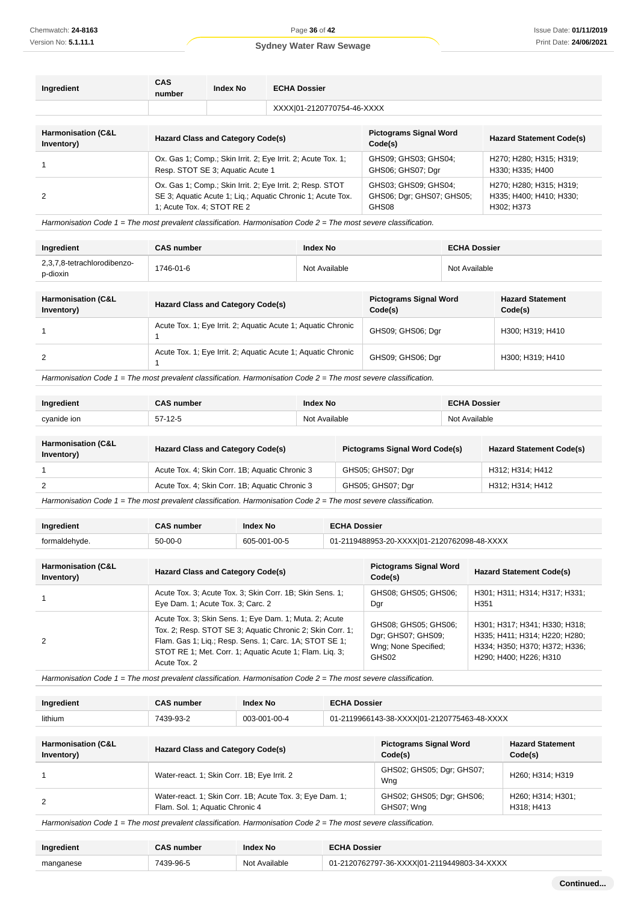| Ingredient                                  | CAS<br>number                                                                                                                                         | <b>Index No</b> | <b>ECHA Dossier</b>                                        |                                                                  |                                             |
|---------------------------------------------|-------------------------------------------------------------------------------------------------------------------------------------------------------|-----------------|------------------------------------------------------------|------------------------------------------------------------------|---------------------------------------------|
|                                             |                                                                                                                                                       |                 | XXXXI01-2120770754-46-XXXX                                 |                                                                  |                                             |
| <b>Harmonisation (C&amp;L</b><br>Inventory) | <b>Hazard Class and Category Code(s)</b>                                                                                                              |                 | <b>Pictograms Signal Word</b><br>Code(s)                   | <b>Hazard Statement Code(s)</b>                                  |                                             |
|                                             | Ox. Gas 1; Comp.; Skin Irrit. 2; Eye Irrit. 2; Acute Tox. 1;<br>Resp. STOT SE 3; Aquatic Acute 1                                                      |                 |                                                            | GHS09; GHS03; GHS04;<br>GHS06; GHS07; Dgr                        | H270; H280; H315; H319;<br>H330; H335; H400 |
| 2                                           | Ox. Gas 1; Comp.; Skin Irrit. 2; Eye Irrit. 2; Resp. STOT<br>SE 3; Aquatic Acute 1; Liq.; Aquatic Chronic 1; Acute Tox.<br>1: Acute Tox. 4: STOT RE 2 |                 | GHS03: GHS09: GHS04:<br>GHS06; Dgr; GHS07; GHS05;<br>GHS08 | H270; H280; H315; H319;<br>H335; H400; H410; H330;<br>H302: H373 |                                             |

Harmonisation Code 1 = The most prevalent classification. Harmonisation Code 2 = The most severe classification.

| Ingredient                              | <b>CAS number</b> | <b>Index No</b> | <b>ECHA Dossier</b> |
|-----------------------------------------|-------------------|-----------------|---------------------|
| 2,3,7,8-tetrachlorodibenzo-<br>p-dioxin | 1746-01-6         | Not Available   | Not Available       |

| <b>Harmonisation (C&amp;L</b><br>Inventory) | <b>Hazard Class and Category Code(s)</b>                     | <b>Pictograms Signal Word</b><br>Code(s) | <b>Hazard Statement</b><br>Code(s) |
|---------------------------------------------|--------------------------------------------------------------|------------------------------------------|------------------------------------|
|                                             | Acute Tox. 1; Eye Irrit. 2; Aquatic Acute 1; Aquatic Chronic | GHS09; GHS06; Dgr                        | H300; H319; H410                   |
| 2                                           | Acute Tox. 1; Eye Irrit. 2; Aquatic Acute 1; Aquatic Chronic | GHS09; GHS06; Dgr                        | H300; H319; H410                   |

Harmonisation Code 1 = The most prevalent classification. Harmonisation Code 2 = The most severe classification.

| Ingredient  | <b>CAS number</b> | <b>Index No</b> | <b>ECHA Dossier</b> |
|-------------|-------------------|-----------------|---------------------|
| cyanide ion | $57-12-5$         | Not Available   | Not Available       |
|             |                   |                 |                     |

| <b>Harmonisation (C&amp;L</b><br>Inventory) | <b>Hazard Class and Category Code(s)</b>       | <b>Pictograms Signal Word Code(s)</b> | <b>Hazard Statement Code(s)</b> |  |
|---------------------------------------------|------------------------------------------------|---------------------------------------|---------------------------------|--|
|                                             | Acute Tox. 4; Skin Corr. 1B; Aquatic Chronic 3 | GHS05; GHS07; Dgr                     | H312: H314: H412                |  |
|                                             | Acute Tox. 4; Skin Corr. 1B; Aquatic Chronic 3 | GHS05; GHS07; Dgr                     | H312; H314; H412                |  |
|                                             |                                                |                                       |                                 |  |

Harmonisation Code  $1 =$  The most prevalent classification. Harmonisation Code  $2 =$  The most severe classification.

| Ingredient    | <b>CAS number</b> | <b>Index No</b> | <b>ECHA Dossier</b>                         |
|---------------|-------------------|-----------------|---------------------------------------------|
| formaldehyde. | $50-00-0$         | 605-001-00-5    | 01-2119488953-20-XXXXI01-2120762098-48-XXXX |

| <b>Harmonisation (C&amp;L</b><br>Inventory) | <b>Hazard Class and Category Code(s)</b>                                                                                                                                                                                                                 | <b>Pictograms Signal Word</b><br>Code(s)                                    | <b>Hazard Statement Code(s)</b>                                                                                           |
|---------------------------------------------|----------------------------------------------------------------------------------------------------------------------------------------------------------------------------------------------------------------------------------------------------------|-----------------------------------------------------------------------------|---------------------------------------------------------------------------------------------------------------------------|
|                                             | Acute Tox. 3; Acute Tox. 3; Skin Corr. 1B; Skin Sens. 1;<br>Eye Dam. 1; Acute Tox. 3; Carc. 2                                                                                                                                                            | GHS08; GHS05; GHS06;<br>Dgr                                                 | H301; H311; H314; H317; H331;<br>H <sub>351</sub>                                                                         |
| 2                                           | Acute Tox. 3; Skin Sens. 1; Eye Dam. 1; Muta. 2; Acute<br>Tox. 2; Resp. STOT SE 3; Aquatic Chronic 2; Skin Corr. 1;<br>Flam. Gas 1; Lig.; Resp. Sens. 1; Carc. 1A; STOT SE 1;<br>STOT RE 1; Met. Corr. 1; Aquatic Acute 1; Flam. Lig. 3;<br>Acute Tox. 2 | GHS08; GHS05; GHS06;<br>Dgr; GHS07; GHS09;<br>Wng; None Specified;<br>GHS02 | H301; H317; H341; H330; H318;<br>H335; H411; H314; H220; H280;<br>H334; H350; H370; H372; H336;<br>H290; H400; H226; H310 |

Harmonisation Code 1 = The most prevalent classification. Harmonisation Code 2 = The most severe classification.

| Ingredient | CAS number | <b>Index No</b> | <b>ECHA Dossier</b>                         |
|------------|------------|-----------------|---------------------------------------------|
| lithium    | 7439-93-2  | 003-001-00-4    | 01-2119966143-38-XXXX 01-2120775463-48-XXXX |

| <b>Harmonisation (C&amp;L</b> | <b>Hazard Class and Category Code(s)</b>                 | <b>Pictograms Signal Word</b>    | <b>Hazard Statement</b>                                  |
|-------------------------------|----------------------------------------------------------|----------------------------------|----------------------------------------------------------|
| Inventory)                    |                                                          | Code(s)                          | Code(s)                                                  |
|                               | Water-react. 1; Skin Corr. 1B; Eye Irrit. 2              | GHS02; GHS05; Dgr; GHS07;<br>Wng | H <sub>260</sub> : H <sub>314</sub> : H <sub>319</sub>   |
| 2                             | Water-react. 1; Skin Corr. 1B; Acute Tox. 3; Eye Dam. 1; | GHS02; GHS05; Dgr; GHS06;        | H <sub>260</sub> ; H <sub>314</sub> ; H <sub>301</sub> ; |
|                               | Flam. Sol. 1; Aquatic Chronic 4                          | GHS07; Wng                       | H318: H413                                               |

| Ingredient | CAS number | Index No      | <b>ECHA Dossier</b>                         |
|------------|------------|---------------|---------------------------------------------|
| manganese  |            | Not Available | 01-2120762797-36-XXXX 01-2119449803-34-XXXX |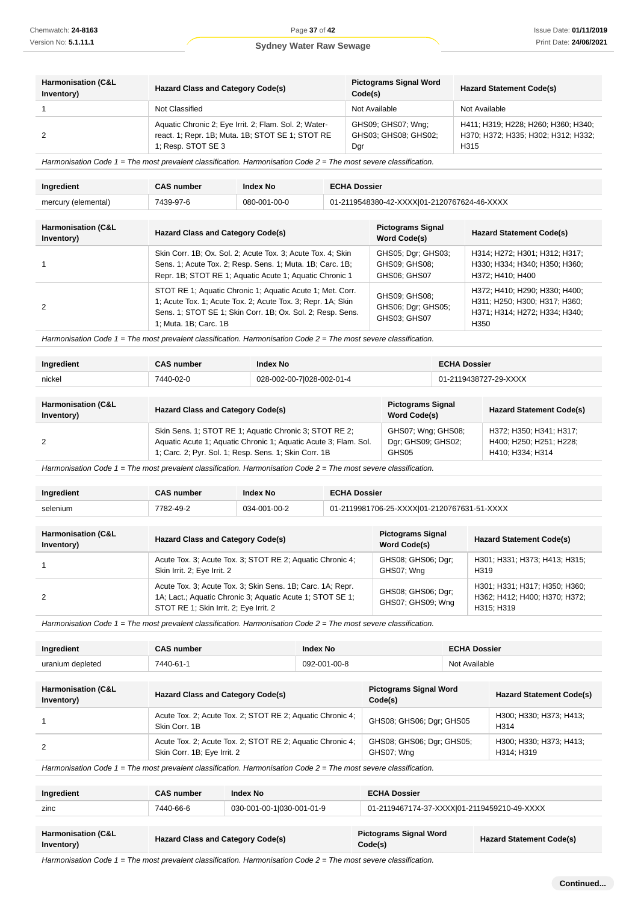| <b>Harmonisation (C&amp;L</b><br>Inventory) | <b>Hazard Class and Category Code(s)</b>                                                                                        | <b>Pictograms Signal Word</b><br>Code(s)          | <b>Hazard Statement Code(s)</b>                                                    |
|---------------------------------------------|---------------------------------------------------------------------------------------------------------------------------------|---------------------------------------------------|------------------------------------------------------------------------------------|
|                                             | Not Classified                                                                                                                  | Not Available                                     | Not Available                                                                      |
|                                             | Aquatic Chronic 2; Eye Irrit. 2; Flam. Sol. 2; Water-<br>react. 1; Repr. 1B; Muta. 1B; STOT SE 1; STOT RE<br>1; Resp. STOT SE 3 | GHS09; GHS07; Wng;<br>GHS03: GHS08: GHS02:<br>Dgr | H411; H319; H228; H260; H360; H340;<br>H370; H372; H335; H302; H312; H332;<br>H315 |

Harmonisation Code  $1 =$  The most prevalent classification. Harmonisation Code  $2 =$  The most severe classification.

| Ingredient                                  | <b>CAS number</b>                                                                                                                                                                   | <b>Index No</b>                                                                                                                                                                        | <b>ECHA Dossier</b> |                                                     |                                                                                                                     |
|---------------------------------------------|-------------------------------------------------------------------------------------------------------------------------------------------------------------------------------------|----------------------------------------------------------------------------------------------------------------------------------------------------------------------------------------|---------------------|-----------------------------------------------------|---------------------------------------------------------------------------------------------------------------------|
| mercury (elemental)                         | 7439-97-6                                                                                                                                                                           | 080-001-00-0                                                                                                                                                                           |                     | 01-2119548380-42-XXXX 01-2120767624-46-XXXX         |                                                                                                                     |
| <b>Harmonisation (C&amp;L</b><br>Inventory) | <b>Hazard Class and Category Code(s)</b>                                                                                                                                            |                                                                                                                                                                                        |                     | <b>Pictograms Signal</b><br>Word Code(s)            | <b>Hazard Statement Code(s)</b>                                                                                     |
|                                             | Skin Corr. 1B; Ox. Sol. 2; Acute Tox. 3; Acute Tox. 4; Skin<br>Sens. 1; Acute Tox. 2; Resp. Sens. 1; Muta. 1B; Carc. 1B;<br>Repr. 1B; STOT RE 1; Aquatic Acute 1; Aquatic Chronic 1 |                                                                                                                                                                                        |                     | GHS05; Dgr; GHS03;<br>GHS09; GHS08;<br>GHS06; GHS07 | H314; H272; H301; H312; H317;<br>H330; H334; H340; H350; H360;<br>H372: H410: H400                                  |
| $\mathfrak{p}$                              | 1; Muta. 1B; Carc. 1B                                                                                                                                                               | STOT RE 1; Aquatic Chronic 1; Aquatic Acute 1; Met. Corr.<br>1; Acute Tox. 1; Acute Tox. 2; Acute Tox. 3; Repr. 1A; Skin<br>Sens. 1; STOT SE 1; Skin Corr. 1B; Ox. Sol. 2; Resp. Sens. |                     | GHS09; GHS08;<br>GHS06; Dgr; GHS05;<br>GHS03: GHS07 | H372; H410; H290; H330; H400;<br>H311; H250; H300; H317; H360;<br>H371; H314; H272; H334; H340;<br>H <sub>350</sub> |

Harmonisation Code  $1 =$  The most prevalent classification. Harmonisation Code  $2 =$  The most severe classification.

| Ingredient                                  | <b>CAS number</b>                                                                                                                                                                  | <b>Index No</b>           |                                                   | <b>ECHA Dossier</b> |                                                                        |
|---------------------------------------------|------------------------------------------------------------------------------------------------------------------------------------------------------------------------------------|---------------------------|---------------------------------------------------|---------------------|------------------------------------------------------------------------|
| nickel                                      | 7440-02-0                                                                                                                                                                          | 028-002-00-7 028-002-01-4 |                                                   |                     | 01-2119438727-29-XXXX                                                  |
|                                             |                                                                                                                                                                                    |                           |                                                   |                     |                                                                        |
| <b>Harmonisation (C&amp;L</b><br>Inventory) | <b>Hazard Class and Category Code(s)</b>                                                                                                                                           |                           | <b>Pictograms Signal</b><br><b>Word Code(s)</b>   |                     | <b>Hazard Statement Code(s)</b>                                        |
| $\mathfrak{p}$                              | Skin Sens. 1; STOT RE 1; Aquatic Chronic 3; STOT RE 2;<br>Aquatic Acute 1; Aquatic Chronic 1; Aquatic Acute 3; Flam. Sol.<br>1; Carc. 2; Pyr. Sol. 1; Resp. Sens. 1; Skin Corr. 1B |                           | GHS07; Wng; GHS08;<br>Dgr; GHS09; GHS02;<br>GHS05 |                     | H372; H350; H341; H317;<br>H400; H250; H251; H228;<br>H410; H334; H314 |

Harmonisation Code 1 = The most prevalent classification. Harmonisation Code 2 = The most severe classification.

| Ingredient | CAS number | <b>Index No</b> | <b>ECHA Dossier</b>                         |
|------------|------------|-----------------|---------------------------------------------|
| selenium   | 7782-49-2  | 034-001-00-2    | 01-2119981706-25-XXXX 01-2120767631-51-XXXX |

| <b>Harmonisation (C&amp;L</b><br>Inventory) | <b>Hazard Class and Category Code(s)</b>                                                                                                                          | <b>Pictograms Signal</b><br>Word Code(s) | <b>Hazard Statement Code(s)</b>                                              |
|---------------------------------------------|-------------------------------------------------------------------------------------------------------------------------------------------------------------------|------------------------------------------|------------------------------------------------------------------------------|
|                                             | Acute Tox. 3; Acute Tox. 3; STOT RE 2; Aquatic Chronic 4;<br>Skin Irrit. 2; Eye Irrit. 2                                                                          | GHS08; GHS06; Dgr;<br>GHS07: Wna         | H301; H331; H373; H413; H315;<br>H <sub>319</sub>                            |
| 2                                           | Acute Tox. 3; Acute Tox. 3; Skin Sens. 1B; Carc. 1A; Repr.<br>1A; Lact.; Aquatic Chronic 3; Aquatic Acute 1; STOT SE 1;<br>STOT RE 1; Skin Irrit. 2; Eye Irrit. 2 | GHS08; GHS06; Dgr;<br>GHS07; GHS09; Wng  | H301; H331; H317; H350; H360;<br>H362; H412; H400; H370; H372;<br>H315: H319 |

Harmonisation Code 1 = The most prevalent classification. Harmonisation Code 2 = The most severe classification.

| Ingredient       | <b>CAS number</b> | '≏× No       | <b>ECHA Dossier</b> |
|------------------|-------------------|--------------|---------------------|
| uranium depleted | $7440 - 61 -$     | 092-001-00-8 | Available<br>NI∩t   |
|                  |                   |              |                     |

| <b>Harmonisation (C&amp;L</b><br>Inventory)                                                           | <b>Hazard Class and Category Code(s)</b>                                                 | <b>Pictograms Signal Word</b><br>Code(s) | <b>Hazard Statement Code(s)</b>              |  |
|-------------------------------------------------------------------------------------------------------|------------------------------------------------------------------------------------------|------------------------------------------|----------------------------------------------|--|
|                                                                                                       | Acute Tox. 2; Acute Tox. 2; STOT RE 2; Aquatic Chronic 4;<br>Skin Corr. 1B               | GHS08; GHS06; Dgr; GHS05                 | H300, H330, H373, H413,<br>H <sub>3</sub> 14 |  |
| 2                                                                                                     | Acute Tox. 2; Acute Tox. 2; STOT RE 2; Aquatic Chronic 4;<br>Skin Corr. 1B; Eye Irrit. 2 | GHS08; GHS06; Dgr; GHS05;<br>GHS07: Wna  | H300; H330; H373; H413;<br>H314: H319        |  |
| Usimpropedian Cada 1 The meat provokat elegation Usimpropedian Cada 2 The meat equate elegation $\mu$ |                                                                                          |                                          |                                              |  |

Harmonisation Code  $1$  = The most prevalent classification. Harmonisation Code  $2$  = The most severe classification.

| Ingredient | <b>CAS</b> number | <b>Index No</b>           | <b>ECHA Dossier</b>                         |
|------------|-------------------|---------------------------|---------------------------------------------|
| zinc       | 7440-66-6         | 030-001-00-1 030-001-01-9 | 01-2119467174-37-XXXX 01-2119459210-49-XXXX |
|            |                   |                           |                                             |

| <b>Harmonisation (C&amp;L)</b>    | <b>Pictograms Signal Word</b>   |
|-----------------------------------|---------------------------------|
| Hazard Class and Category Code(s) | <b>Hazard Statement Code(s)</b> |
| Inventory)                        | Code(s)                         |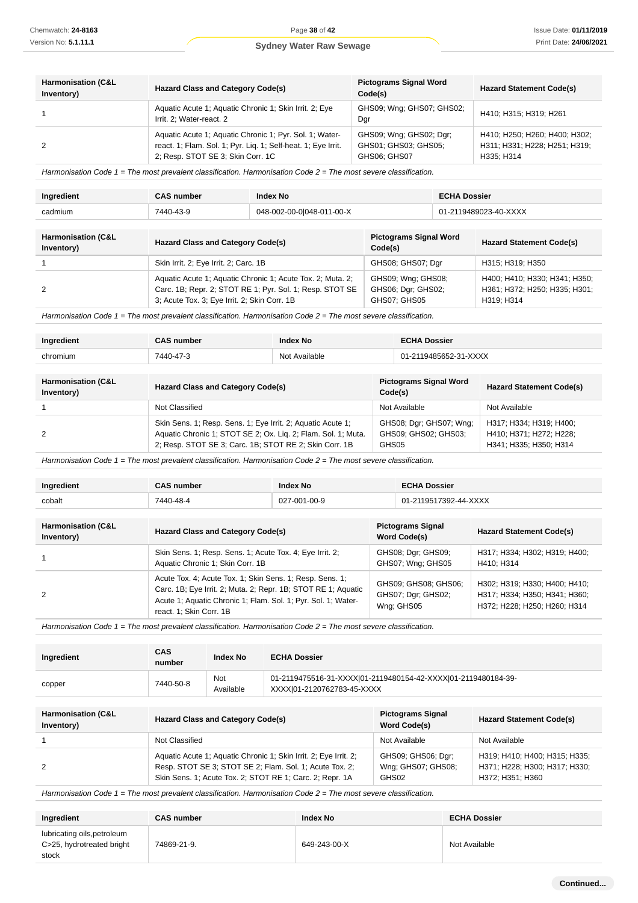2

H400; H410; H330; H341; H350; H361; H372; H250; H335; H301;

H319; H314

#### **Sydney Water Raw Sewage**

| <b>Harmonisation (C&amp;L</b><br>Inventory) | <b>Hazard Class and Category Code(s)</b>                                                                                                                      | <b>Pictograms Signal Word</b><br>Code(s)                        | <b>Hazard Statement Code(s)</b>                                              |
|---------------------------------------------|---------------------------------------------------------------------------------------------------------------------------------------------------------------|-----------------------------------------------------------------|------------------------------------------------------------------------------|
|                                             | Aquatic Acute 1; Aquatic Chronic 1; Skin Irrit. 2; Eye<br>Irrit. 2: Water-react. 2                                                                            | GHS09; Wng; GHS07; GHS02;<br>Dgr                                | H410; H315; H319; H261                                                       |
|                                             | Aquatic Acute 1; Aquatic Chronic 1; Pyr. Sol. 1; Water-<br>react. 1; Flam. Sol. 1; Pyr. Liq. 1; Self-heat. 1; Eve Irrit.<br>2; Resp. STOT SE 3; Skin Corr. 1C | GHS09; Wng; GHS02; Dgr;<br>GHS01: GHS03: GHS05:<br>GHS06: GHS07 | H410; H250; H260; H400; H302;<br>H311; H331; H228; H251; H319;<br>H335: H314 |

Harmonisation Code 1 = The most prevalent classification. Harmonisation Code 2 = The most severe classification.

| Ingredient                                  | <b>CAS number</b>                        | <b>Index No</b>           |                                          | <b>ECHA Dossier</b> |                                 |
|---------------------------------------------|------------------------------------------|---------------------------|------------------------------------------|---------------------|---------------------------------|
| cadmium                                     | 7440-43-9                                | 048-002-00-0 048-011-00-X |                                          |                     | 01-2119489023-40-XXXX           |
|                                             |                                          |                           |                                          |                     |                                 |
| <b>Harmonisation (C&amp;L</b><br>Inventory) | <b>Hazard Class and Category Code(s)</b> |                           | <b>Pictograms Signal Word</b><br>Code(s) |                     | <b>Hazard Statement Code(s)</b> |
|                                             | Skin Irrit. 2; Eye Irrit. 2; Carc. 1B    |                           | GHS08; GHS07; Dgr                        |                     | H315; H319; H350                |

GHS09; Wng; GHS08; GHS06; Dgr; GHS02; GHS07; GHS05

Harmonisation Code  $1 =$  The most prevalent classification. Harmonisation Code  $2 =$  The most severe classification.

3; Acute Tox. 3; Eye Irrit. 2; Skin Corr. 1B

Aquatic Acute 1; Aquatic Chronic 1; Acute Tox. 2; Muta. 2; Carc. 1B; Repr. 2; STOT RE 1; Pyr. Sol. 1; Resp. STOT SE

| Ingredient                                  | <b>CAS number</b>                                                                                                                                                                      | <b>Index No</b> |         | <b>ECHA Dossier</b>                             |                                                                              |
|---------------------------------------------|----------------------------------------------------------------------------------------------------------------------------------------------------------------------------------------|-----------------|---------|-------------------------------------------------|------------------------------------------------------------------------------|
| chromium                                    | 7440-47-3                                                                                                                                                                              | Not Available   |         | 01-2119485652-31-XXXX                           |                                                                              |
|                                             |                                                                                                                                                                                        |                 |         |                                                 |                                                                              |
| <b>Harmonisation (C&amp;L</b><br>Inventory) | <b>Hazard Class and Category Code(s)</b>                                                                                                                                               |                 | Code(s) | <b>Pictograms Signal Word</b>                   | <b>Hazard Statement Code(s)</b>                                              |
|                                             | Not Classified                                                                                                                                                                         |                 |         | Not Available                                   | Not Available                                                                |
| 2                                           | Skin Sens. 1; Resp. Sens. 1; Eye Irrit. 2; Aquatic Acute 1;<br>Aquatic Chronic 1; STOT SE 2; Ox. Lig. 2; Flam. Sol. 1; Muta.<br>2; Resp. STOT SE 3; Carc. 1B; STOT RE 2; Skin Corr. 1B |                 | GHS05   | GHS08; Dgr; GHS07; Wng;<br>GHS09: GHS02: GHS03: | H317; H334; H319; H400;<br>H410; H371; H272; H228;<br>H341; H335; H350; H314 |

Harmonisation Code 1 = The most prevalent classification. Harmonisation Code 2 = The most severe classification.

| Ingredient                                  | <b>CAS number</b>                                                                                                                                                                                                     | <b>Index No</b> | <b>ECHA Dossier</b>                                      |                                                                                                |
|---------------------------------------------|-----------------------------------------------------------------------------------------------------------------------------------------------------------------------------------------------------------------------|-----------------|----------------------------------------------------------|------------------------------------------------------------------------------------------------|
| cobalt                                      | 7440-48-4                                                                                                                                                                                                             | 027-001-00-9    | 01-2119517392-44-XXXX                                    |                                                                                                |
|                                             |                                                                                                                                                                                                                       |                 |                                                          |                                                                                                |
| <b>Harmonisation (C&amp;L</b><br>Inventory) | Hazard Class and Category Code(s)                                                                                                                                                                                     |                 | <b>Pictograms Signal</b><br><b>Word Code(s)</b>          | <b>Hazard Statement Code(s)</b>                                                                |
|                                             | Skin Sens. 1; Resp. Sens. 1; Acute Tox. 4; Eye Irrit. 2;<br>Aquatic Chronic 1, Skin Corr. 1B                                                                                                                          |                 | GHS08; Dgr; GHS09;<br>GHS07; Wng; GHS05                  | H317: H334: H302: H319: H400:<br>H410: H314                                                    |
| 2                                           | Acute Tox. 4; Acute Tox. 1; Skin Sens. 1; Resp. Sens. 1;<br>Carc. 1B; Eye Irrit. 2; Muta. 2; Repr. 1B; STOT RE 1; Aquatic<br>Acute 1; Aquatic Chronic 1; Flam. Sol. 1; Pyr. Sol. 1; Water-<br>react. 1; Skin Corr. 1B |                 | GHS09; GHS08; GHS06;<br>GHS07; Dgr; GHS02;<br>Wng: GHS05 | H302; H319; H330; H400; H410;<br>H317; H334; H350; H341; H360;<br>H372; H228; H250; H260; H314 |

Harmonisation Code 1 = The most prevalent classification. Harmonisation Code 2 = The most severe classification.

| Ingredient | <b>CAS</b><br>number | <b>Index No</b>  | <b>ECHA Dossier</b>                                                                         |
|------------|----------------------|------------------|---------------------------------------------------------------------------------------------|
| copper     | 7440-50-8            | Not<br>Available | 01-2119475516-31-XXXX 01-2119480154-42-XXXX 01-2119480184-39-<br>XXXX 01-2120762783-45-XXXX |

| <b>Harmonisation (C&amp;L</b><br>Inventory) | <b>Hazard Class and Category Code(s)</b>                                                                                                                                                | <b>Pictograms Signal</b><br><b>Word Code(s)</b>   | <b>Hazard Statement Code(s)</b>                                                    |
|---------------------------------------------|-----------------------------------------------------------------------------------------------------------------------------------------------------------------------------------------|---------------------------------------------------|------------------------------------------------------------------------------------|
|                                             | Not Classified                                                                                                                                                                          | Not Available                                     | Not Available                                                                      |
|                                             | Aquatic Acute 1; Aquatic Chronic 1; Skin Irrit. 2; Eye Irrit. 2;<br>Resp. STOT SE 3; STOT SE 2; Flam. Sol. 1; Acute Tox. 2;<br>Skin Sens. 1; Acute Tox. 2; STOT RE 1; Carc. 2; Repr. 1A | GHS09; GHS06; Dgr;<br>Wng; GHS07; GHS08;<br>GHS02 | H319; H410; H400; H315; H335;<br>H371; H228; H300; H317; H330;<br>H372; H351; H360 |

| Ingredient                                                        | <b>CAS number</b> | <b>Index No</b> | <b>ECHA Dossier</b> |
|-------------------------------------------------------------------|-------------------|-----------------|---------------------|
| lubricating oils, petroleum<br>C>25, hydrotreated bright<br>stock | 74869-21-9.       | 649-243-00-X    | Not Available       |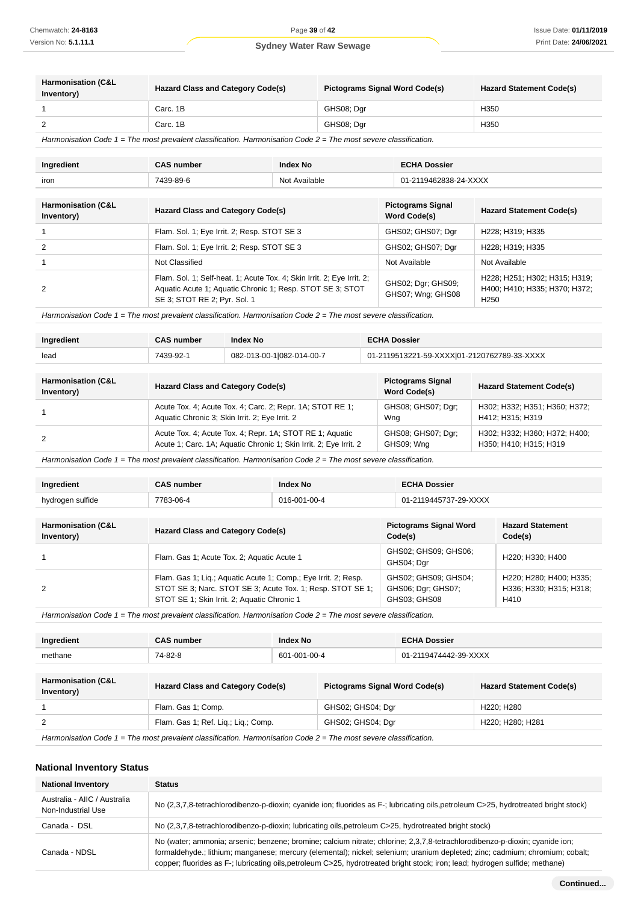| <b>Harmonisation (C&amp;L</b><br>Inventory) | <b>Hazard Class and Category Code(s)</b> | <b>Pictograms Signal Word Code(s)</b> | <b>Hazard Statement Code(s)</b> |
|---------------------------------------------|------------------------------------------|---------------------------------------|---------------------------------|
|                                             | Carc. 1B                                 | GHS08; Dar                            | H350                            |
|                                             | Carc. 1B                                 | GHS08; Dar                            | H350                            |

Harmonisation Code 1 = The most prevalent classification. Harmonisation Code 2 = The most severe classification.

| Ingredient | <b>CAS number</b> | Index No      | <b>ECHA Dossier</b>   |
|------------|-------------------|---------------|-----------------------|
| iron       | 7439-89-6         | Not Available | 01-2119462838-24-XXXX |

| <b>Harmonisation (C&amp;L</b><br>Inventory) | <b>Hazard Class and Category Code(s)</b>                                                                                                                            | <b>Pictograms Signal</b><br><b>Word Code(s)</b> | <b>Hazard Statement Code(s)</b>                                                    |
|---------------------------------------------|---------------------------------------------------------------------------------------------------------------------------------------------------------------------|-------------------------------------------------|------------------------------------------------------------------------------------|
|                                             | Flam. Sol. 1; Eye Irrit. 2; Resp. STOT SE 3                                                                                                                         | GHS02; GHS07; Dgr                               | H228; H319; H335                                                                   |
|                                             | Flam. Sol. 1; Eye Irrit. 2; Resp. STOT SE 3                                                                                                                         | GHS02; GHS07; Dgr                               | H228: H319: H335                                                                   |
|                                             | Not Classified                                                                                                                                                      | Not Available                                   | Not Available                                                                      |
|                                             | Flam. Sol. 1; Self-heat. 1; Acute Tox. 4; Skin Irrit. 2; Eye Irrit. 2;<br>Aquatic Acute 1; Aquatic Chronic 1; Resp. STOT SE 3; STOT<br>SE 3; STOT RE 2; Pyr. Sol. 1 | GHS02; Dgr; GHS09;<br>GHS07; Wng; GHS08         | H228; H251; H302; H315; H319;<br>H400; H410; H335; H370; H372;<br>H <sub>250</sub> |

Harmonisation Code 1 = The most prevalent classification. Harmonisation Code 2 = The most severe classification.

| Ingredient | <b>CAS number</b> | <b>Index No</b>           | <b>ECHA Dossier</b>                         |
|------------|-------------------|---------------------------|---------------------------------------------|
| lead       | 7439-92-1         | 082-013-00-1 082-014-00-7 | 01-2119513221-59-XXXXI01-2120762789-33-XXXX |

| <b>Harmonisation (C&amp;L</b><br>Inventory) | <b>Hazard Class and Category Code(s)</b>                          | <b>Pictograms Signal</b><br><b>Word Code(s)</b> | <b>Hazard Statement Code(s)</b> |
|---------------------------------------------|-------------------------------------------------------------------|-------------------------------------------------|---------------------------------|
|                                             | Acute Tox. 4; Acute Tox. 4; Carc. 2; Repr. 1A: STOT RE 1;         | GHS08; GHS07; Dgr;                              | H302; H332; H351; H360; H372;   |
|                                             | Aquatic Chronic 3; Skin Irrit. 2; Eye Irrit. 2                    | Wng                                             | H412: H315: H319                |
|                                             | Acute Tox. 4; Acute Tox. 4; Repr. 1A; STOT RE 1; Aquatic          | GHS08; GHS07; Dgr;                              | H302; H332; H360; H372; H400;   |
|                                             | Acute 1; Carc. 1A; Aquatic Chronic 1; Skin Irrit. 2; Eye Irrit. 2 | GHS09; Wng                                      | H350; H410; H315; H319          |

Harmonisation Code  $1$  = The most prevalent classification. Harmonisation Code  $2$  = The most severe classification.

| Ingredient                                  | <b>CAS number</b>                                                                                                                                                           | <b>Index No</b> | <b>ECHA Dossier</b>                                        |                                                            |
|---------------------------------------------|-----------------------------------------------------------------------------------------------------------------------------------------------------------------------------|-----------------|------------------------------------------------------------|------------------------------------------------------------|
| hydrogen sulfide                            | 7783-06-4<br>016-001-00-4                                                                                                                                                   |                 | 01-2119445737-29-XXXX                                      |                                                            |
|                                             |                                                                                                                                                                             |                 |                                                            |                                                            |
| <b>Harmonisation (C&amp;L</b><br>Inventory) | <b>Hazard Class and Category Code(s)</b>                                                                                                                                    |                 | <b>Pictograms Signal Word</b><br>Code(s)                   | <b>Hazard Statement</b><br>Code(s)                         |
|                                             | Flam. Gas 1; Acute Tox. 2; Aquatic Acute 1                                                                                                                                  |                 | GHS02; GHS09; GHS06;<br>GHS04; Dgr                         | H220: H330: H400                                           |
| 2                                           | Flam. Gas 1; Liq.; Aquatic Acute 1; Comp.; Eye Irrit. 2; Resp.<br>STOT SE 3; Narc. STOT SE 3; Acute Tox. 1; Resp. STOT SE 1;<br>STOT SE 1; Skin Irrit. 2; Aquatic Chronic 1 |                 | GHS02: GHS09: GHS04:<br>GHS06; Dgr; GHS07;<br>GHS03; GHS08 | H220; H280; H400; H335;<br>H336; H330; H315; H318;<br>H410 |

Harmonisation Code 1 = The most prevalent classification. Harmonisation Code 2 = The most severe classification.

| Ingredient                                                                                                           | <b>CAS number</b>                   | Index No     |                                       | <b>ECHA Dossier</b>   |                                 |
|----------------------------------------------------------------------------------------------------------------------|-------------------------------------|--------------|---------------------------------------|-----------------------|---------------------------------|
| methane                                                                                                              | 74-82-8                             | 601-001-00-4 |                                       | 01-2119474442-39-XXXX |                                 |
|                                                                                                                      |                                     |              |                                       |                       |                                 |
| <b>Harmonisation (C&amp;L</b><br>Inventory)                                                                          | Hazard Class and Category Code(s)   |              | <b>Pictograms Signal Word Code(s)</b> |                       | <b>Hazard Statement Code(s)</b> |
|                                                                                                                      | Flam. Gas 1; Comp.                  |              | GHS02; GHS04; Dgr                     |                       | H220: H280                      |
| 2                                                                                                                    | Flam. Gas 1; Ref. Lig.; Lig.; Comp. |              | GHS02; GHS04; Dgr                     |                       | H220; H280; H281                |
| Harmonisation Code $1 =$ The most prevalent classification. Harmonisation Code $2 =$ The most severe classification. |                                     |              |                                       |                       |                                 |

#### **National Inventory Status**

| <b>National Inventory</b>                          | <b>Status</b>                                                                                                                                                                                                                                                                                                                                                                               |
|----------------------------------------------------|---------------------------------------------------------------------------------------------------------------------------------------------------------------------------------------------------------------------------------------------------------------------------------------------------------------------------------------------------------------------------------------------|
| Australia - AIIC / Australia<br>Non-Industrial Use | No (2,3,7,8-tetrachlorodibenzo-p-dioxin; cyanide ion; fluorides as F-; lubricating oils, petroleum C>25, hydrotreated bright stock)                                                                                                                                                                                                                                                         |
| Canada - DSL                                       | No (2,3,7,8-tetrachlorodibenzo-p-dioxin; lubricating oils, petroleum C>25, hydrotreated bright stock)                                                                                                                                                                                                                                                                                       |
| Canada - NDSL                                      | No (water; ammonia; arsenic; benzene; bromine; calcium nitrate; chlorine; 2,3,7,8-tetrachlorodibenzo-p-dioxin; cyanide ion;<br>formaldehyde.; lithium; manganese; mercury (elemental); nickel; selenium; uranium depleted; zinc; cadmium; chromium; cobalt;<br>copper; fluorides as F-; lubricating oils, petroleum C>25, hydrotreated bright stock; iron; lead; hydrogen sulfide; methane) |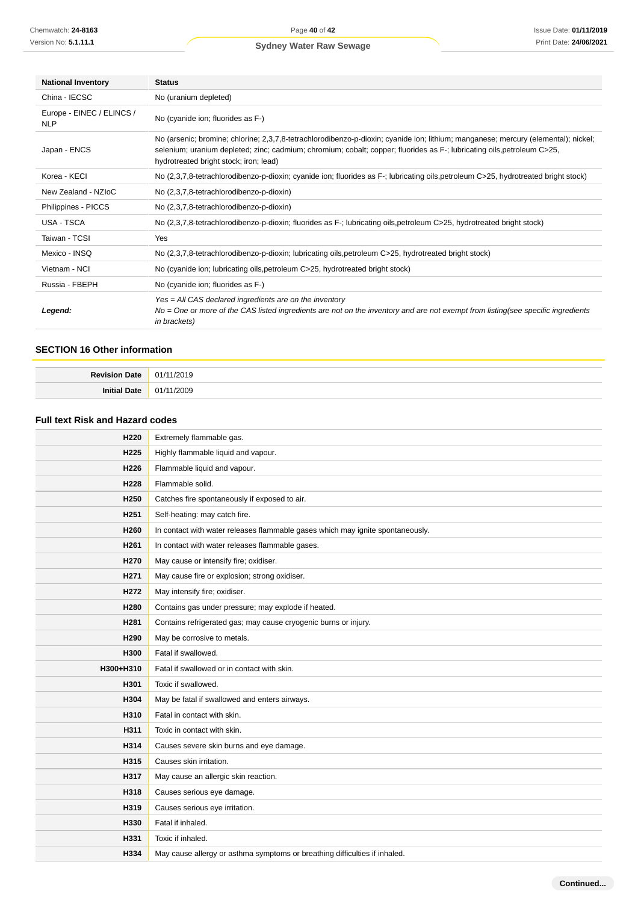| <b>National Inventory</b>               | <b>Status</b>                                                                                                                                                                                                                                                                                           |  |  |
|-----------------------------------------|---------------------------------------------------------------------------------------------------------------------------------------------------------------------------------------------------------------------------------------------------------------------------------------------------------|--|--|
| China - IECSC                           | No (uranium depleted)                                                                                                                                                                                                                                                                                   |  |  |
| Europe - EINEC / ELINCS /<br><b>NLP</b> | No (cyanide ion; fluorides as F-)                                                                                                                                                                                                                                                                       |  |  |
| Japan - ENCS                            | No (arsenic; bromine; chlorine; 2,3,7,8-tetrachlorodibenzo-p-dioxin; cyanide ion; lithium; manganese; mercury (elemental); nickel;<br>selenium; uranium depleted; zinc; cadmium; chromium; cobalt; copper; fluorides as F-; lubricating oils, petroleum C>25,<br>hydrotreated bright stock; iron; lead) |  |  |
| Korea - KECI                            | No (2,3,7,8-tetrachlorodibenzo-p-dioxin; cyanide ion; fluorides as F-; lubricating oils, petroleum C>25, hydrotreated bright stock)                                                                                                                                                                     |  |  |
| New Zealand - NZIoC                     | No (2,3,7,8-tetrachlorodibenzo-p-dioxin)                                                                                                                                                                                                                                                                |  |  |
| Philippines - PICCS                     | No (2,3,7,8-tetrachlorodibenzo-p-dioxin)                                                                                                                                                                                                                                                                |  |  |
| USA - TSCA                              | No (2,3,7,8-tetrachlorodibenzo-p-dioxin; fluorides as F-; lubricating oils, petroleum C>25, hydrotreated bright stock)                                                                                                                                                                                  |  |  |
| Taiwan - TCSI                           | Yes                                                                                                                                                                                                                                                                                                     |  |  |
| Mexico - INSQ                           | No (2,3,7,8-tetrachlorodibenzo-p-dioxin; lubricating oils, petroleum C>25, hydrotreated bright stock)                                                                                                                                                                                                   |  |  |
| Vietnam - NCI                           | No (cyanide ion; lubricating oils, petroleum C>25, hydrotreated bright stock)                                                                                                                                                                                                                           |  |  |
| Russia - FBEPH                          | No (cyanide ion; fluorides as F-)                                                                                                                                                                                                                                                                       |  |  |
| Legend:                                 | Yes = All CAS declared ingredients are on the inventory<br>$No = One$ or more of the CAS listed ingredients are not on the inventory and are not exempt from listing (see specific ingredients<br><i>in brackets</i> )                                                                                  |  |  |

#### **SECTION 16 Other information**

| $P_{\text{out}}$<br>. | 14.<br>. |
|-----------------------|----------|
|                       | ۱no<br>. |

### **Full text Risk and Hazard codes**

| H <sub>220</sub> | Extremely flammable gas.                                                       |  |
|------------------|--------------------------------------------------------------------------------|--|
| H <sub>225</sub> | Highly flammable liquid and vapour.                                            |  |
| H <sub>226</sub> | Flammable liquid and vapour.                                                   |  |
| H228             | Flammable solid.                                                               |  |
| H <sub>250</sub> | Catches fire spontaneously if exposed to air.                                  |  |
| H <sub>251</sub> | Self-heating: may catch fire.                                                  |  |
| H <sub>260</sub> | In contact with water releases flammable gases which may ignite spontaneously. |  |
| H <sub>261</sub> | In contact with water releases flammable gases.                                |  |
| H <sub>270</sub> | May cause or intensify fire; oxidiser.                                         |  |
| H <sub>271</sub> | May cause fire or explosion; strong oxidiser.                                  |  |
| H <sub>272</sub> | May intensify fire; oxidiser.                                                  |  |
| H280             | Contains gas under pressure; may explode if heated.                            |  |
| H <sub>281</sub> | Contains refrigerated gas; may cause cryogenic burns or injury.                |  |
| H <sub>290</sub> | May be corrosive to metals.                                                    |  |
| H300             | Fatal if swallowed.                                                            |  |
| H300+H310        | Fatal if swallowed or in contact with skin.                                    |  |
| H301             | Toxic if swallowed.                                                            |  |
| H304             | May be fatal if swallowed and enters airways.                                  |  |
| H310             | Fatal in contact with skin.                                                    |  |
| H311             | Toxic in contact with skin.                                                    |  |
| H314             | Causes severe skin burns and eye damage.                                       |  |
| H315             | Causes skin irritation.                                                        |  |
| H317             | May cause an allergic skin reaction.                                           |  |
| H318             | Causes serious eye damage.                                                     |  |
| H319             | Causes serious eye irritation.                                                 |  |
| H330             | Fatal if inhaled.                                                              |  |
| H331             | Toxic if inhaled.                                                              |  |
| H334             | May cause allergy or asthma symptoms or breathing difficulties if inhaled.     |  |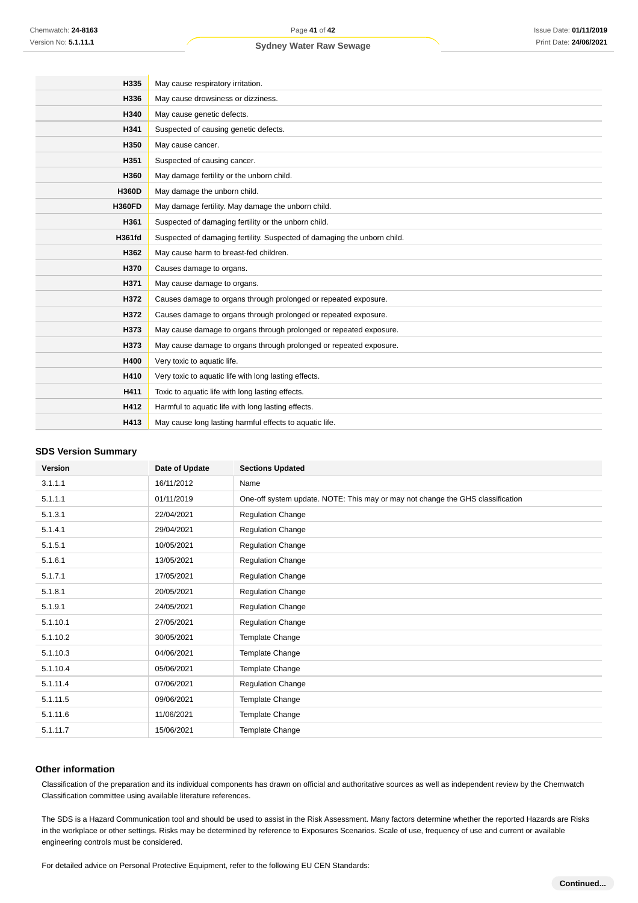| H335          | May cause respiratory irritation.                                        |  |  |
|---------------|--------------------------------------------------------------------------|--|--|
| H336          | May cause drowsiness or dizziness.                                       |  |  |
| H340          | May cause genetic defects.                                               |  |  |
| H341          | Suspected of causing genetic defects.                                    |  |  |
| H350          | May cause cancer.                                                        |  |  |
| H351          | Suspected of causing cancer.                                             |  |  |
| H360          | May damage fertility or the unborn child.                                |  |  |
| <b>H360D</b>  | May damage the unborn child.                                             |  |  |
| <b>H360FD</b> | May damage fertility. May damage the unborn child.                       |  |  |
| H361          | Suspected of damaging fertility or the unborn child.                     |  |  |
| <b>H361fd</b> | Suspected of damaging fertility. Suspected of damaging the unborn child. |  |  |
| H362          | May cause harm to breast-fed children.                                   |  |  |
| H370          | Causes damage to organs.                                                 |  |  |
| H371          | May cause damage to organs.                                              |  |  |
| H372          | Causes damage to organs through prolonged or repeated exposure.          |  |  |
| H372          | Causes damage to organs through prolonged or repeated exposure.          |  |  |
| H373          | May cause damage to organs through prolonged or repeated exposure.       |  |  |
| H373          | May cause damage to organs through prolonged or repeated exposure.       |  |  |
| H400          | Very toxic to aquatic life.                                              |  |  |
| H410          | Very toxic to aquatic life with long lasting effects.                    |  |  |
| H411          | Toxic to aquatic life with long lasting effects.                         |  |  |
| H412          | Harmful to aquatic life with long lasting effects.                       |  |  |
| H413          | May cause long lasting harmful effects to aquatic life.                  |  |  |
|               |                                                                          |  |  |

#### **SDS Version Summary**

| <b>Version</b> | Date of Update | <b>Sections Updated</b>                                                        |
|----------------|----------------|--------------------------------------------------------------------------------|
| 3.1.1.1        | 16/11/2012     | Name                                                                           |
| 5.1.1.1        | 01/11/2019     | One-off system update. NOTE: This may or may not change the GHS classification |
| 5.1.3.1        | 22/04/2021     | <b>Regulation Change</b>                                                       |
| 5.1.4.1        | 29/04/2021     | <b>Regulation Change</b>                                                       |
| 5.1.5.1        | 10/05/2021     | <b>Regulation Change</b>                                                       |
| 5.1.6.1        | 13/05/2021     | Regulation Change                                                              |
| 5.1.7.1        | 17/05/2021     | <b>Regulation Change</b>                                                       |
| 5.1.8.1        | 20/05/2021     | <b>Regulation Change</b>                                                       |
| 5.1.9.1        | 24/05/2021     | <b>Regulation Change</b>                                                       |
| 5.1.10.1       | 27/05/2021     | <b>Regulation Change</b>                                                       |
| 5.1.10.2       | 30/05/2021     | Template Change                                                                |
| 5.1.10.3       | 04/06/2021     | Template Change                                                                |
| 5.1.10.4       | 05/06/2021     | Template Change                                                                |
| 5.1.11.4       | 07/06/2021     | <b>Regulation Change</b>                                                       |
| 5.1.11.5       | 09/06/2021     | Template Change                                                                |
| 5.1.11.6       | 11/06/2021     | Template Change                                                                |
| 5.1.11.7       | 15/06/2021     | Template Change                                                                |

#### **Other information**

Classification of the preparation and its individual components has drawn on official and authoritative sources as well as independent review by the Chemwatch Classification committee using available literature references.

The SDS is a Hazard Communication tool and should be used to assist in the Risk Assessment. Many factors determine whether the reported Hazards are Risks in the workplace or other settings. Risks may be determined by reference to Exposures Scenarios. Scale of use, frequency of use and current or available engineering controls must be considered.

For detailed advice on Personal Protective Equipment, refer to the following EU CEN Standards: